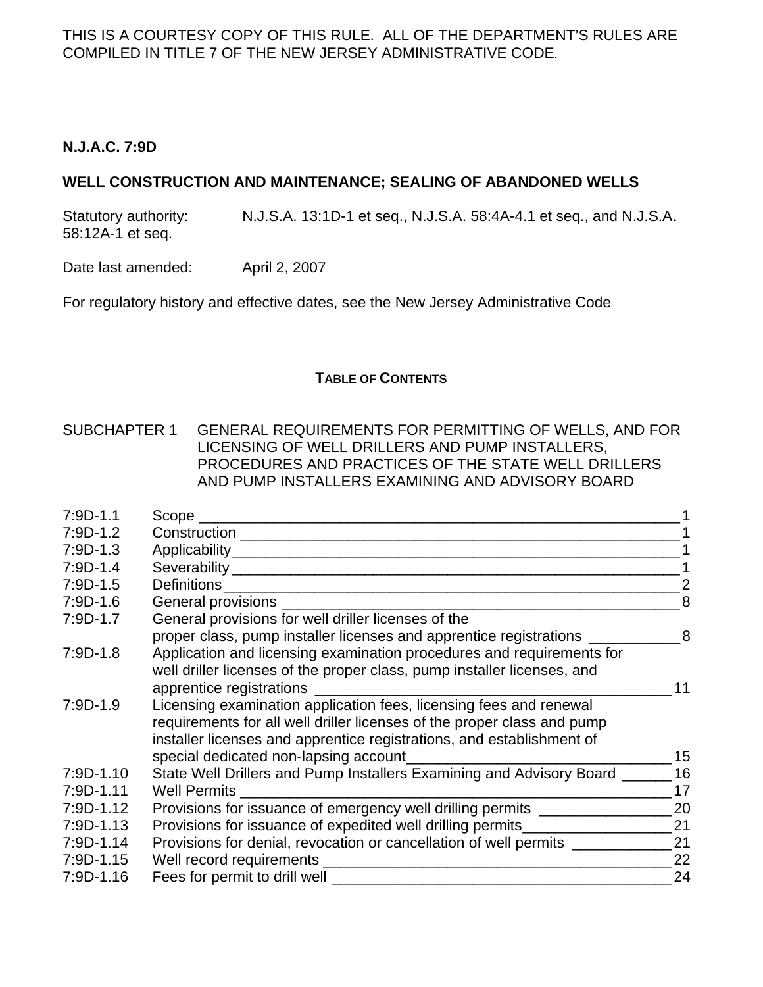#### **N.J.A.C. 7:9D**

#### **WELL CONSTRUCTION AND MAINTENANCE; SEALING OF ABANDONED WELLS**

Statutory authority: N.J.S.A. 13:1D-1 et seq., N.J.S.A. 58:4A-4.1 et seq., and N.J.S.A. 58:12A-1 et seq.

Date last amended: April 2, 2007

For regulatory history and effective dates, see the New Jersey Administrative Code

#### **TABLE OF CONTENTS**

#### SUBCHAPTER 1 GENERAL REQUIREMENTS FOR PERMITTING OF WELLS, AND FOR LICENSING OF WELL DRILLERS AND PUMP INSTALLERS, PROCEDURES AND PRACTICES OF THE STATE WELL DRILLERS AND PUMP INSTALLERS EXAMINING AND ADVISORY BOARD

| $7:9D-1.1$  |                                                                                                                |                |
|-------------|----------------------------------------------------------------------------------------------------------------|----------------|
| $7:9D-1.2$  | Construction ______________________                                                                            |                |
| $7:9D-1.3$  |                                                                                                                |                |
| $7:9D-1.4$  | Severability Several Contract of the Several Contract of the Several Contract of the Several Contract of the S |                |
| $7:9D-1.5$  | Definitions                                                                                                    |                |
| $7:9D-1.6$  | General provisions _                                                                                           | 8              |
| $7:9D-1.7$  | General provisions for well driller licenses of the                                                            |                |
|             | proper class, pump installer licenses and apprentice registrations _____                                       | 8 <sup>8</sup> |
| $7:9D-1.8$  | Application and licensing examination procedures and requirements for                                          |                |
|             | well driller licenses of the proper class, pump installer licenses, and                                        |                |
|             | apprentice registrations                                                                                       | 11             |
| $7:9D-1.9$  | Licensing examination application fees, licensing fees and renewal                                             |                |
|             | requirements for all well driller licenses of the proper class and pump                                        |                |
|             | installer licenses and apprentice registrations, and establishment of                                          |                |
|             | special dedicated non-lapsing account_                                                                         | 15             |
| $7:9D-1.10$ | State Well Drillers and Pump Installers Examining and Advisory Board _                                         | 16             |
| $7:9D-1.11$ | <b>Well Permits</b>                                                                                            | 17             |
| $7:9D-1.12$ | Provisions for issuance of emergency well drilling permits __________                                          | 20             |
| $7:9D-1.13$ | Provisions for issuance of expedited well drilling permits___________                                          | 21             |
| $7:9D-1.14$ | Provisions for denial, revocation or cancellation of well permits _                                            | 21             |
| $7:9D-1.15$ | Well record requirements ________                                                                              | 22             |
| 7:9D-1.16   | Fees for permit to drill well                                                                                  | 24             |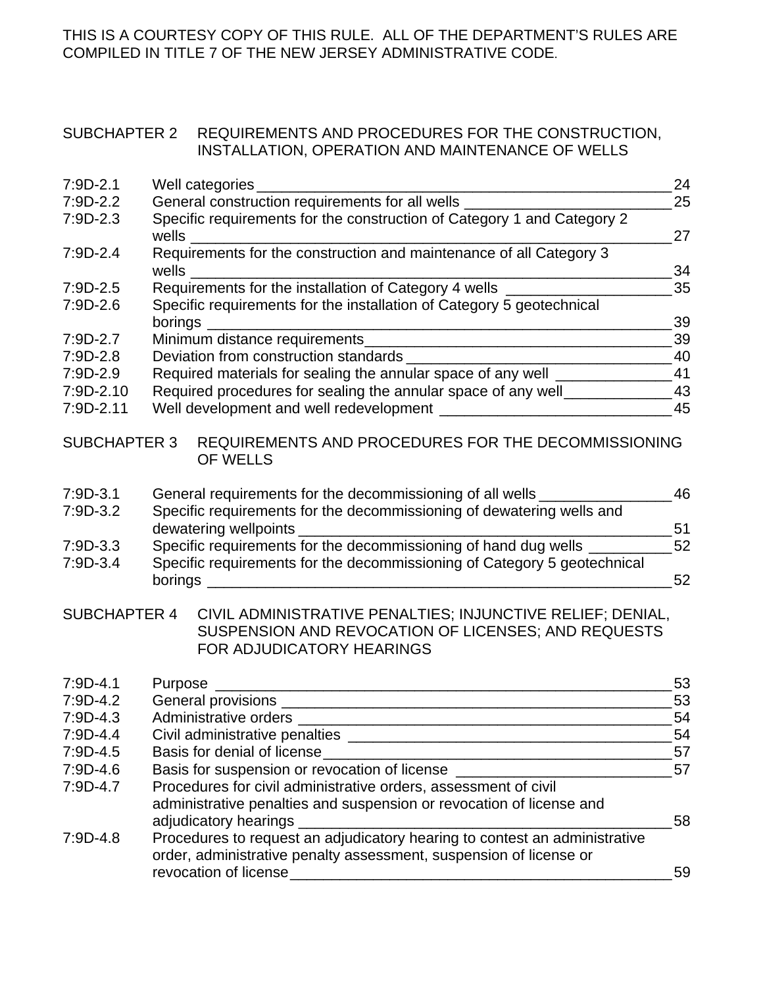#### SUBCHAPTER 2 REQUIREMENTS AND PROCEDURES FOR THE CONSTRUCTION, INSTALLATION, OPERATION AND MAINTENANCE OF WELLS

| $7:9D-2.1$          |         | Well categories _________                                                                                                                       | 24 |
|---------------------|---------|-------------------------------------------------------------------------------------------------------------------------------------------------|----|
| $7:9D-2.2$          |         | General construction requirements for all wells ____                                                                                            | 25 |
| $7:9D-2.3$          |         | Specific requirements for the construction of Category 1 and Category 2                                                                         |    |
|                     |         |                                                                                                                                                 | 27 |
| $7:9D-2.4$          |         | Requirements for the construction and maintenance of all Category 3                                                                             |    |
|                     |         | <b>Wells Example 2008</b>                                                                                                                       | 34 |
| $7:9D-2.5$          |         | Requirements for the installation of Category 4 wells                                                                                           | 35 |
| $7:9D-2.6$          |         | Specific requirements for the installation of Category 5 geotechnical                                                                           |    |
|                     |         | borings ____________________                                                                                                                    | 39 |
| 7:9D-2.7            |         |                                                                                                                                                 | 39 |
| $7:9D-2.8$          |         |                                                                                                                                                 |    |
| $7:9D-2.9$          |         | Required materials for sealing the annular space of any well _________________41                                                                |    |
| 7:9D-2.10           |         | Required procedures for sealing the annular space of any well________                                                                           | 43 |
| 7:9D-2.11           |         |                                                                                                                                                 | 45 |
| <b>SUBCHAPTER 3</b> |         | REQUIREMENTS AND PROCEDURES FOR THE DECOMMISSIONING                                                                                             |    |
|                     |         | <b>OF WELLS</b>                                                                                                                                 |    |
| $7:9D-3.1$          |         | General requirements for the decommissioning of all wells ______                                                                                | 46 |
| $7:9D-3.2$          |         | Specific requirements for the decommissioning of dewatering wells and                                                                           |    |
|                     |         | dewatering wellpoints                                                                                                                           | 51 |
| $7:9D-3.3$          |         | Specific requirements for the decommissioning of hand dug wells ______                                                                          | 52 |
| $7:9D-3.4$          |         | Specific requirements for the decommissioning of Category 5 geotechnical                                                                        |    |
|                     |         |                                                                                                                                                 | 52 |
| <b>SUBCHAPTER 4</b> |         | CIVIL ADMINISTRATIVE PENALTIES; INJUNCTIVE RELIEF; DENIAL,                                                                                      |    |
|                     |         | SUSPENSION AND REVOCATION OF LICENSES; AND REQUESTS                                                                                             |    |
|                     |         | FOR ADJUDICATORY HEARINGS                                                                                                                       |    |
| $7:9D-4.1$          | Purpose |                                                                                                                                                 | 53 |
| $7:9D-4.2$          |         | <u> 1980 - Johann Barn, mars ann an t-Amhainn an t-Amhainn an t-Amhainn an t-Amhainn an t-Amhainn an t-Amhainn an </u>                          | 53 |
| $7:9D-4.3$          |         |                                                                                                                                                 | 54 |
| 7:9D-4.4            |         |                                                                                                                                                 | 54 |
| $7:9D-4.5$          |         | Basis for denial of license_                                                                                                                    | 57 |
| $7:9D-4.6$          |         | <u> 1989 - Johann Stoff, amerikansk politiker (d. 1989)</u><br>Basis for suspension or revocation of license __________________________________ | 57 |
| 7:9D-4.7            |         | Procedures for civil administrative orders, assessment of civil                                                                                 |    |
|                     |         | administrative penalties and suspension or revocation of license and                                                                            |    |
|                     |         | adjudicatory hearings _____                                                                                                                     | 58 |
| $7:9D-4.8$          |         | Procedures to request an adjudicatory hearing to contest an administrative                                                                      |    |
|                     |         | order, administrative penalty assessment, suspension of license or                                                                              |    |
|                     |         |                                                                                                                                                 | 59 |
|                     |         |                                                                                                                                                 |    |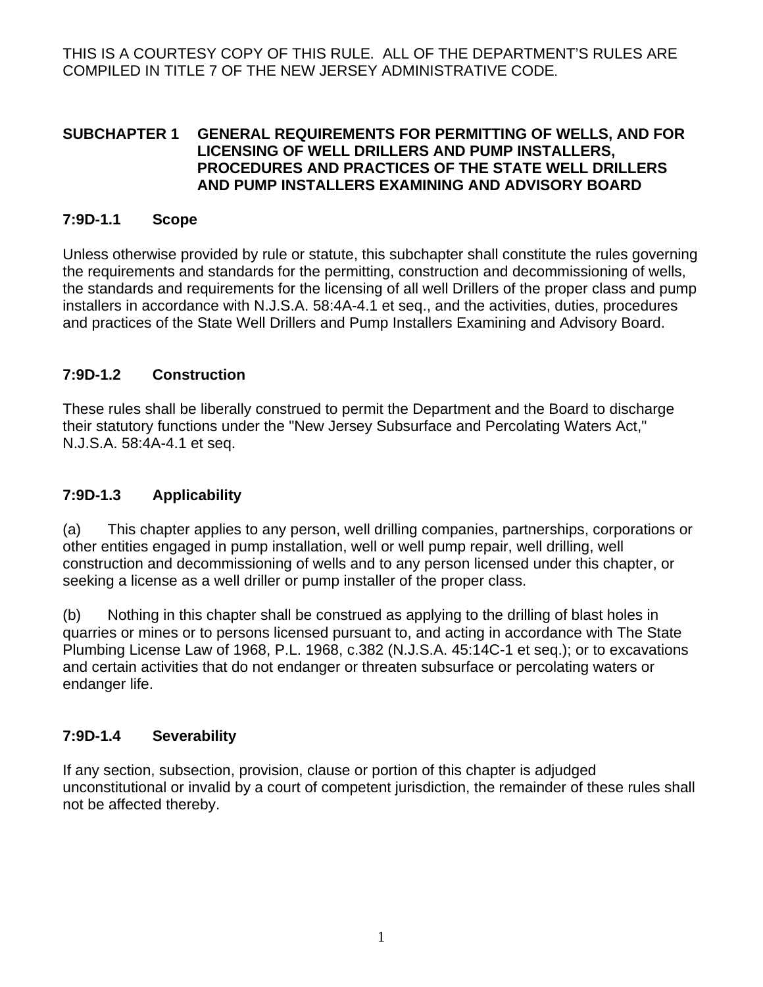#### **SUBCHAPTER 1 GENERAL REQUIREMENTS FOR PERMITTING OF WELLS, AND FOR LICENSING OF WELL DRILLERS AND PUMP INSTALLERS, PROCEDURES AND PRACTICES OF THE STATE WELL DRILLERS AND PUMP INSTALLERS EXAMINING AND ADVISORY BOARD**

#### **7:9D-1.1 Scope**

Unless otherwise provided by rule or statute, this subchapter shall constitute the rules governing the requirements and standards for the permitting, construction and decommissioning of wells, the standards and requirements for the licensing of all well Drillers of the proper class and pump installers in accordance with N.J.S.A. 58:4A-4.1 et seq., and the activities, duties, procedures and practices of the State Well Drillers and Pump Installers Examining and Advisory Board.

#### **7:9D-1.2 Construction**

These rules shall be liberally construed to permit the Department and the Board to discharge their statutory functions under the "New Jersey Subsurface and Percolating Waters Act," N.J.S.A. 58:4A-4.1 et seq.

#### **7:9D-1.3 Applicability**

(a) This chapter applies to any person, well drilling companies, partnerships, corporations or other entities engaged in pump installation, well or well pump repair, well drilling, well construction and decommissioning of wells and to any person licensed under this chapter, or seeking a license as a well driller or pump installer of the proper class.

(b) Nothing in this chapter shall be construed as applying to the drilling of blast holes in quarries or mines or to persons licensed pursuant to, and acting in accordance with The State Plumbing License Law of 1968, P.L. 1968, c.382 (N.J.S.A. 45:14C-1 et seq.); or to excavations and certain activities that do not endanger or threaten subsurface or percolating waters or endanger life.

#### **7:9D-1.4 Severability**

If any section, subsection, provision, clause or portion of this chapter is adjudged unconstitutional or invalid by a court of competent jurisdiction, the remainder of these rules shall not be affected thereby.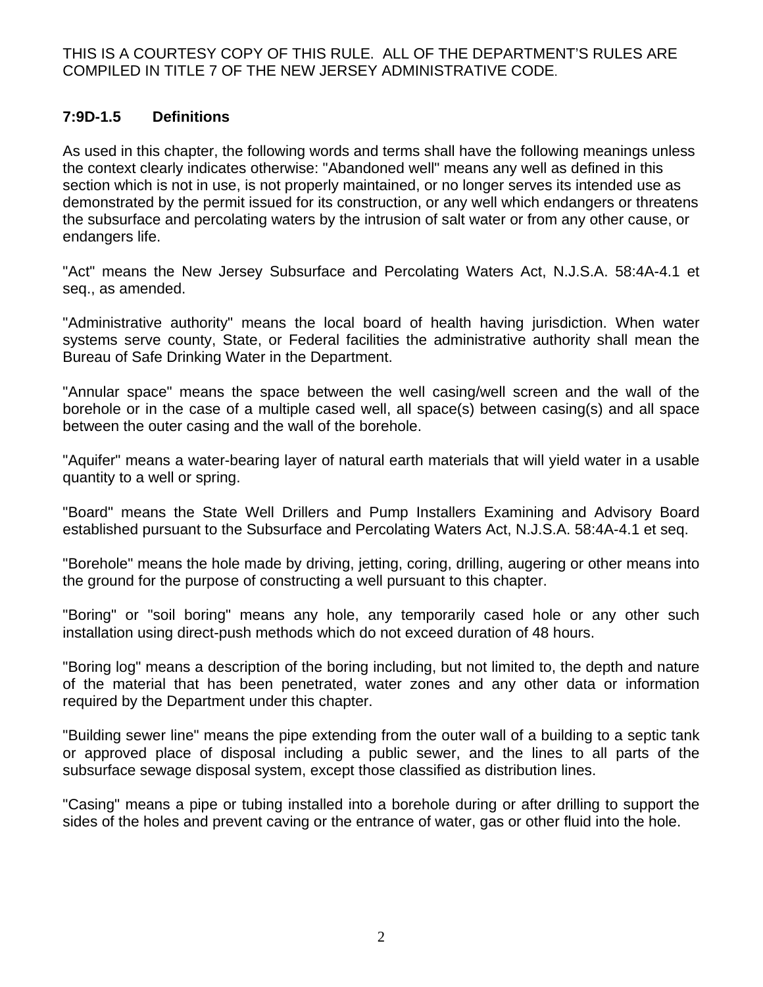## **7:9D-1.5 Definitions**

As used in this chapter, the following words and terms shall have the following meanings unless the context clearly indicates otherwise: "Abandoned well" means any well as defined in this section which is not in use, is not properly maintained, or no longer serves its intended use as demonstrated by the permit issued for its construction, or any well which endangers or threatens the subsurface and percolating waters by the intrusion of salt water or from any other cause, or endangers life.

"Act" means the New Jersey Subsurface and Percolating Waters Act, N.J.S.A. 58:4A-4.1 et seq., as amended.

"Administrative authority" means the local board of health having jurisdiction. When water systems serve county, State, or Federal facilities the administrative authority shall mean the Bureau of Safe Drinking Water in the Department.

"Annular space" means the space between the well casing/well screen and the wall of the borehole or in the case of a multiple cased well, all space(s) between casing(s) and all space between the outer casing and the wall of the borehole.

"Aquifer" means a water-bearing layer of natural earth materials that will yield water in a usable quantity to a well or spring.

"Board" means the State Well Drillers and Pump Installers Examining and Advisory Board established pursuant to the Subsurface and Percolating Waters Act, N.J.S.A. 58:4A-4.1 et seq.

"Borehole" means the hole made by driving, jetting, coring, drilling, augering or other means into the ground for the purpose of constructing a well pursuant to this chapter.

"Boring" or "soil boring" means any hole, any temporarily cased hole or any other such installation using direct-push methods which do not exceed duration of 48 hours.

"Boring log" means a description of the boring including, but not limited to, the depth and nature of the material that has been penetrated, water zones and any other data or information required by the Department under this chapter.

"Building sewer line" means the pipe extending from the outer wall of a building to a septic tank or approved place of disposal including a public sewer, and the lines to all parts of the subsurface sewage disposal system, except those classified as distribution lines.

"Casing" means a pipe or tubing installed into a borehole during or after drilling to support the sides of the holes and prevent caving or the entrance of water, gas or other fluid into the hole.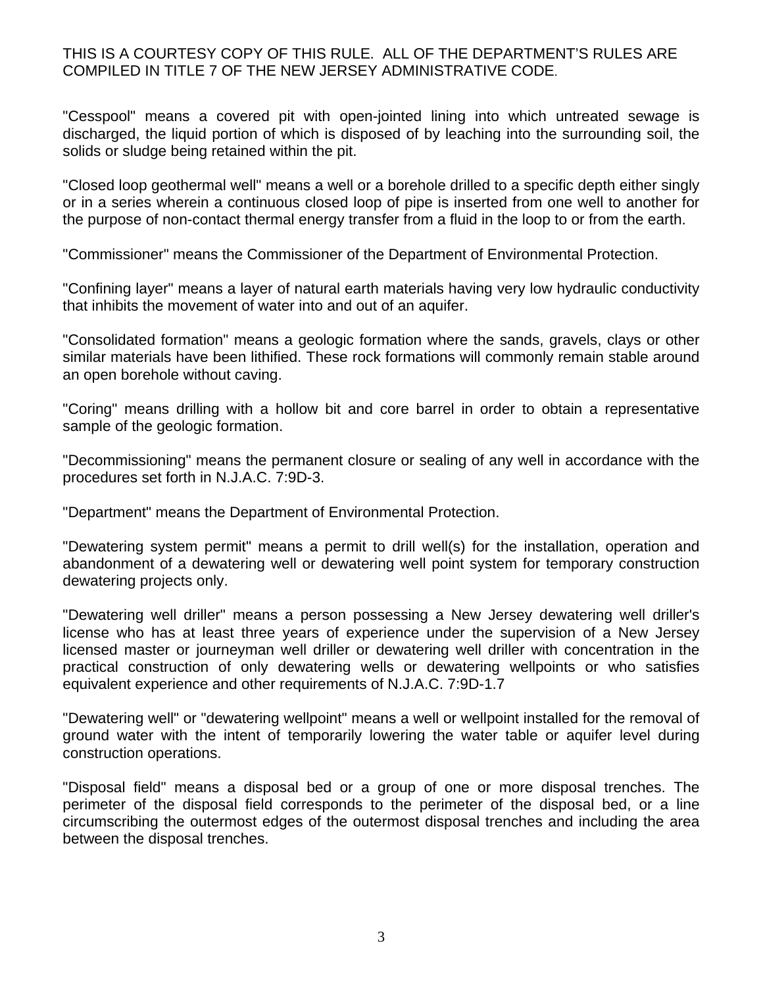"Cesspool" means a covered pit with open-jointed lining into which untreated sewage is discharged, the liquid portion of which is disposed of by leaching into the surrounding soil, the solids or sludge being retained within the pit.

"Closed loop geothermal well" means a well or a borehole drilled to a specific depth either singly or in a series wherein a continuous closed loop of pipe is inserted from one well to another for the purpose of non-contact thermal energy transfer from a fluid in the loop to or from the earth.

"Commissioner" means the Commissioner of the Department of Environmental Protection.

"Confining layer" means a layer of natural earth materials having very low hydraulic conductivity that inhibits the movement of water into and out of an aquifer.

"Consolidated formation" means a geologic formation where the sands, gravels, clays or other similar materials have been lithified. These rock formations will commonly remain stable around an open borehole without caving.

"Coring" means drilling with a hollow bit and core barrel in order to obtain a representative sample of the geologic formation.

"Decommissioning" means the permanent closure or sealing of any well in accordance with the procedures set forth in N.J.A.C. 7:9D-3.

"Department" means the Department of Environmental Protection.

"Dewatering system permit" means a permit to drill well(s) for the installation, operation and abandonment of a dewatering well or dewatering well point system for temporary construction dewatering projects only.

"Dewatering well driller" means a person possessing a New Jersey dewatering well driller's license who has at least three years of experience under the supervision of a New Jersey licensed master or journeyman well driller or dewatering well driller with concentration in the practical construction of only dewatering wells or dewatering wellpoints or who satisfies equivalent experience and other requirements of N.J.A.C. 7:9D-1.7

"Dewatering well" or "dewatering wellpoint" means a well or wellpoint installed for the removal of ground water with the intent of temporarily lowering the water table or aquifer level during construction operations.

"Disposal field" means a disposal bed or a group of one or more disposal trenches. The perimeter of the disposal field corresponds to the perimeter of the disposal bed, or a line circumscribing the outermost edges of the outermost disposal trenches and including the area between the disposal trenches.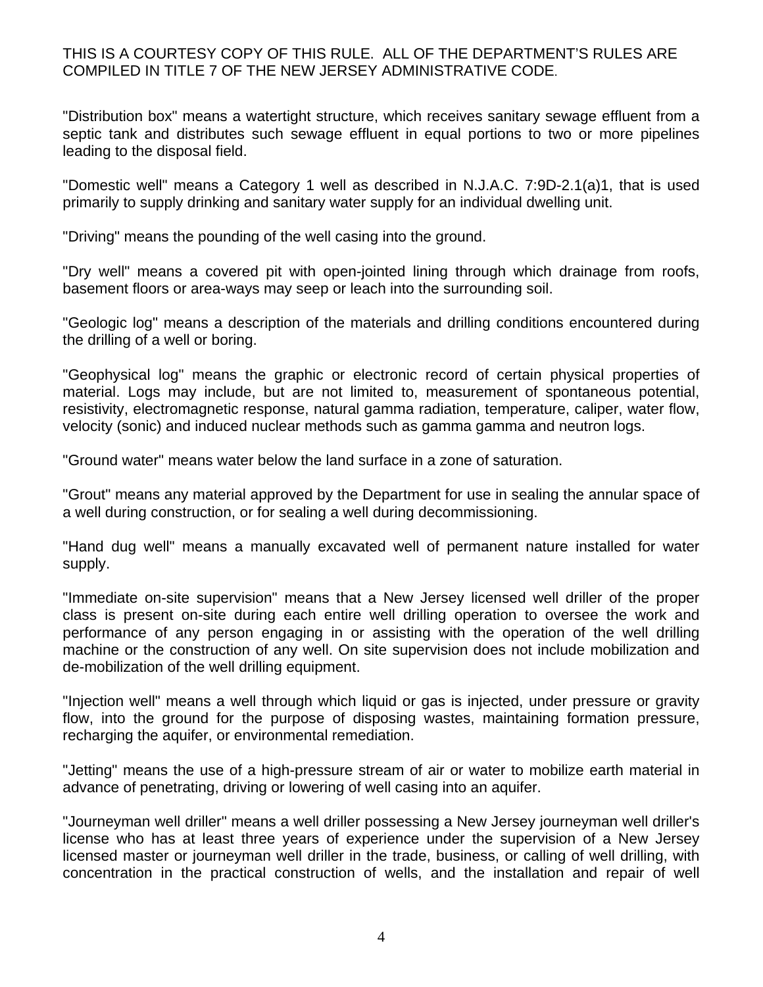"Distribution box" means a watertight structure, which receives sanitary sewage effluent from a septic tank and distributes such sewage effluent in equal portions to two or more pipelines leading to the disposal field.

"Domestic well" means a Category 1 well as described in N.J.A.C. 7:9D-2.1(a)1, that is used primarily to supply drinking and sanitary water supply for an individual dwelling unit.

"Driving" means the pounding of the well casing into the ground.

"Dry well" means a covered pit with open-jointed lining through which drainage from roofs, basement floors or area-ways may seep or leach into the surrounding soil.

"Geologic log" means a description of the materials and drilling conditions encountered during the drilling of a well or boring.

"Geophysical log" means the graphic or electronic record of certain physical properties of material. Logs may include, but are not limited to, measurement of spontaneous potential, resistivity, electromagnetic response, natural gamma radiation, temperature, caliper, water flow, velocity (sonic) and induced nuclear methods such as gamma gamma and neutron logs.

"Ground water" means water below the land surface in a zone of saturation.

"Grout" means any material approved by the Department for use in sealing the annular space of a well during construction, or for sealing a well during decommissioning.

"Hand dug well" means a manually excavated well of permanent nature installed for water supply.

"Immediate on-site supervision" means that a New Jersey licensed well driller of the proper class is present on-site during each entire well drilling operation to oversee the work and performance of any person engaging in or assisting with the operation of the well drilling machine or the construction of any well. On site supervision does not include mobilization and de-mobilization of the well drilling equipment.

"Injection well" means a well through which liquid or gas is injected, under pressure or gravity flow, into the ground for the purpose of disposing wastes, maintaining formation pressure, recharging the aquifer, or environmental remediation.

"Jetting" means the use of a high-pressure stream of air or water to mobilize earth material in advance of penetrating, driving or lowering of well casing into an aquifer.

"Journeyman well driller" means a well driller possessing a New Jersey journeyman well driller's license who has at least three years of experience under the supervision of a New Jersey licensed master or journeyman well driller in the trade, business, or calling of well drilling, with concentration in the practical construction of wells, and the installation and repair of well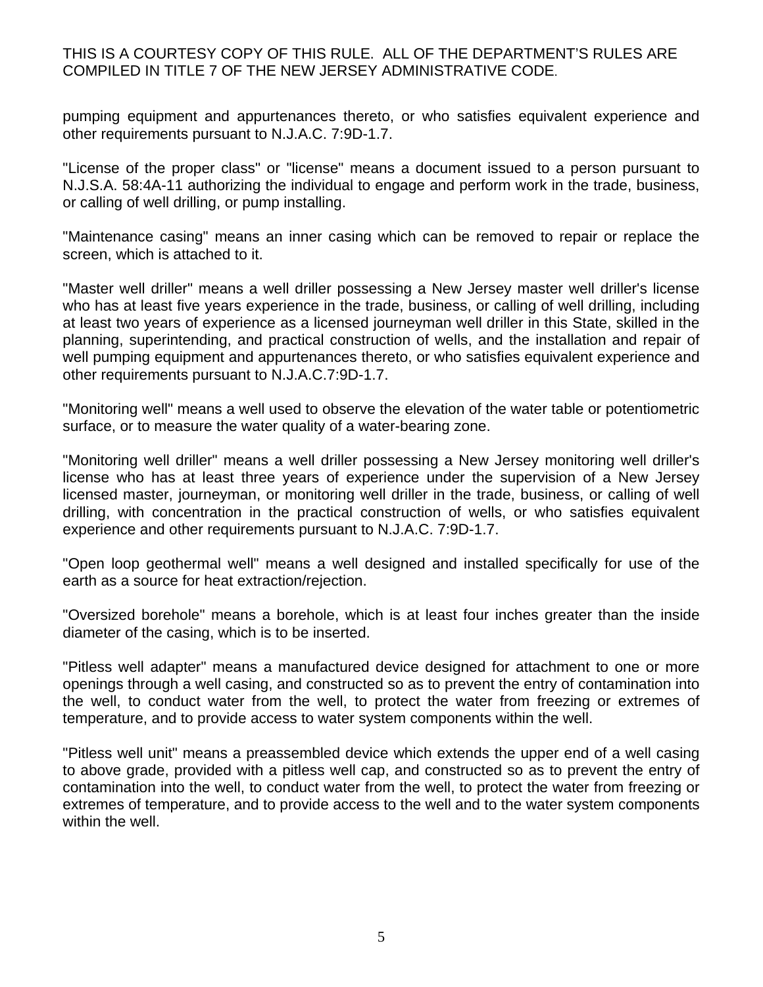pumping equipment and appurtenances thereto, or who satisfies equivalent experience and other requirements pursuant to N.J.A.C. 7:9D-1.7.

"License of the proper class" or "license" means a document issued to a person pursuant to N.J.S.A. 58:4A-11 authorizing the individual to engage and perform work in the trade, business, or calling of well drilling, or pump installing.

"Maintenance casing" means an inner casing which can be removed to repair or replace the screen, which is attached to it.

"Master well driller" means a well driller possessing a New Jersey master well driller's license who has at least five years experience in the trade, business, or calling of well drilling, including at least two years of experience as a licensed journeyman well driller in this State, skilled in the planning, superintending, and practical construction of wells, and the installation and repair of well pumping equipment and appurtenances thereto, or who satisfies equivalent experience and other requirements pursuant to N.J.A.C.7:9D-1.7.

"Monitoring well" means a well used to observe the elevation of the water table or potentiometric surface, or to measure the water quality of a water-bearing zone.

"Monitoring well driller" means a well driller possessing a New Jersey monitoring well driller's license who has at least three years of experience under the supervision of a New Jersey licensed master, journeyman, or monitoring well driller in the trade, business, or calling of well drilling, with concentration in the practical construction of wells, or who satisfies equivalent experience and other requirements pursuant to N.J.A.C. 7:9D-1.7.

"Open loop geothermal well" means a well designed and installed specifically for use of the earth as a source for heat extraction/rejection.

"Oversized borehole" means a borehole, which is at least four inches greater than the inside diameter of the casing, which is to be inserted.

"Pitless well adapter" means a manufactured device designed for attachment to one or more openings through a well casing, and constructed so as to prevent the entry of contamination into the well, to conduct water from the well, to protect the water from freezing or extremes of temperature, and to provide access to water system components within the well.

"Pitless well unit" means a preassembled device which extends the upper end of a well casing to above grade, provided with a pitless well cap, and constructed so as to prevent the entry of contamination into the well, to conduct water from the well, to protect the water from freezing or extremes of temperature, and to provide access to the well and to the water system components within the well.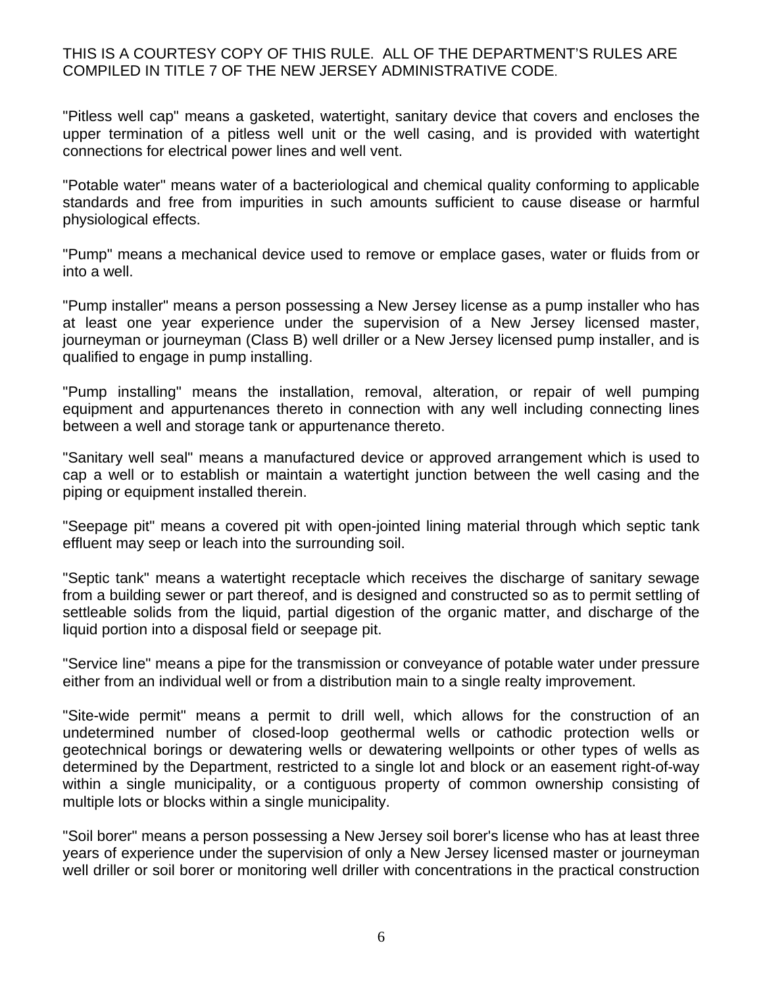"Pitless well cap" means a gasketed, watertight, sanitary device that covers and encloses the upper termination of a pitless well unit or the well casing, and is provided with watertight connections for electrical power lines and well vent.

"Potable water" means water of a bacteriological and chemical quality conforming to applicable standards and free from impurities in such amounts sufficient to cause disease or harmful physiological effects.

"Pump" means a mechanical device used to remove or emplace gases, water or fluids from or into a well.

"Pump installer" means a person possessing a New Jersey license as a pump installer who has at least one year experience under the supervision of a New Jersey licensed master, journeyman or journeyman (Class B) well driller or a New Jersey licensed pump installer, and is qualified to engage in pump installing.

"Pump installing" means the installation, removal, alteration, or repair of well pumping equipment and appurtenances thereto in connection with any well including connecting lines between a well and storage tank or appurtenance thereto.

"Sanitary well seal" means a manufactured device or approved arrangement which is used to cap a well or to establish or maintain a watertight junction between the well casing and the piping or equipment installed therein.

"Seepage pit" means a covered pit with open-jointed lining material through which septic tank effluent may seep or leach into the surrounding soil.

"Septic tank" means a watertight receptacle which receives the discharge of sanitary sewage from a building sewer or part thereof, and is designed and constructed so as to permit settling of settleable solids from the liquid, partial digestion of the organic matter, and discharge of the liquid portion into a disposal field or seepage pit.

"Service line" means a pipe for the transmission or conveyance of potable water under pressure either from an individual well or from a distribution main to a single realty improvement.

"Site-wide permit" means a permit to drill well, which allows for the construction of an undetermined number of closed-loop geothermal wells or cathodic protection wells or geotechnical borings or dewatering wells or dewatering wellpoints or other types of wells as determined by the Department, restricted to a single lot and block or an easement right-of-way within a single municipality, or a contiguous property of common ownership consisting of multiple lots or blocks within a single municipality.

"Soil borer" means a person possessing a New Jersey soil borer's license who has at least three years of experience under the supervision of only a New Jersey licensed master or journeyman well driller or soil borer or monitoring well driller with concentrations in the practical construction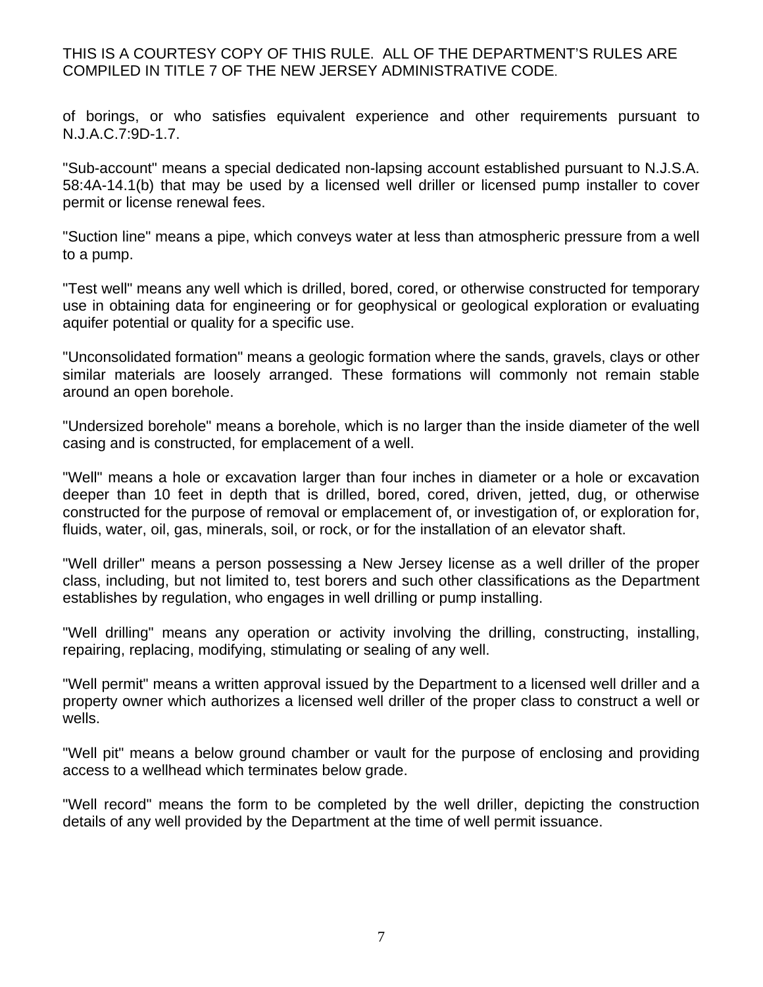of borings, or who satisfies equivalent experience and other requirements pursuant to N.J.A.C.7:9D-1.7.

"Sub-account" means a special dedicated non-lapsing account established pursuant to N.J.S.A. 58:4A-14.1(b) that may be used by a licensed well driller or licensed pump installer to cover permit or license renewal fees.

"Suction line" means a pipe, which conveys water at less than atmospheric pressure from a well to a pump.

"Test well" means any well which is drilled, bored, cored, or otherwise constructed for temporary use in obtaining data for engineering or for geophysical or geological exploration or evaluating aquifer potential or quality for a specific use.

"Unconsolidated formation" means a geologic formation where the sands, gravels, clays or other similar materials are loosely arranged. These formations will commonly not remain stable around an open borehole.

"Undersized borehole" means a borehole, which is no larger than the inside diameter of the well casing and is constructed, for emplacement of a well.

"Well" means a hole or excavation larger than four inches in diameter or a hole or excavation deeper than 10 feet in depth that is drilled, bored, cored, driven, jetted, dug, or otherwise constructed for the purpose of removal or emplacement of, or investigation of, or exploration for, fluids, water, oil, gas, minerals, soil, or rock, or for the installation of an elevator shaft.

"Well driller" means a person possessing a New Jersey license as a well driller of the proper class, including, but not limited to, test borers and such other classifications as the Department establishes by regulation, who engages in well drilling or pump installing.

"Well drilling" means any operation or activity involving the drilling, constructing, installing, repairing, replacing, modifying, stimulating or sealing of any well.

"Well permit" means a written approval issued by the Department to a licensed well driller and a property owner which authorizes a licensed well driller of the proper class to construct a well or wells.

"Well pit" means a below ground chamber or vault for the purpose of enclosing and providing access to a wellhead which terminates below grade.

"Well record" means the form to be completed by the well driller, depicting the construction details of any well provided by the Department at the time of well permit issuance.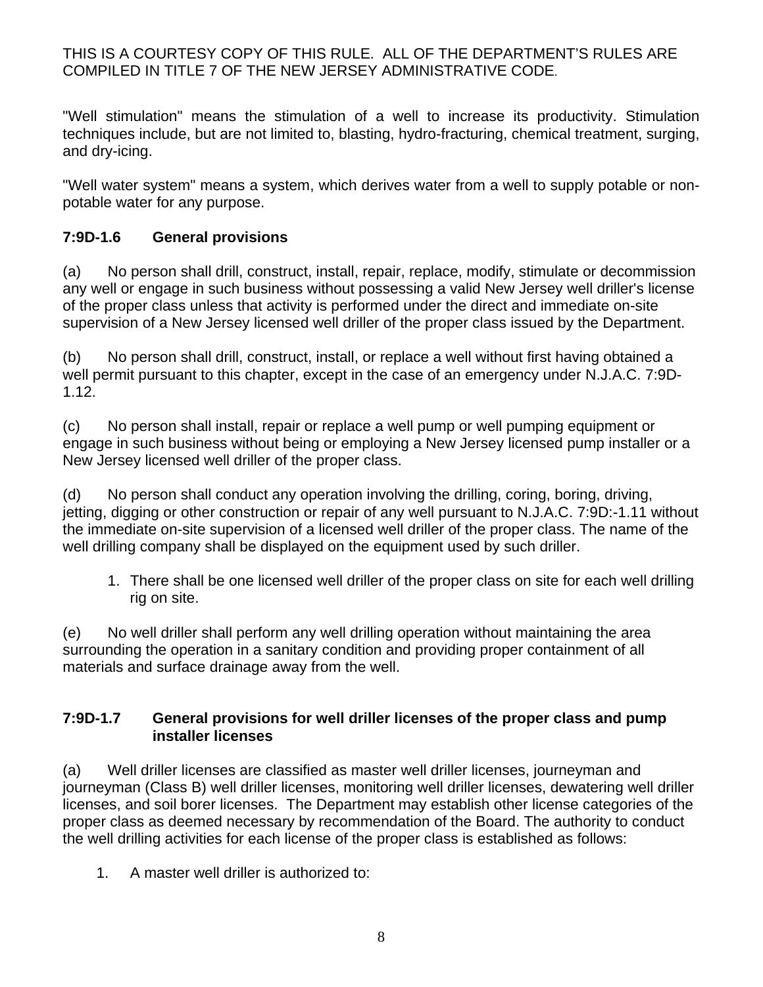"Well stimulation" means the stimulation of a well to increase its productivity. Stimulation techniques include, but are not limited to, blasting, hydro-fracturing, chemical treatment, surging, and dry-icing.

"Well water system" means a system, which derives water from a well to supply potable or nonpotable water for any purpose.

# **7:9D-1.6 General provisions**

(a) No person shall drill, construct, install, repair, replace, modify, stimulate or decommission any well or engage in such business without possessing a valid New Jersey well driller's license of the proper class unless that activity is performed under the direct and immediate on-site supervision of a New Jersey licensed well driller of the proper class issued by the Department.

(b) No person shall drill, construct, install, or replace a well without first having obtained a well permit pursuant to this chapter, except in the case of an emergency under N.J.A.C. 7:9D-1.12.

(c) No person shall install, repair or replace a well pump or well pumping equipment or engage in such business without being or employing a New Jersey licensed pump installer or a New Jersey licensed well driller of the proper class.

(d) No person shall conduct any operation involving the drilling, coring, boring, driving, jetting, digging or other construction or repair of any well pursuant to N.J.A.C. 7:9D:-1.11 without the immediate on-site supervision of a licensed well driller of the proper class. The name of the well drilling company shall be displayed on the equipment used by such driller.

1. There shall be one licensed well driller of the proper class on site for each well drilling rig on site.

(e) No well driller shall perform any well drilling operation without maintaining the area surrounding the operation in a sanitary condition and providing proper containment of all materials and surface drainage away from the well.

#### **7:9D-1.7 General provisions for well driller licenses of the proper class and pump installer licenses**

(a) Well driller licenses are classified as master well driller licenses, journeyman and journeyman (Class B) well driller licenses, monitoring well driller licenses, dewatering well driller licenses, and soil borer licenses. The Department may establish other license categories of the proper class as deemed necessary by recommendation of the Board. The authority to conduct the well drilling activities for each license of the proper class is established as follows:

1. A master well driller is authorized to: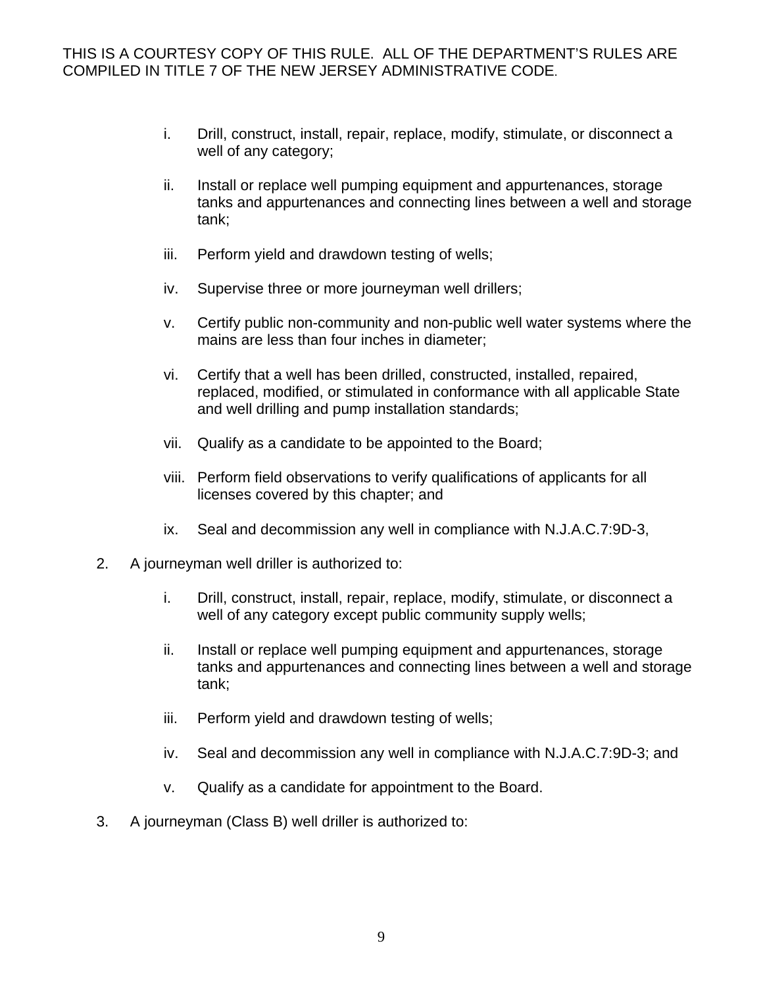- i. Drill, construct, install, repair, replace, modify, stimulate, or disconnect a well of any category;
- ii. Install or replace well pumping equipment and appurtenances, storage tanks and appurtenances and connecting lines between a well and storage tank;
- iii. Perform yield and drawdown testing of wells;
- iv. Supervise three or more journeyman well drillers;
- v. Certify public non-community and non-public well water systems where the mains are less than four inches in diameter;
- vi. Certify that a well has been drilled, constructed, installed, repaired, replaced, modified, or stimulated in conformance with all applicable State and well drilling and pump installation standards;
- vii. Qualify as a candidate to be appointed to the Board;
- viii. Perform field observations to verify qualifications of applicants for all licenses covered by this chapter; and
- ix. Seal and decommission any well in compliance with N.J.A.C.7:9D-3,
- 2. A journeyman well driller is authorized to:
	- i. Drill, construct, install, repair, replace, modify, stimulate, or disconnect a well of any category except public community supply wells;
	- ii. Install or replace well pumping equipment and appurtenances, storage tanks and appurtenances and connecting lines between a well and storage tank;
	- iii. Perform yield and drawdown testing of wells;
	- iv. Seal and decommission any well in compliance with N.J.A.C.7:9D-3; and
	- v. Qualify as a candidate for appointment to the Board.
- 3. A journeyman (Class B) well driller is authorized to: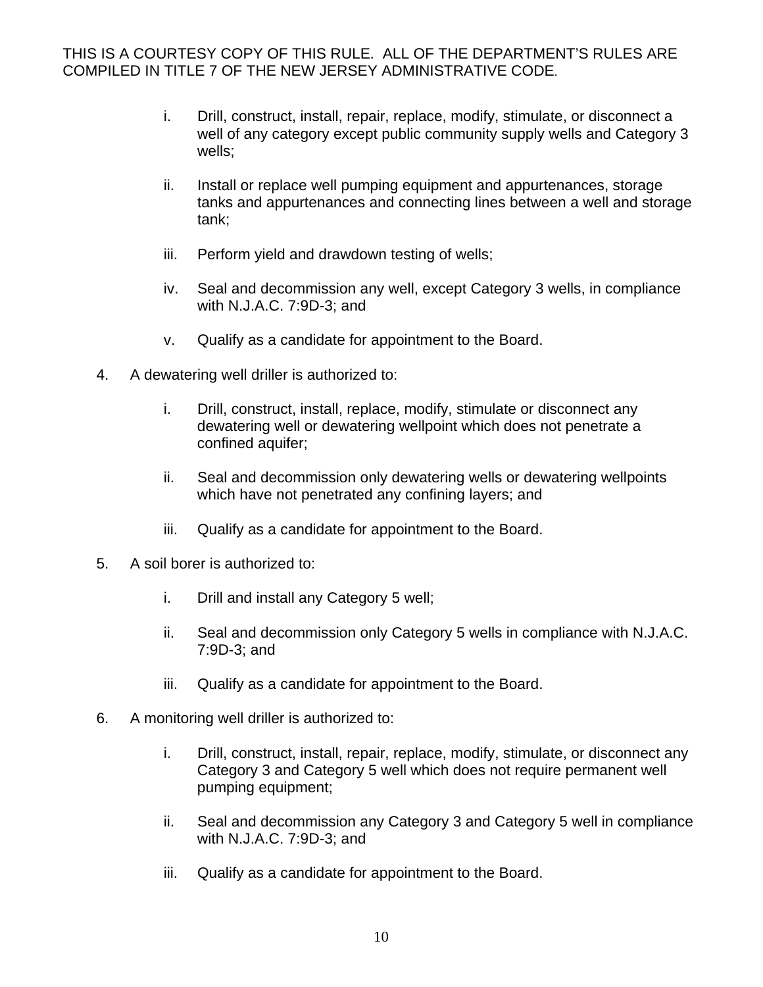- i. Drill, construct, install, repair, replace, modify, stimulate, or disconnect a well of any category except public community supply wells and Category 3 wells;
- ii. Install or replace well pumping equipment and appurtenances, storage tanks and appurtenances and connecting lines between a well and storage tank;
- iii. Perform yield and drawdown testing of wells;
- iv. Seal and decommission any well, except Category 3 wells, in compliance with N.J.A.C. 7:9D-3; and
- v. Qualify as a candidate for appointment to the Board.
- 4. A dewatering well driller is authorized to:
	- i. Drill, construct, install, replace, modify, stimulate or disconnect any dewatering well or dewatering wellpoint which does not penetrate a confined aquifer;
	- ii. Seal and decommission only dewatering wells or dewatering wellpoints which have not penetrated any confining layers; and
	- iii. Qualify as a candidate for appointment to the Board.
- 5. A soil borer is authorized to:
	- i. Drill and install any Category 5 well;
	- ii. Seal and decommission only Category 5 wells in compliance with N.J.A.C. 7:9D-3; and
	- iii. Qualify as a candidate for appointment to the Board.
- 6. A monitoring well driller is authorized to:
	- i. Drill, construct, install, repair, replace, modify, stimulate, or disconnect any Category 3 and Category 5 well which does not require permanent well pumping equipment;
	- ii. Seal and decommission any Category 3 and Category 5 well in compliance with N.J.A.C. 7:9D-3; and
	- iii. Qualify as a candidate for appointment to the Board.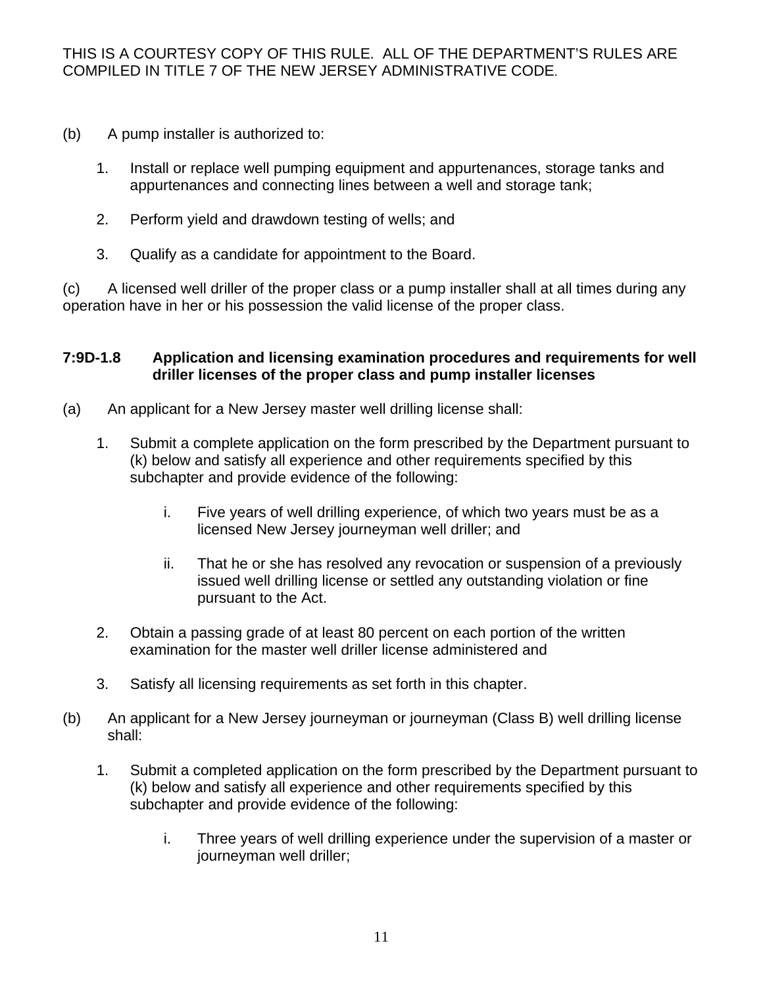- (b) A pump installer is authorized to:
	- 1. Install or replace well pumping equipment and appurtenances, storage tanks and appurtenances and connecting lines between a well and storage tank;
	- 2. Perform yield and drawdown testing of wells; and
	- 3. Qualify as a candidate for appointment to the Board.

(c) A licensed well driller of the proper class or a pump installer shall at all times during any operation have in her or his possession the valid license of the proper class.

#### **7:9D-1.8 Application and licensing examination procedures and requirements for well driller licenses of the proper class and pump installer licenses**

- (a) An applicant for a New Jersey master well drilling license shall:
	- 1. Submit a complete application on the form prescribed by the Department pursuant to (k) below and satisfy all experience and other requirements specified by this subchapter and provide evidence of the following:
		- i. Five years of well drilling experience, of which two years must be as a licensed New Jersey journeyman well driller; and
		- ii. That he or she has resolved any revocation or suspension of a previously issued well drilling license or settled any outstanding violation or fine pursuant to the Act.
	- 2. Obtain a passing grade of at least 80 percent on each portion of the written examination for the master well driller license administered and
	- 3. Satisfy all licensing requirements as set forth in this chapter.
- (b) An applicant for a New Jersey journeyman or journeyman (Class B) well drilling license shall:
	- 1. Submit a completed application on the form prescribed by the Department pursuant to (k) below and satisfy all experience and other requirements specified by this subchapter and provide evidence of the following:
		- i. Three years of well drilling experience under the supervision of a master or journeyman well driller;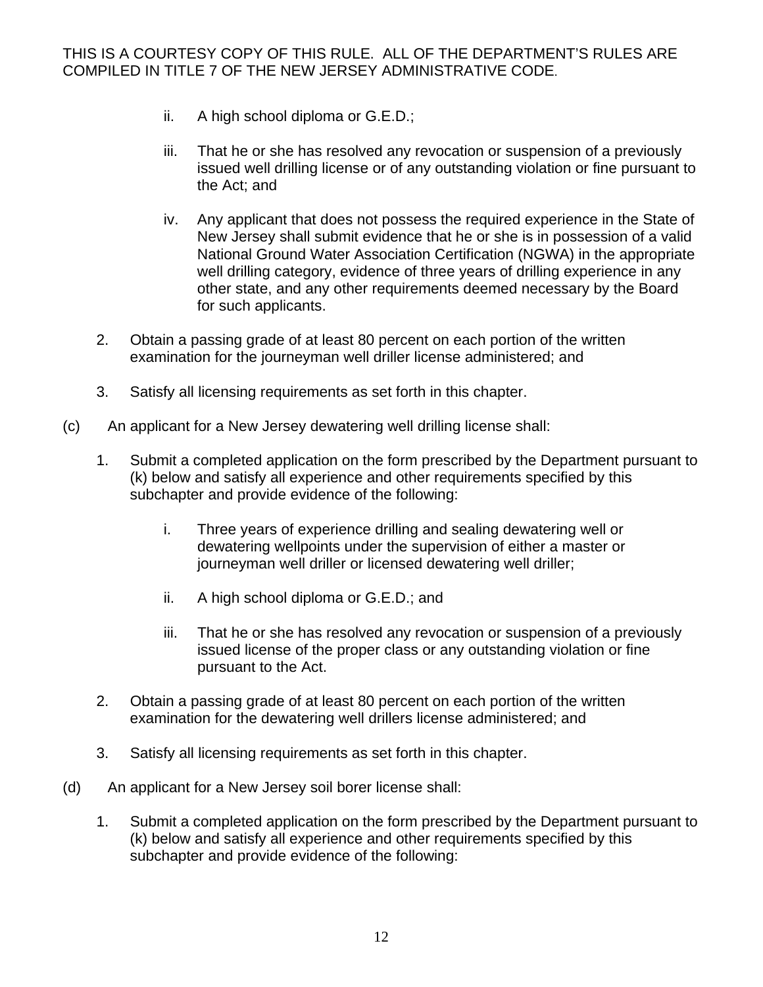- ii. A high school diploma or G.E.D.;
- iii. That he or she has resolved any revocation or suspension of a previously issued well drilling license or of any outstanding violation or fine pursuant to the Act; and
- iv. Any applicant that does not possess the required experience in the State of New Jersey shall submit evidence that he or she is in possession of a valid National Ground Water Association Certification (NGWA) in the appropriate well drilling category, evidence of three years of drilling experience in any other state, and any other requirements deemed necessary by the Board for such applicants.
- 2. Obtain a passing grade of at least 80 percent on each portion of the written examination for the journeyman well driller license administered; and
- 3. Satisfy all licensing requirements as set forth in this chapter.
- (c) An applicant for a New Jersey dewatering well drilling license shall:
	- 1. Submit a completed application on the form prescribed by the Department pursuant to (k) below and satisfy all experience and other requirements specified by this subchapter and provide evidence of the following:
		- i. Three years of experience drilling and sealing dewatering well or dewatering wellpoints under the supervision of either a master or journeyman well driller or licensed dewatering well driller;
		- ii. A high school diploma or G.E.D.; and
		- iii. That he or she has resolved any revocation or suspension of a previously issued license of the proper class or any outstanding violation or fine pursuant to the Act.
	- 2. Obtain a passing grade of at least 80 percent on each portion of the written examination for the dewatering well drillers license administered; and
	- 3. Satisfy all licensing requirements as set forth in this chapter.
- (d) An applicant for a New Jersey soil borer license shall:
	- 1. Submit a completed application on the form prescribed by the Department pursuant to (k) below and satisfy all experience and other requirements specified by this subchapter and provide evidence of the following: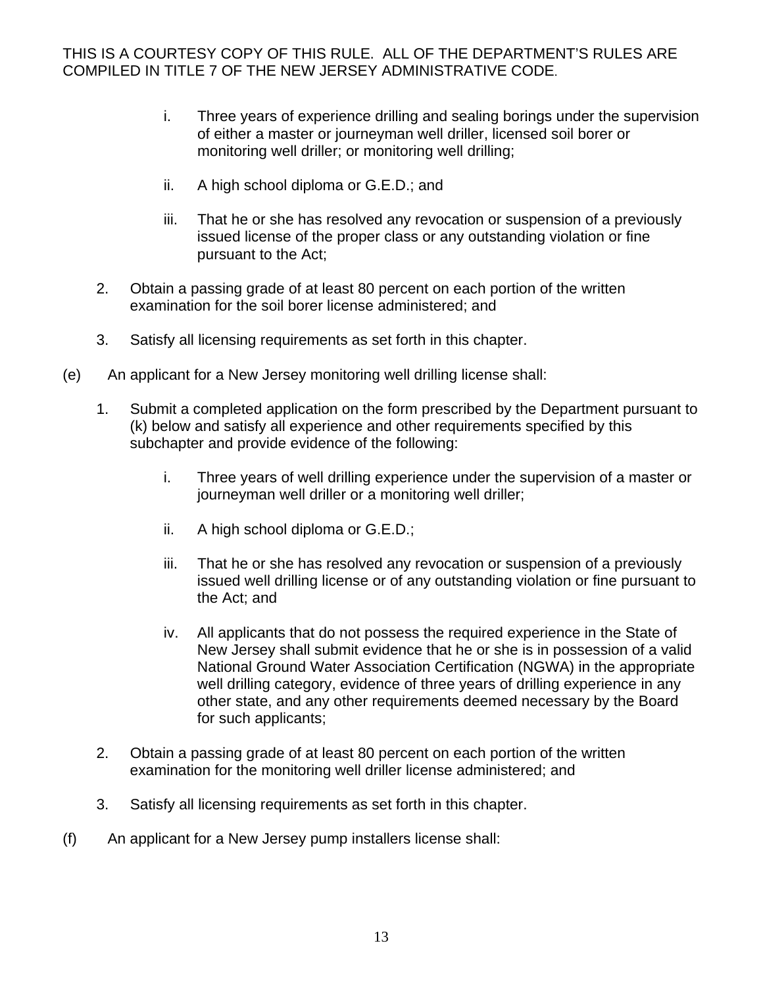- i. Three years of experience drilling and sealing borings under the supervision of either a master or journeyman well driller, licensed soil borer or monitoring well driller; or monitoring well drilling;
- ii. A high school diploma or G.E.D.; and
- iii. That he or she has resolved any revocation or suspension of a previously issued license of the proper class or any outstanding violation or fine pursuant to the Act;
- 2. Obtain a passing grade of at least 80 percent on each portion of the written examination for the soil borer license administered; and
- 3. Satisfy all licensing requirements as set forth in this chapter.
- (e) An applicant for a New Jersey monitoring well drilling license shall:
	- 1. Submit a completed application on the form prescribed by the Department pursuant to (k) below and satisfy all experience and other requirements specified by this subchapter and provide evidence of the following:
		- i. Three years of well drilling experience under the supervision of a master or journeyman well driller or a monitoring well driller;
		- ii. A high school diploma or G.E.D.;
		- iii. That he or she has resolved any revocation or suspension of a previously issued well drilling license or of any outstanding violation or fine pursuant to the Act; and
		- iv. All applicants that do not possess the required experience in the State of New Jersey shall submit evidence that he or she is in possession of a valid National Ground Water Association Certification (NGWA) in the appropriate well drilling category, evidence of three years of drilling experience in any other state, and any other requirements deemed necessary by the Board for such applicants;
	- 2. Obtain a passing grade of at least 80 percent on each portion of the written examination for the monitoring well driller license administered; and
	- 3. Satisfy all licensing requirements as set forth in this chapter.
- (f) An applicant for a New Jersey pump installers license shall: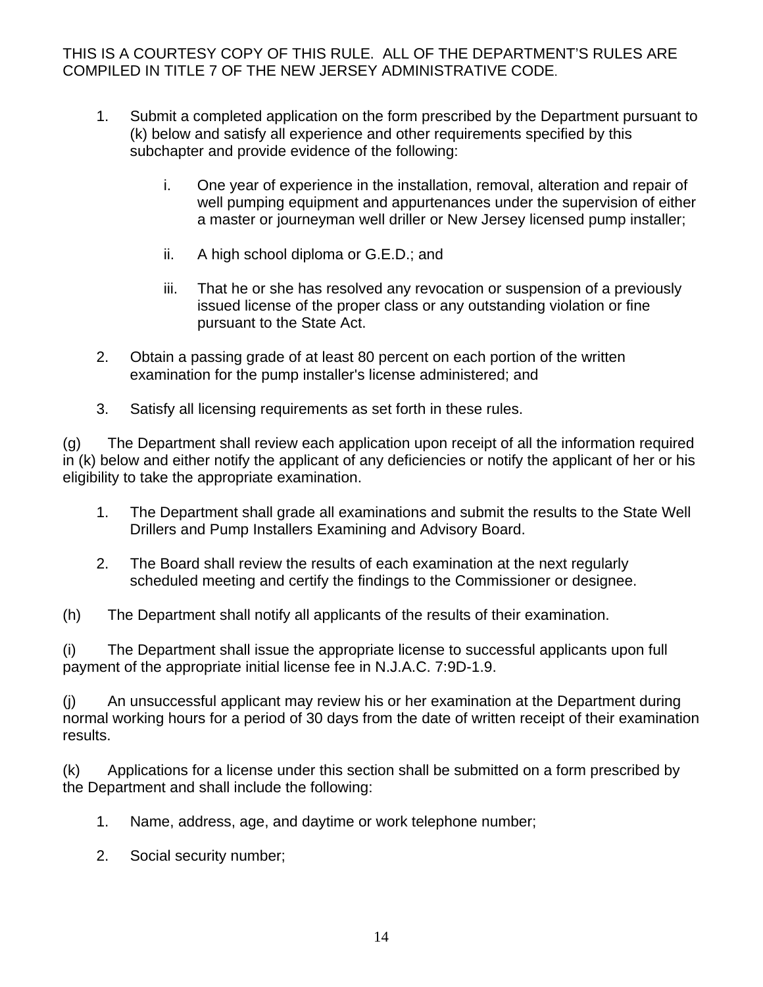- 1. Submit a completed application on the form prescribed by the Department pursuant to (k) below and satisfy all experience and other requirements specified by this subchapter and provide evidence of the following:
	- i. One year of experience in the installation, removal, alteration and repair of well pumping equipment and appurtenances under the supervision of either a master or journeyman well driller or New Jersey licensed pump installer;
	- ii. A high school diploma or G.E.D.; and
	- iii. That he or she has resolved any revocation or suspension of a previously issued license of the proper class or any outstanding violation or fine pursuant to the State Act.
- 2. Obtain a passing grade of at least 80 percent on each portion of the written examination for the pump installer's license administered; and
- 3. Satisfy all licensing requirements as set forth in these rules.

(g) The Department shall review each application upon receipt of all the information required in (k) below and either notify the applicant of any deficiencies or notify the applicant of her or his eligibility to take the appropriate examination.

- 1. The Department shall grade all examinations and submit the results to the State Well Drillers and Pump Installers Examining and Advisory Board.
- 2. The Board shall review the results of each examination at the next regularly scheduled meeting and certify the findings to the Commissioner or designee.
- (h) The Department shall notify all applicants of the results of their examination.

(i) The Department shall issue the appropriate license to successful applicants upon full payment of the appropriate initial license fee in N.J.A.C. 7:9D-1.9.

(j) An unsuccessful applicant may review his or her examination at the Department during normal working hours for a period of 30 days from the date of written receipt of their examination results.

(k) Applications for a license under this section shall be submitted on a form prescribed by the Department and shall include the following:

- 1. Name, address, age, and daytime or work telephone number;
- 2. Social security number;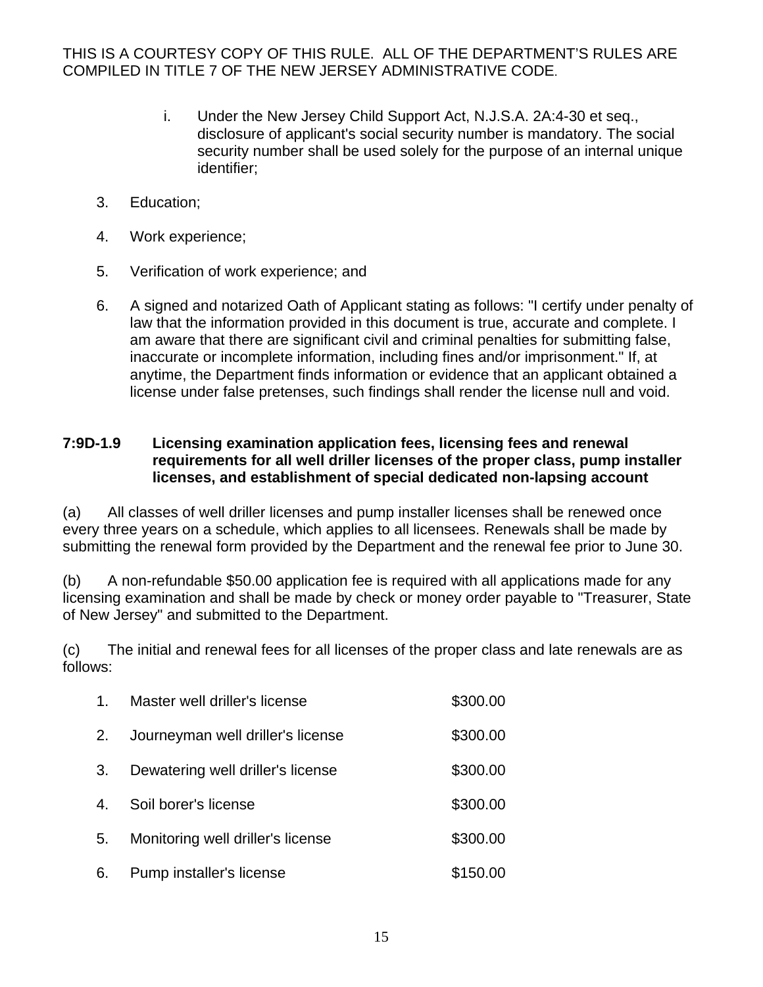- i. Under the New Jersey Child Support Act, N.J.S.A. 2A:4-30 et seq., disclosure of applicant's social security number is mandatory. The social security number shall be used solely for the purpose of an internal unique identifier;
- 3. Education;
- 4. Work experience;
- 5. Verification of work experience; and
- 6. A signed and notarized Oath of Applicant stating as follows: "I certify under penalty of law that the information provided in this document is true, accurate and complete. I am aware that there are significant civil and criminal penalties for submitting false, inaccurate or incomplete information, including fines and/or imprisonment." If, at anytime, the Department finds information or evidence that an applicant obtained a license under false pretenses, such findings shall render the license null and void.

#### **7:9D-1.9 Licensing examination application fees, licensing fees and renewal requirements for all well driller licenses of the proper class, pump installer licenses, and establishment of special dedicated non-lapsing account**

(a) All classes of well driller licenses and pump installer licenses shall be renewed once every three years on a schedule, which applies to all licensees. Renewals shall be made by submitting the renewal form provided by the Department and the renewal fee prior to June 30.

(b) A non-refundable \$50.00 application fee is required with all applications made for any licensing examination and shall be made by check or money order payable to "Treasurer, State of New Jersey" and submitted to the Department.

(c) The initial and renewal fees for all licenses of the proper class and late renewals are as follows:

| $1_{-}$ | Master well driller's license     | \$300.00 |
|---------|-----------------------------------|----------|
| 2.      | Journeyman well driller's license | \$300.00 |
| 3.      | Dewatering well driller's license | \$300.00 |
| 4.      | Soil borer's license              | \$300.00 |
| 5.      | Monitoring well driller's license | \$300.00 |
| 6.      | Pump installer's license          | \$150.00 |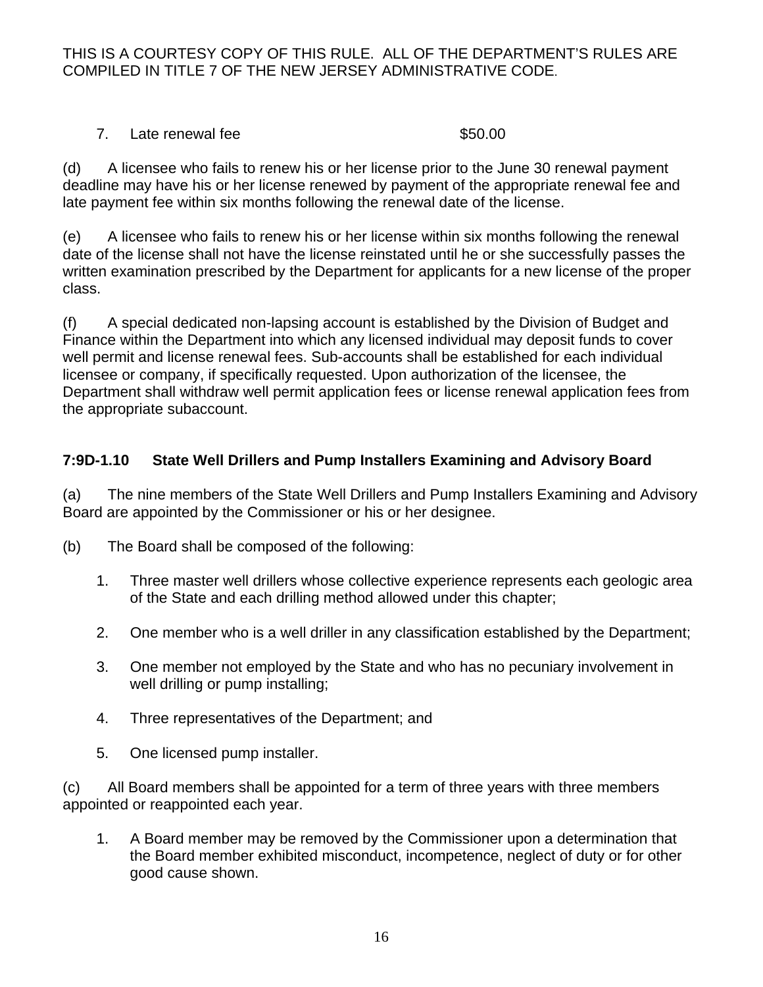#### 7. Late renewal fee \$50.00

(d) A licensee who fails to renew his or her license prior to the June 30 renewal payment deadline may have his or her license renewed by payment of the appropriate renewal fee and late payment fee within six months following the renewal date of the license.

(e) A licensee who fails to renew his or her license within six months following the renewal date of the license shall not have the license reinstated until he or she successfully passes the written examination prescribed by the Department for applicants for a new license of the proper class.

(f) A special dedicated non-lapsing account is established by the Division of Budget and Finance within the Department into which any licensed individual may deposit funds to cover well permit and license renewal fees. Sub-accounts shall be established for each individual licensee or company, if specifically requested. Upon authorization of the licensee, the Department shall withdraw well permit application fees or license renewal application fees from the appropriate subaccount.

# **7:9D-1.10 State Well Drillers and Pump Installers Examining and Advisory Board**

(a) The nine members of the State Well Drillers and Pump Installers Examining and Advisory Board are appointed by the Commissioner or his or her designee.

- (b) The Board shall be composed of the following:
	- 1. Three master well drillers whose collective experience represents each geologic area of the State and each drilling method allowed under this chapter;
	- 2. One member who is a well driller in any classification established by the Department;
	- 3. One member not employed by the State and who has no pecuniary involvement in well drilling or pump installing;
	- 4. Three representatives of the Department; and
	- 5. One licensed pump installer.

(c) All Board members shall be appointed for a term of three years with three members appointed or reappointed each year.

1. A Board member may be removed by the Commissioner upon a determination that the Board member exhibited misconduct, incompetence, neglect of duty or for other good cause shown.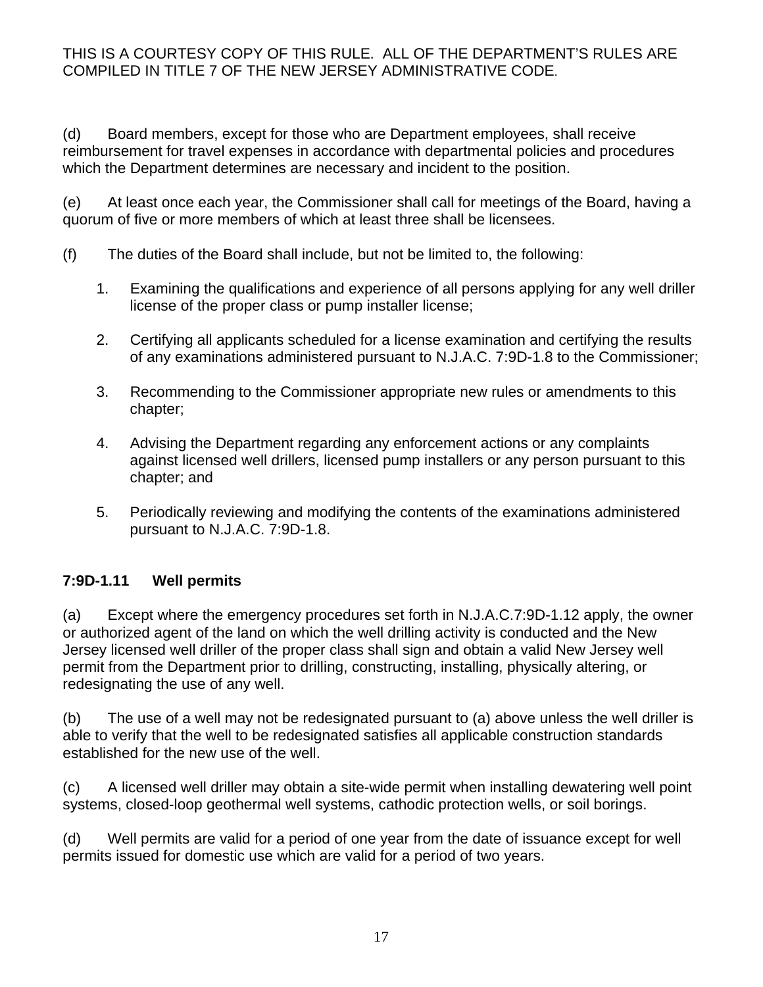(d) Board members, except for those who are Department employees, shall receive reimbursement for travel expenses in accordance with departmental policies and procedures which the Department determines are necessary and incident to the position.

(e) At least once each year, the Commissioner shall call for meetings of the Board, having a quorum of five or more members of which at least three shall be licensees.

- (f) The duties of the Board shall include, but not be limited to, the following:
	- 1. Examining the qualifications and experience of all persons applying for any well driller license of the proper class or pump installer license;
	- 2. Certifying all applicants scheduled for a license examination and certifying the results of any examinations administered pursuant to N.J.A.C. 7:9D-1.8 to the Commissioner;
	- 3. Recommending to the Commissioner appropriate new rules or amendments to this chapter;
	- 4. Advising the Department regarding any enforcement actions or any complaints against licensed well drillers, licensed pump installers or any person pursuant to this chapter; and
	- 5. Periodically reviewing and modifying the contents of the examinations administered pursuant to N.J.A.C. 7:9D-1.8.

# **7:9D-1.11 Well permits**

(a) Except where the emergency procedures set forth in N.J.A.C.7:9D-1.12 apply, the owner or authorized agent of the land on which the well drilling activity is conducted and the New Jersey licensed well driller of the proper class shall sign and obtain a valid New Jersey well permit from the Department prior to drilling, constructing, installing, physically altering, or redesignating the use of any well.

(b) The use of a well may not be redesignated pursuant to (a) above unless the well driller is able to verify that the well to be redesignated satisfies all applicable construction standards established for the new use of the well.

(c) A licensed well driller may obtain a site-wide permit when installing dewatering well point systems, closed-loop geothermal well systems, cathodic protection wells, or soil borings.

(d) Well permits are valid for a period of one year from the date of issuance except for well permits issued for domestic use which are valid for a period of two years.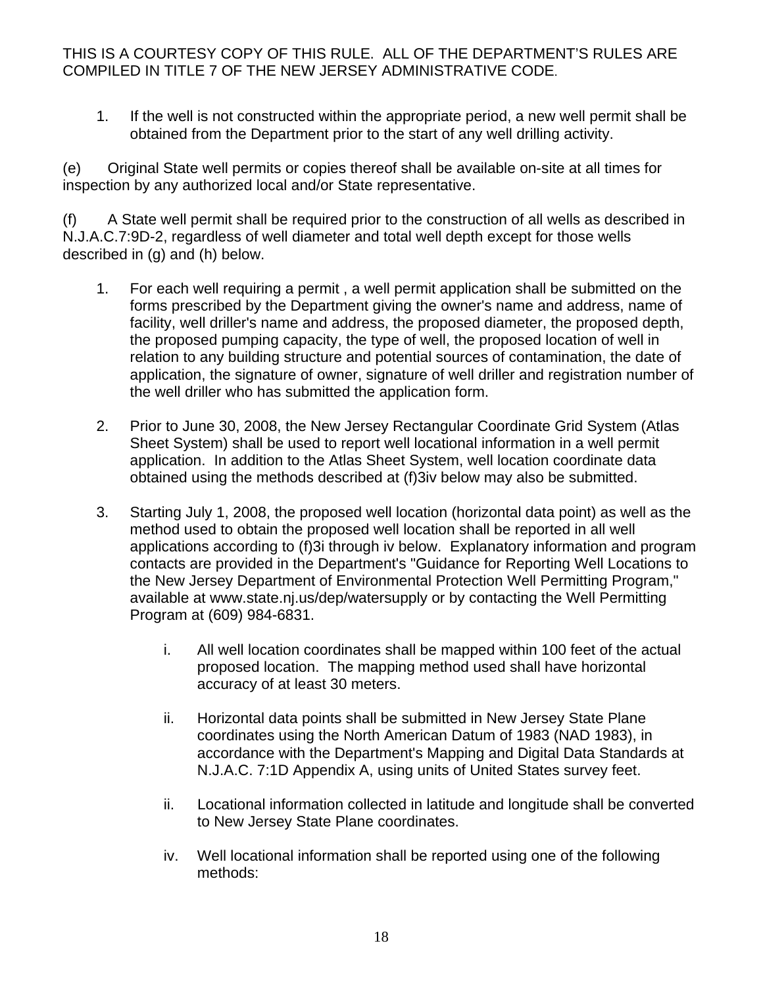1. If the well is not constructed within the appropriate period, a new well permit shall be obtained from the Department prior to the start of any well drilling activity.

(e) Original State well permits or copies thereof shall be available on-site at all times for inspection by any authorized local and/or State representative.

(f) A State well permit shall be required prior to the construction of all wells as described in N.J.A.C.7:9D-2, regardless of well diameter and total well depth except for those wells described in (g) and (h) below.

- 1. For each well requiring a permit , a well permit application shall be submitted on the forms prescribed by the Department giving the owner's name and address, name of facility, well driller's name and address, the proposed diameter, the proposed depth, the proposed pumping capacity, the type of well, the proposed location of well in relation to any building structure and potential sources of contamination, the date of application, the signature of owner, signature of well driller and registration number of the well driller who has submitted the application form.
- 2. Prior to June 30, 2008, the New Jersey Rectangular Coordinate Grid System (Atlas Sheet System) shall be used to report well locational information in a well permit application. In addition to the Atlas Sheet System, well location coordinate data obtained using the methods described at (f)3iv below may also be submitted.
- 3. Starting July 1, 2008, the proposed well location (horizontal data point) as well as the method used to obtain the proposed well location shall be reported in all well applications according to (f)3i through iv below. Explanatory information and program contacts are provided in the Department's "Guidance for Reporting Well Locations to the New Jersey Department of Environmental Protection Well Permitting Program," available at www.state.nj.us/dep/watersupply or by contacting the Well Permitting Program at (609) 984-6831.
	- i. All well location coordinates shall be mapped within 100 feet of the actual proposed location. The mapping method used shall have horizontal accuracy of at least 30 meters.
	- ii. Horizontal data points shall be submitted in New Jersey State Plane coordinates using the North American Datum of 1983 (NAD 1983), in accordance with the Department's Mapping and Digital Data Standards at N.J.A.C. 7:1D Appendix A, using units of United States survey feet.
	- ii. Locational information collected in latitude and longitude shall be converted to New Jersey State Plane coordinates.
	- iv. Well locational information shall be reported using one of the following methods: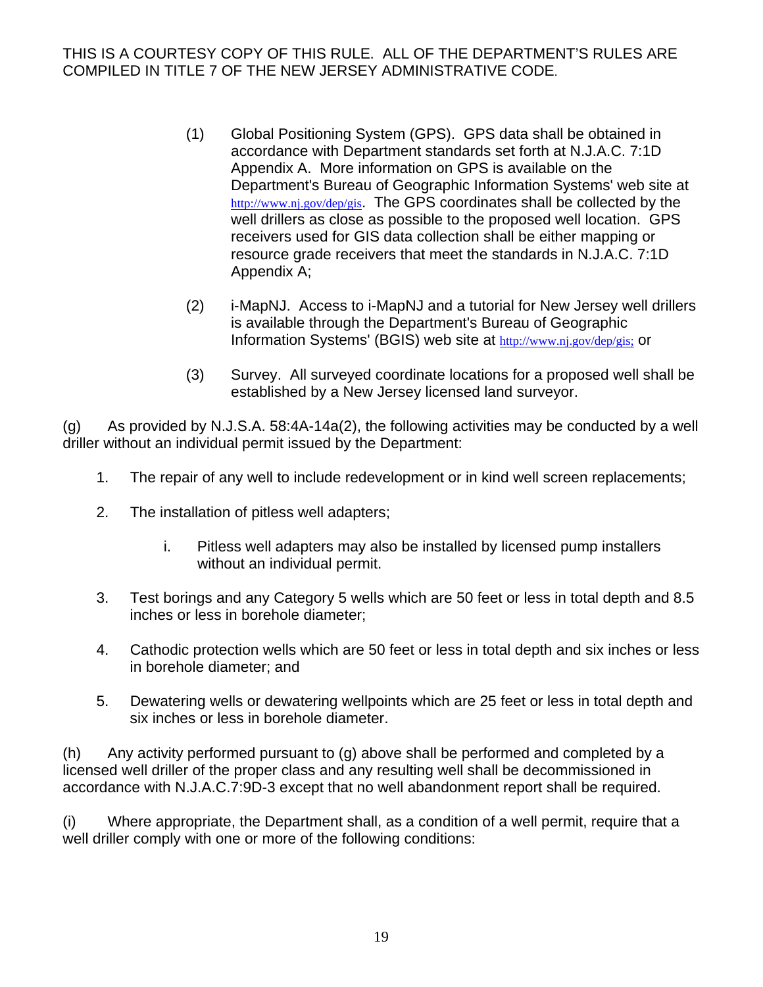- (1) Global Positioning System (GPS). GPS data shall be obtained in accordance with Department standards set forth at N.J.A.C. 7:1D Appendix A. More information on GPS is available on the Department's Bureau of Geographic Information Systems' web site at http://www.nj.gov/dep/gis. The GPS coordinates shall be collected by the well drillers as close as possible to the proposed well location. GPS receivers used for GIS data collection shall be either mapping or resource grade receivers that meet the standards in N.J.A.C. 7:1D Appendix A;
- (2) i-MapNJ. Access to i-MapNJ and a tutorial for New Jersey well drillers is available through the Department's Bureau of Geographic Information Systems' (BGIS) web site at http://www.nj.gov/dep/gis; or
- (3) Survey. All surveyed coordinate locations for a proposed well shall be established by a New Jersey licensed land surveyor.

(g) As provided by N.J.S.A. 58:4A-14a(2), the following activities may be conducted by a well driller without an individual permit issued by the Department:

- 1. The repair of any well to include redevelopment or in kind well screen replacements;
- 2. The installation of pitless well adapters;
	- i. Pitless well adapters may also be installed by licensed pump installers without an individual permit.
- 3. Test borings and any Category 5 wells which are 50 feet or less in total depth and 8.5 inches or less in borehole diameter;
- 4. Cathodic protection wells which are 50 feet or less in total depth and six inches or less in borehole diameter; and
- 5. Dewatering wells or dewatering wellpoints which are 25 feet or less in total depth and six inches or less in borehole diameter.

(h) Any activity performed pursuant to (g) above shall be performed and completed by a licensed well driller of the proper class and any resulting well shall be decommissioned in accordance with N.J.A.C.7:9D-3 except that no well abandonment report shall be required.

(i) Where appropriate, the Department shall, as a condition of a well permit, require that a well driller comply with one or more of the following conditions: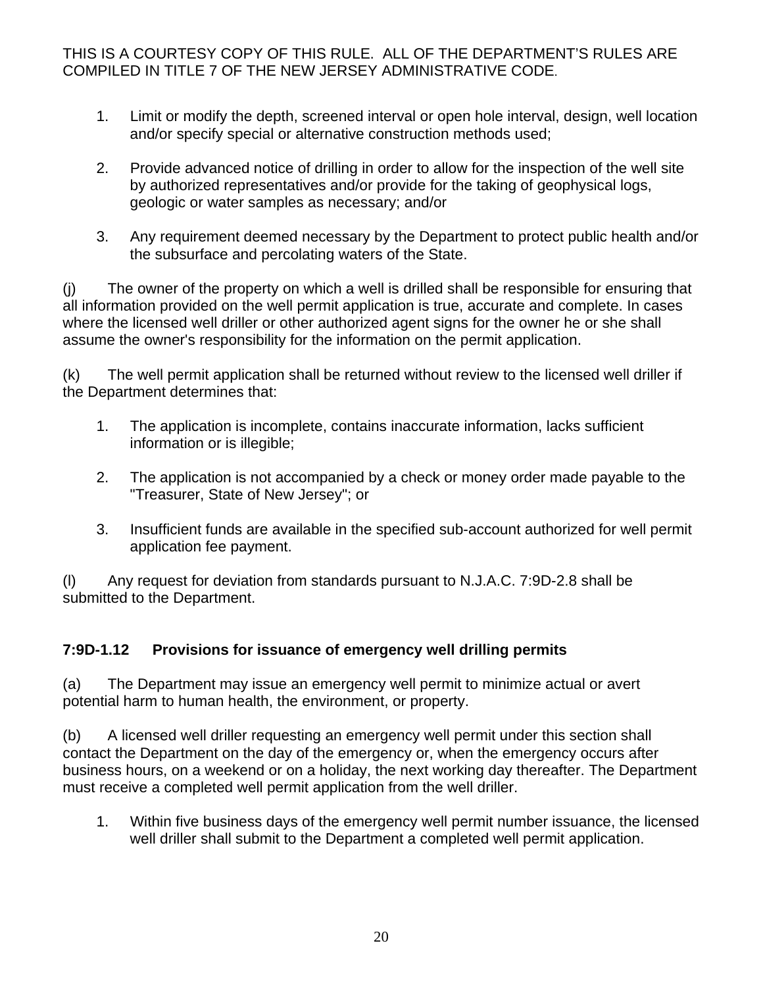- 1. Limit or modify the depth, screened interval or open hole interval, design, well location and/or specify special or alternative construction methods used;
- 2. Provide advanced notice of drilling in order to allow for the inspection of the well site by authorized representatives and/or provide for the taking of geophysical logs, geologic or water samples as necessary; and/or
- 3. Any requirement deemed necessary by the Department to protect public health and/or the subsurface and percolating waters of the State.

(j) The owner of the property on which a well is drilled shall be responsible for ensuring that all information provided on the well permit application is true, accurate and complete. In cases where the licensed well driller or other authorized agent signs for the owner he or she shall assume the owner's responsibility for the information on the permit application.

(k) The well permit application shall be returned without review to the licensed well driller if the Department determines that:

- 1. The application is incomplete, contains inaccurate information, lacks sufficient information or is illegible;
- 2. The application is not accompanied by a check or money order made payable to the "Treasurer, State of New Jersey"; or
- 3. Insufficient funds are available in the specified sub-account authorized for well permit application fee payment.

(l) Any request for deviation from standards pursuant to N.J.A.C. 7:9D-2.8 shall be submitted to the Department.

# **7:9D-1.12 Provisions for issuance of emergency well drilling permits**

(a) The Department may issue an emergency well permit to minimize actual or avert potential harm to human health, the environment, or property.

(b) A licensed well driller requesting an emergency well permit under this section shall contact the Department on the day of the emergency or, when the emergency occurs after business hours, on a weekend or on a holiday, the next working day thereafter. The Department must receive a completed well permit application from the well driller.

1. Within five business days of the emergency well permit number issuance, the licensed well driller shall submit to the Department a completed well permit application.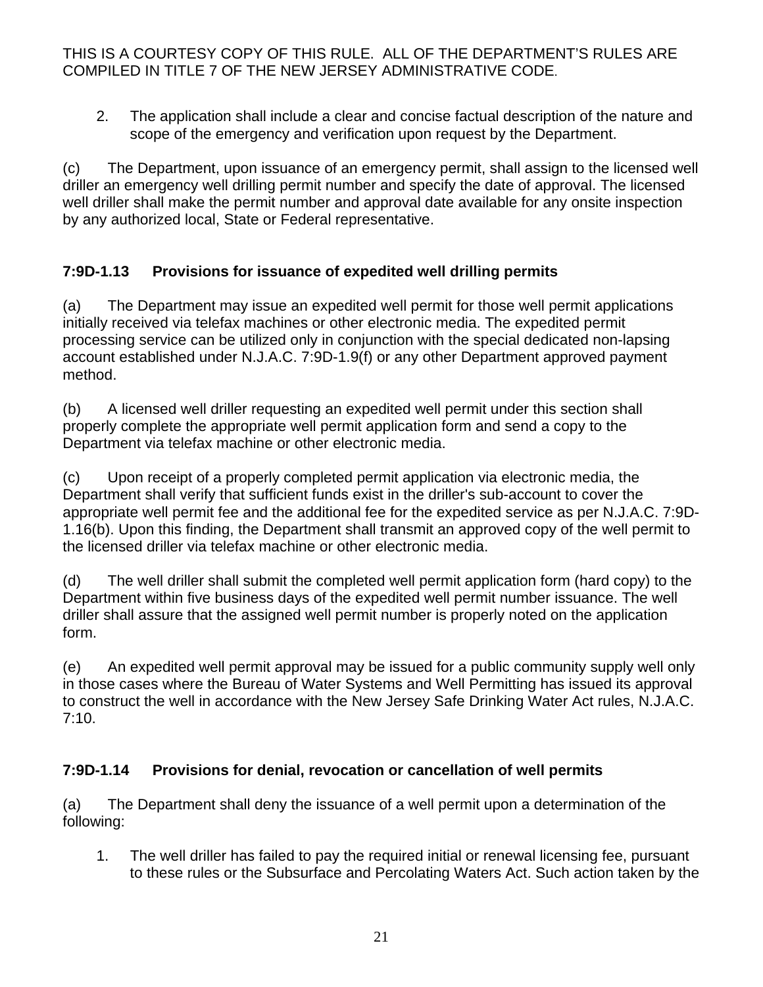2. The application shall include a clear and concise factual description of the nature and scope of the emergency and verification upon request by the Department.

(c) The Department, upon issuance of an emergency permit, shall assign to the licensed well driller an emergency well drilling permit number and specify the date of approval. The licensed well driller shall make the permit number and approval date available for any onsite inspection by any authorized local, State or Federal representative.

# **7:9D-1.13 Provisions for issuance of expedited well drilling permits**

(a) The Department may issue an expedited well permit for those well permit applications initially received via telefax machines or other electronic media. The expedited permit processing service can be utilized only in conjunction with the special dedicated non-lapsing account established under N.J.A.C. 7:9D-1.9(f) or any other Department approved payment method.

(b) A licensed well driller requesting an expedited well permit under this section shall properly complete the appropriate well permit application form and send a copy to the Department via telefax machine or other electronic media.

(c) Upon receipt of a properly completed permit application via electronic media, the Department shall verify that sufficient funds exist in the driller's sub-account to cover the appropriate well permit fee and the additional fee for the expedited service as per N.J.A.C. 7:9D-1.16(b). Upon this finding, the Department shall transmit an approved copy of the well permit to the licensed driller via telefax machine or other electronic media.

(d) The well driller shall submit the completed well permit application form (hard copy) to the Department within five business days of the expedited well permit number issuance. The well driller shall assure that the assigned well permit number is properly noted on the application form.

(e) An expedited well permit approval may be issued for a public community supply well only in those cases where the Bureau of Water Systems and Well Permitting has issued its approval to construct the well in accordance with the New Jersey Safe Drinking Water Act rules, N.J.A.C. 7:10.

# **7:9D-1.14 Provisions for denial, revocation or cancellation of well permits**

(a) The Department shall deny the issuance of a well permit upon a determination of the following:

1. The well driller has failed to pay the required initial or renewal licensing fee, pursuant to these rules or the Subsurface and Percolating Waters Act. Such action taken by the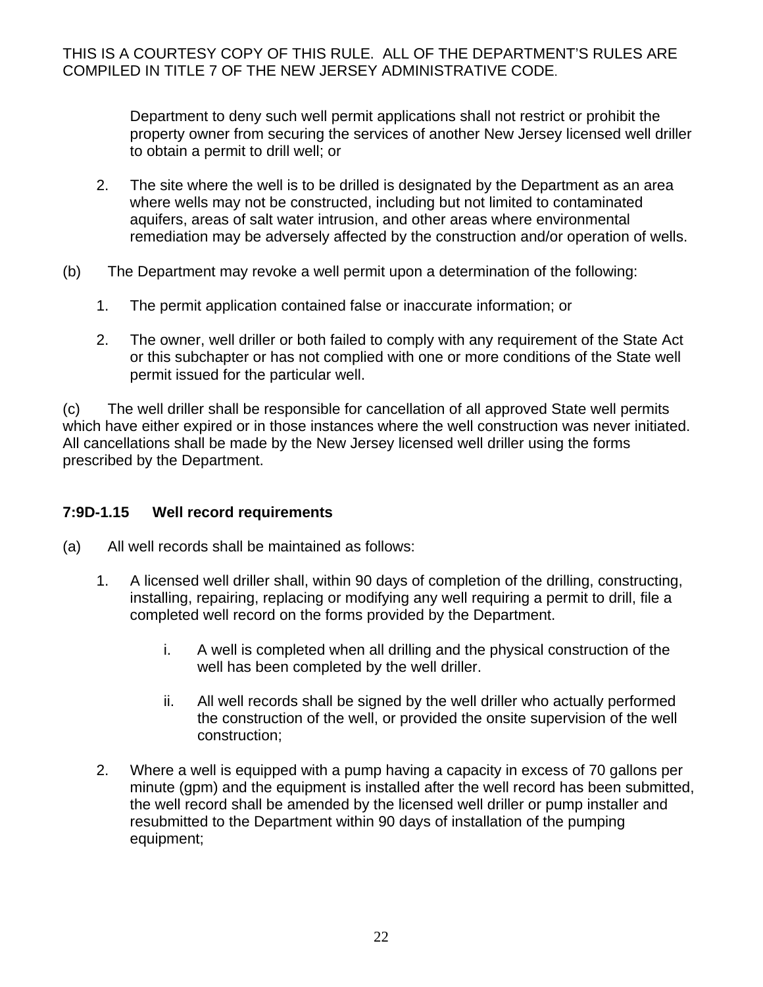Department to deny such well permit applications shall not restrict or prohibit the property owner from securing the services of another New Jersey licensed well driller to obtain a permit to drill well; or

- 2. The site where the well is to be drilled is designated by the Department as an area where wells may not be constructed, including but not limited to contaminated aquifers, areas of salt water intrusion, and other areas where environmental remediation may be adversely affected by the construction and/or operation of wells.
- (b) The Department may revoke a well permit upon a determination of the following:
	- 1. The permit application contained false or inaccurate information; or
	- 2. The owner, well driller or both failed to comply with any requirement of the State Act or this subchapter or has not complied with one or more conditions of the State well permit issued for the particular well.

(c) The well driller shall be responsible for cancellation of all approved State well permits which have either expired or in those instances where the well construction was never initiated. All cancellations shall be made by the New Jersey licensed well driller using the forms prescribed by the Department.

#### **7:9D-1.15 Well record requirements**

- (a) All well records shall be maintained as follows:
	- 1. A licensed well driller shall, within 90 days of completion of the drilling, constructing, installing, repairing, replacing or modifying any well requiring a permit to drill, file a completed well record on the forms provided by the Department.
		- i. A well is completed when all drilling and the physical construction of the well has been completed by the well driller.
		- ii. All well records shall be signed by the well driller who actually performed the construction of the well, or provided the onsite supervision of the well construction;
	- 2. Where a well is equipped with a pump having a capacity in excess of 70 gallons per minute (gpm) and the equipment is installed after the well record has been submitted, the well record shall be amended by the licensed well driller or pump installer and resubmitted to the Department within 90 days of installation of the pumping equipment;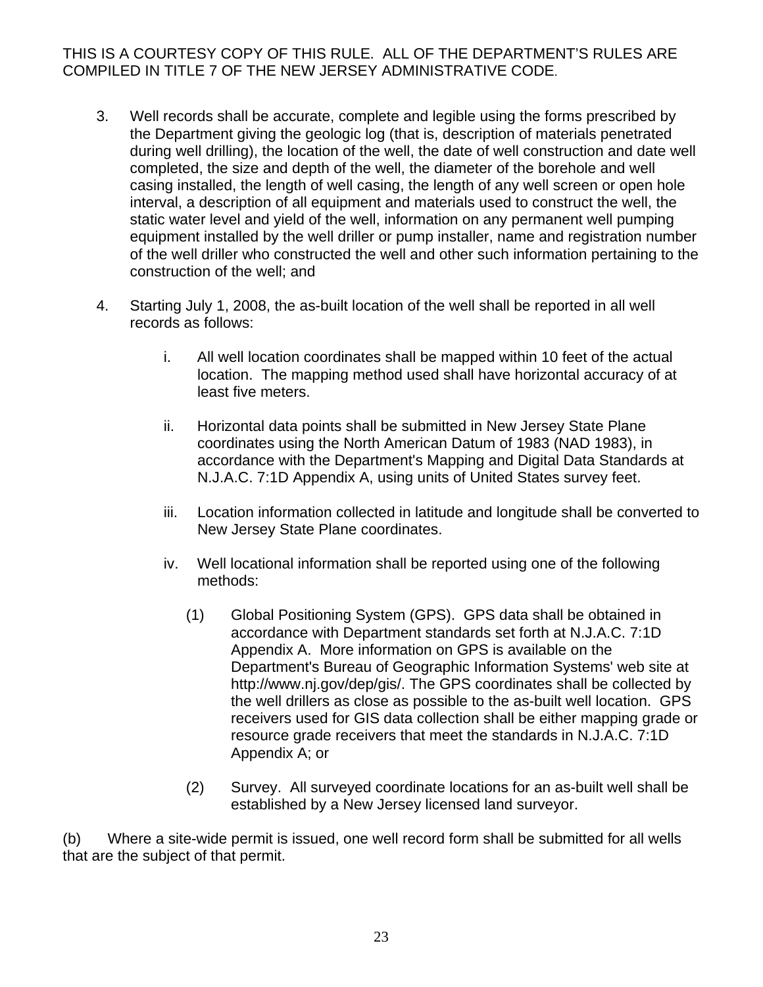- 3. Well records shall be accurate, complete and legible using the forms prescribed by the Department giving the geologic log (that is, description of materials penetrated during well drilling), the location of the well, the date of well construction and date well completed, the size and depth of the well, the diameter of the borehole and well casing installed, the length of well casing, the length of any well screen or open hole interval, a description of all equipment and materials used to construct the well, the static water level and yield of the well, information on any permanent well pumping equipment installed by the well driller or pump installer, name and registration number of the well driller who constructed the well and other such information pertaining to the construction of the well; and
- 4. Starting July 1, 2008, the as-built location of the well shall be reported in all well records as follows:
	- i. All well location coordinates shall be mapped within 10 feet of the actual location. The mapping method used shall have horizontal accuracy of at least five meters.
	- ii. Horizontal data points shall be submitted in New Jersey State Plane coordinates using the North American Datum of 1983 (NAD 1983), in accordance with the Department's Mapping and Digital Data Standards at N.J.A.C. 7:1D Appendix A, using units of United States survey feet.
	- iii. Location information collected in latitude and longitude shall be converted to New Jersey State Plane coordinates.
	- iv. Well locational information shall be reported using one of the following methods:
		- (1) Global Positioning System (GPS). GPS data shall be obtained in accordance with Department standards set forth at N.J.A.C. 7:1D Appendix A. More information on GPS is available on the Department's Bureau of Geographic Information Systems' web site at http://www.nj.gov/dep/gis/. The GPS coordinates shall be collected by the well drillers as close as possible to the as-built well location. GPS receivers used for GIS data collection shall be either mapping grade or resource grade receivers that meet the standards in N.J.A.C. 7:1D Appendix A; or
		- (2) Survey. All surveyed coordinate locations for an as-built well shall be established by a New Jersey licensed land surveyor.

(b) Where a site-wide permit is issued, one well record form shall be submitted for all wells that are the subject of that permit.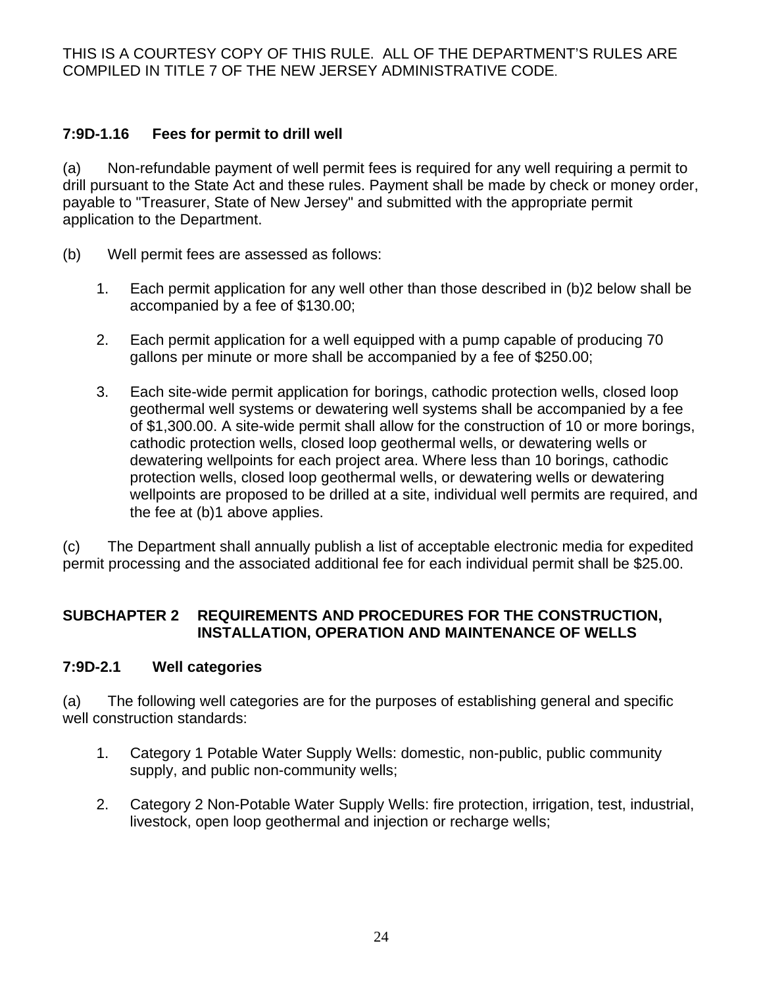# **7:9D-1.16 Fees for permit to drill well**

(a) Non-refundable payment of well permit fees is required for any well requiring a permit to drill pursuant to the State Act and these rules. Payment shall be made by check or money order, payable to "Treasurer, State of New Jersey" and submitted with the appropriate permit application to the Department.

- (b) Well permit fees are assessed as follows:
	- 1. Each permit application for any well other than those described in (b)2 below shall be accompanied by a fee of \$130.00;
	- 2. Each permit application for a well equipped with a pump capable of producing 70 gallons per minute or more shall be accompanied by a fee of \$250.00;
	- 3. Each site-wide permit application for borings, cathodic protection wells, closed loop geothermal well systems or dewatering well systems shall be accompanied by a fee of \$1,300.00. A site-wide permit shall allow for the construction of 10 or more borings, cathodic protection wells, closed loop geothermal wells, or dewatering wells or dewatering wellpoints for each project area. Where less than 10 borings, cathodic protection wells, closed loop geothermal wells, or dewatering wells or dewatering wellpoints are proposed to be drilled at a site, individual well permits are required, and the fee at (b)1 above applies.

(c) The Department shall annually publish a list of acceptable electronic media for expedited permit processing and the associated additional fee for each individual permit shall be \$25.00.

## **SUBCHAPTER 2 REQUIREMENTS AND PROCEDURES FOR THE CONSTRUCTION, INSTALLATION, OPERATION AND MAINTENANCE OF WELLS**

## **7:9D-2.1 Well categories**

(a) The following well categories are for the purposes of establishing general and specific well construction standards:

- 1. Category 1 Potable Water Supply Wells: domestic, non-public, public community supply, and public non-community wells;
- 2. Category 2 Non-Potable Water Supply Wells: fire protection, irrigation, test, industrial, livestock, open loop geothermal and injection or recharge wells;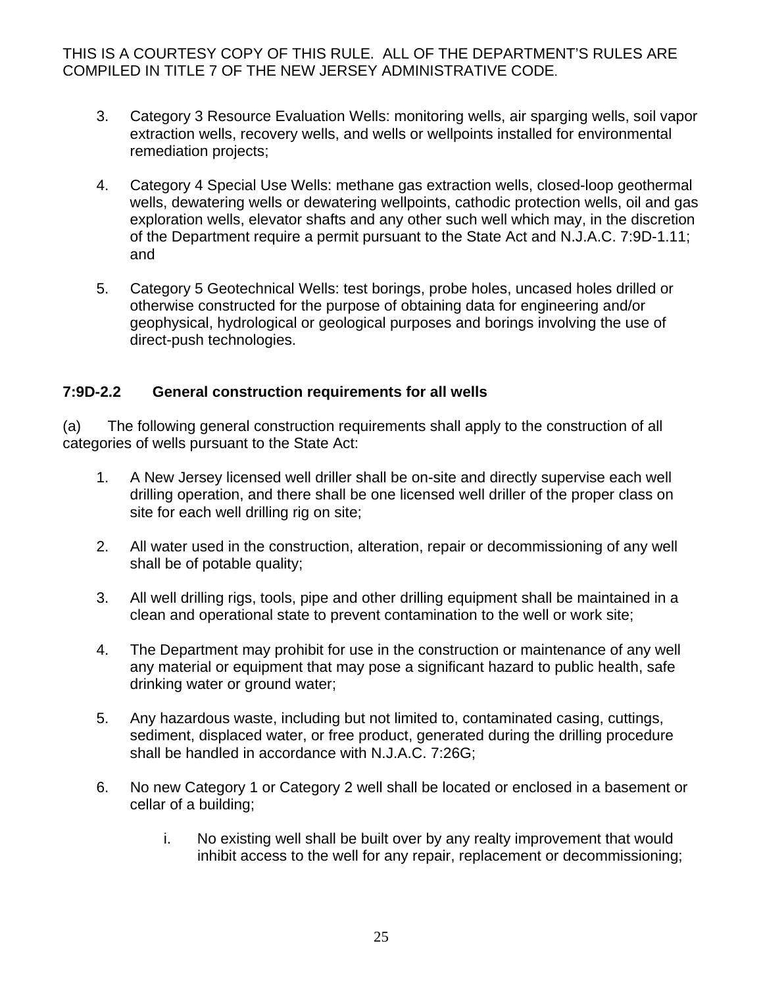- 3. Category 3 Resource Evaluation Wells: monitoring wells, air sparging wells, soil vapor extraction wells, recovery wells, and wells or wellpoints installed for environmental remediation projects;
- 4. Category 4 Special Use Wells: methane gas extraction wells, closed-loop geothermal wells, dewatering wells or dewatering wellpoints, cathodic protection wells, oil and gas exploration wells, elevator shafts and any other such well which may, in the discretion of the Department require a permit pursuant to the State Act and N.J.A.C. 7:9D-1.11; and
- 5. Category 5 Geotechnical Wells: test borings, probe holes, uncased holes drilled or otherwise constructed for the purpose of obtaining data for engineering and/or geophysical, hydrological or geological purposes and borings involving the use of direct-push technologies.

#### **7:9D-2.2 General construction requirements for all wells**

(a) The following general construction requirements shall apply to the construction of all categories of wells pursuant to the State Act:

- 1. A New Jersey licensed well driller shall be on-site and directly supervise each well drilling operation, and there shall be one licensed well driller of the proper class on site for each well drilling rig on site;
- 2. All water used in the construction, alteration, repair or decommissioning of any well shall be of potable quality;
- 3. All well drilling rigs, tools, pipe and other drilling equipment shall be maintained in a clean and operational state to prevent contamination to the well or work site;
- 4. The Department may prohibit for use in the construction or maintenance of any well any material or equipment that may pose a significant hazard to public health, safe drinking water or ground water;
- 5. Any hazardous waste, including but not limited to, contaminated casing, cuttings, sediment, displaced water, or free product, generated during the drilling procedure shall be handled in accordance with N.J.A.C. 7:26G;
- 6. No new Category 1 or Category 2 well shall be located or enclosed in a basement or cellar of a building;
	- i. No existing well shall be built over by any realty improvement that would inhibit access to the well for any repair, replacement or decommissioning;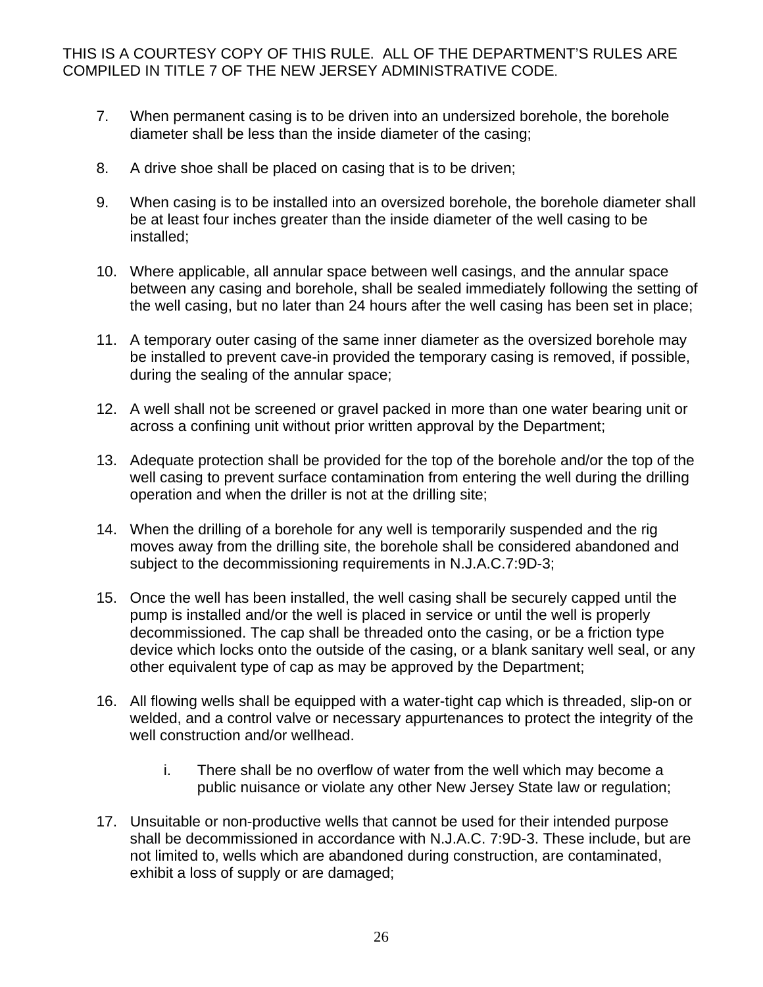- 7. When permanent casing is to be driven into an undersized borehole, the borehole diameter shall be less than the inside diameter of the casing;
- 8. A drive shoe shall be placed on casing that is to be driven;
- 9. When casing is to be installed into an oversized borehole, the borehole diameter shall be at least four inches greater than the inside diameter of the well casing to be installed;
- 10. Where applicable, all annular space between well casings, and the annular space between any casing and borehole, shall be sealed immediately following the setting of the well casing, but no later than 24 hours after the well casing has been set in place;
- 11. A temporary outer casing of the same inner diameter as the oversized borehole may be installed to prevent cave-in provided the temporary casing is removed, if possible, during the sealing of the annular space;
- 12. A well shall not be screened or gravel packed in more than one water bearing unit or across a confining unit without prior written approval by the Department;
- 13. Adequate protection shall be provided for the top of the borehole and/or the top of the well casing to prevent surface contamination from entering the well during the drilling operation and when the driller is not at the drilling site;
- 14. When the drilling of a borehole for any well is temporarily suspended and the rig moves away from the drilling site, the borehole shall be considered abandoned and subject to the decommissioning requirements in N.J.A.C.7:9D-3;
- 15. Once the well has been installed, the well casing shall be securely capped until the pump is installed and/or the well is placed in service or until the well is properly decommissioned. The cap shall be threaded onto the casing, or be a friction type device which locks onto the outside of the casing, or a blank sanitary well seal, or any other equivalent type of cap as may be approved by the Department;
- 16. All flowing wells shall be equipped with a water-tight cap which is threaded, slip-on or welded, and a control valve or necessary appurtenances to protect the integrity of the well construction and/or wellhead.
	- i. There shall be no overflow of water from the well which may become a public nuisance or violate any other New Jersey State law or regulation;
- 17. Unsuitable or non-productive wells that cannot be used for their intended purpose shall be decommissioned in accordance with N.J.A.C. 7:9D-3. These include, but are not limited to, wells which are abandoned during construction, are contaminated, exhibit a loss of supply or are damaged;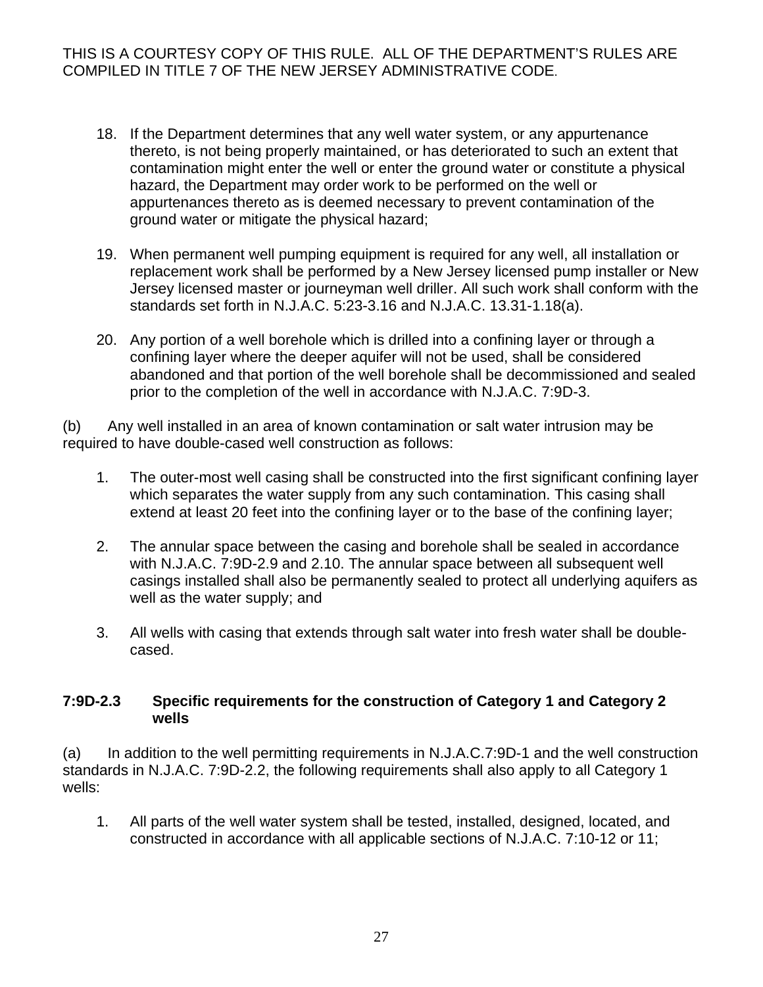- 18. If the Department determines that any well water system, or any appurtenance thereto, is not being properly maintained, or has deteriorated to such an extent that contamination might enter the well or enter the ground water or constitute a physical hazard, the Department may order work to be performed on the well or appurtenances thereto as is deemed necessary to prevent contamination of the ground water or mitigate the physical hazard;
- 19. When permanent well pumping equipment is required for any well, all installation or replacement work shall be performed by a New Jersey licensed pump installer or New Jersey licensed master or journeyman well driller. All such work shall conform with the standards set forth in N.J.A.C. 5:23-3.16 and N.J.A.C. 13.31-1.18(a).
- 20. Any portion of a well borehole which is drilled into a confining layer or through a confining layer where the deeper aquifer will not be used, shall be considered abandoned and that portion of the well borehole shall be decommissioned and sealed prior to the completion of the well in accordance with N.J.A.C. 7:9D-3.

(b) Any well installed in an area of known contamination or salt water intrusion may be required to have double-cased well construction as follows:

- 1. The outer-most well casing shall be constructed into the first significant confining layer which separates the water supply from any such contamination. This casing shall extend at least 20 feet into the confining layer or to the base of the confining layer;
- 2. The annular space between the casing and borehole shall be sealed in accordance with N.J.A.C. 7:9D-2.9 and 2.10. The annular space between all subsequent well casings installed shall also be permanently sealed to protect all underlying aquifers as well as the water supply; and
- 3. All wells with casing that extends through salt water into fresh water shall be doublecased.

#### **7:9D-2.3 Specific requirements for the construction of Category 1 and Category 2 wells**

(a) In addition to the well permitting requirements in N.J.A.C.7:9D-1 and the well construction standards in N.J.A.C. 7:9D-2.2, the following requirements shall also apply to all Category 1 wells:

1. All parts of the well water system shall be tested, installed, designed, located, and constructed in accordance with all applicable sections of N.J.A.C. 7:10-12 or 11;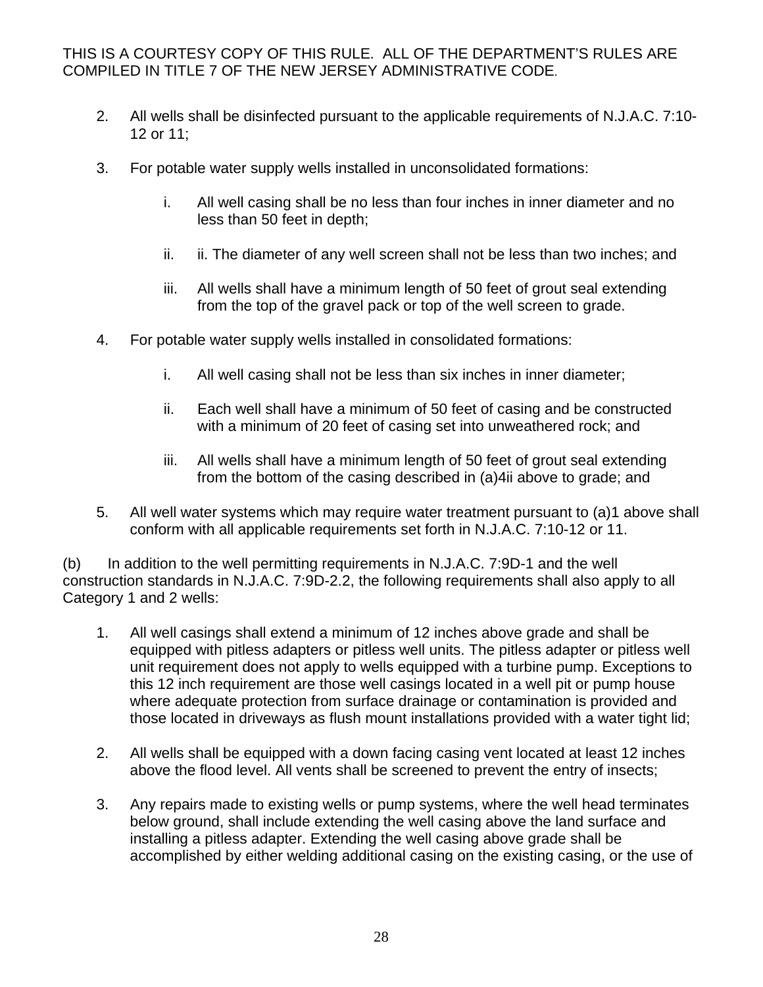- 2. All wells shall be disinfected pursuant to the applicable requirements of N.J.A.C. 7:10- 12 or 11;
- 3. For potable water supply wells installed in unconsolidated formations:
	- i. All well casing shall be no less than four inches in inner diameter and no less than 50 feet in depth;
	- ii. ii. The diameter of any well screen shall not be less than two inches; and
	- iii. All wells shall have a minimum length of 50 feet of grout seal extending from the top of the gravel pack or top of the well screen to grade.
- 4. For potable water supply wells installed in consolidated formations:
	- i. All well casing shall not be less than six inches in inner diameter;
	- ii. Each well shall have a minimum of 50 feet of casing and be constructed with a minimum of 20 feet of casing set into unweathered rock; and
	- iii. All wells shall have a minimum length of 50 feet of grout seal extending from the bottom of the casing described in (a)4ii above to grade; and
- 5. All well water systems which may require water treatment pursuant to (a)1 above shall conform with all applicable requirements set forth in N.J.A.C. 7:10-12 or 11.

(b) In addition to the well permitting requirements in N.J.A.C. 7:9D-1 and the well construction standards in N.J.A.C. 7:9D-2.2, the following requirements shall also apply to all Category 1 and 2 wells:

- 1. All well casings shall extend a minimum of 12 inches above grade and shall be equipped with pitless adapters or pitless well units. The pitless adapter or pitless well unit requirement does not apply to wells equipped with a turbine pump. Exceptions to this 12 inch requirement are those well casings located in a well pit or pump house where adequate protection from surface drainage or contamination is provided and those located in driveways as flush mount installations provided with a water tight lid;
- 2. All wells shall be equipped with a down facing casing vent located at least 12 inches above the flood level. All vents shall be screened to prevent the entry of insects;
- 3. Any repairs made to existing wells or pump systems, where the well head terminates below ground, shall include extending the well casing above the land surface and installing a pitless adapter. Extending the well casing above grade shall be accomplished by either welding additional casing on the existing casing, or the use of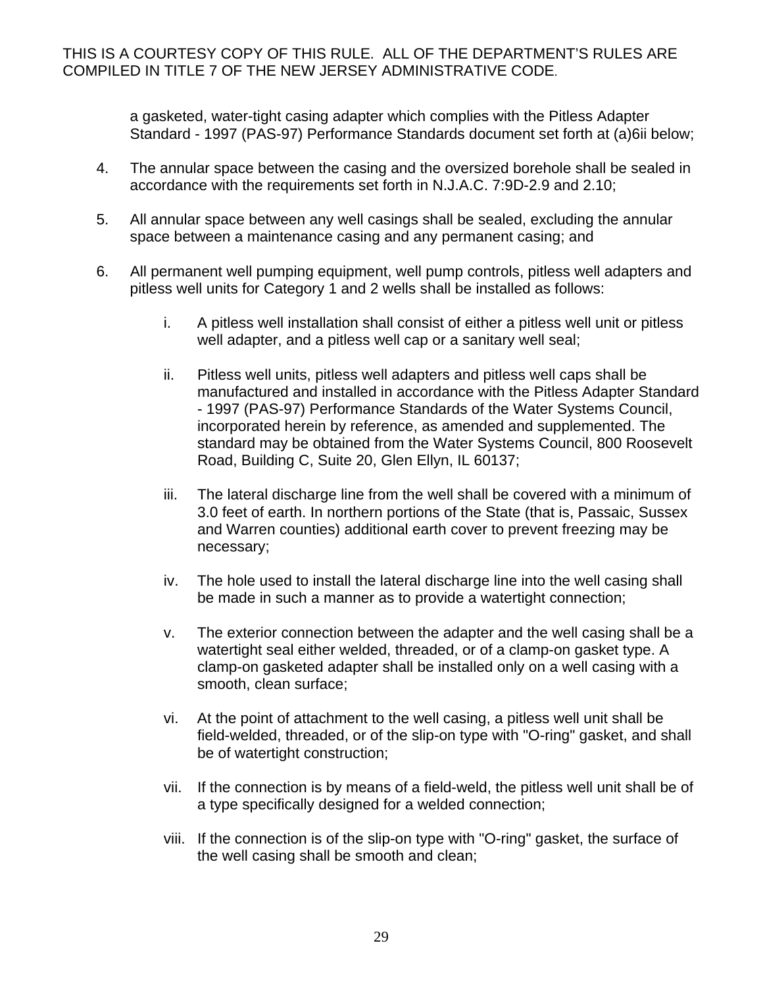a gasketed, water-tight casing adapter which complies with the Pitless Adapter Standard - 1997 (PAS-97) Performance Standards document set forth at (a)6ii below;

- 4. The annular space between the casing and the oversized borehole shall be sealed in accordance with the requirements set forth in N.J.A.C. 7:9D-2.9 and 2.10;
- 5. All annular space between any well casings shall be sealed, excluding the annular space between a maintenance casing and any permanent casing; and
- 6. All permanent well pumping equipment, well pump controls, pitless well adapters and pitless well units for Category 1 and 2 wells shall be installed as follows:
	- i. A pitless well installation shall consist of either a pitless well unit or pitless well adapter, and a pitless well cap or a sanitary well seal;
	- ii. Pitless well units, pitless well adapters and pitless well caps shall be manufactured and installed in accordance with the Pitless Adapter Standard - 1997 (PAS-97) Performance Standards of the Water Systems Council, incorporated herein by reference, as amended and supplemented. The standard may be obtained from the Water Systems Council, 800 Roosevelt Road, Building C, Suite 20, Glen Ellyn, IL 60137;
	- iii. The lateral discharge line from the well shall be covered with a minimum of 3.0 feet of earth. In northern portions of the State (that is, Passaic, Sussex and Warren counties) additional earth cover to prevent freezing may be necessary;
	- iv. The hole used to install the lateral discharge line into the well casing shall be made in such a manner as to provide a watertight connection;
	- v. The exterior connection between the adapter and the well casing shall be a watertight seal either welded, threaded, or of a clamp-on gasket type. A clamp-on gasketed adapter shall be installed only on a well casing with a smooth, clean surface;
	- vi. At the point of attachment to the well casing, a pitless well unit shall be field-welded, threaded, or of the slip-on type with "O-ring" gasket, and shall be of watertight construction;
	- vii. If the connection is by means of a field-weld, the pitless well unit shall be of a type specifically designed for a welded connection;
	- viii. If the connection is of the slip-on type with "O-ring" gasket, the surface of the well casing shall be smooth and clean;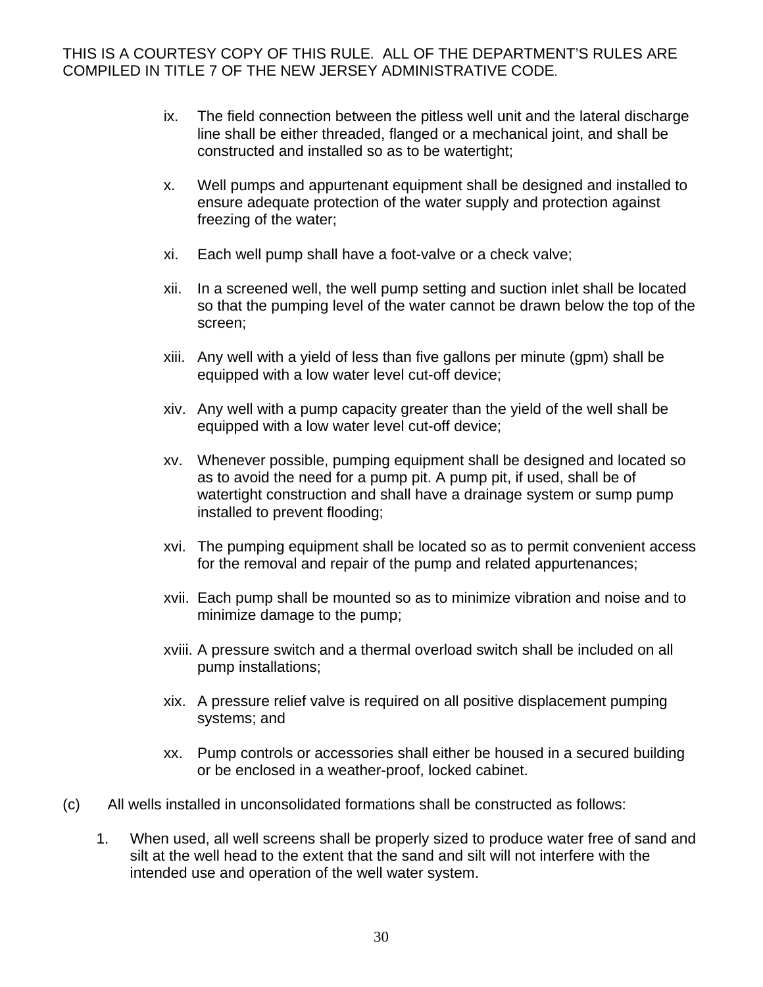- ix. The field connection between the pitless well unit and the lateral discharge line shall be either threaded, flanged or a mechanical joint, and shall be constructed and installed so as to be watertight;
- x. Well pumps and appurtenant equipment shall be designed and installed to ensure adequate protection of the water supply and protection against freezing of the water;
- xi. Each well pump shall have a foot-valve or a check valve;
- xii. In a screened well, the well pump setting and suction inlet shall be located so that the pumping level of the water cannot be drawn below the top of the screen;
- xiii. Any well with a yield of less than five gallons per minute (gpm) shall be equipped with a low water level cut-off device;
- xiv. Any well with a pump capacity greater than the yield of the well shall be equipped with a low water level cut-off device;
- xv. Whenever possible, pumping equipment shall be designed and located so as to avoid the need for a pump pit. A pump pit, if used, shall be of watertight construction and shall have a drainage system or sump pump installed to prevent flooding;
- xvi. The pumping equipment shall be located so as to permit convenient access for the removal and repair of the pump and related appurtenances;
- xvii. Each pump shall be mounted so as to minimize vibration and noise and to minimize damage to the pump;
- xviii. A pressure switch and a thermal overload switch shall be included on all pump installations;
- xix. A pressure relief valve is required on all positive displacement pumping systems; and
- xx. Pump controls or accessories shall either be housed in a secured building or be enclosed in a weather-proof, locked cabinet.
- (c) All wells installed in unconsolidated formations shall be constructed as follows:
	- 1. When used, all well screens shall be properly sized to produce water free of sand and silt at the well head to the extent that the sand and silt will not interfere with the intended use and operation of the well water system.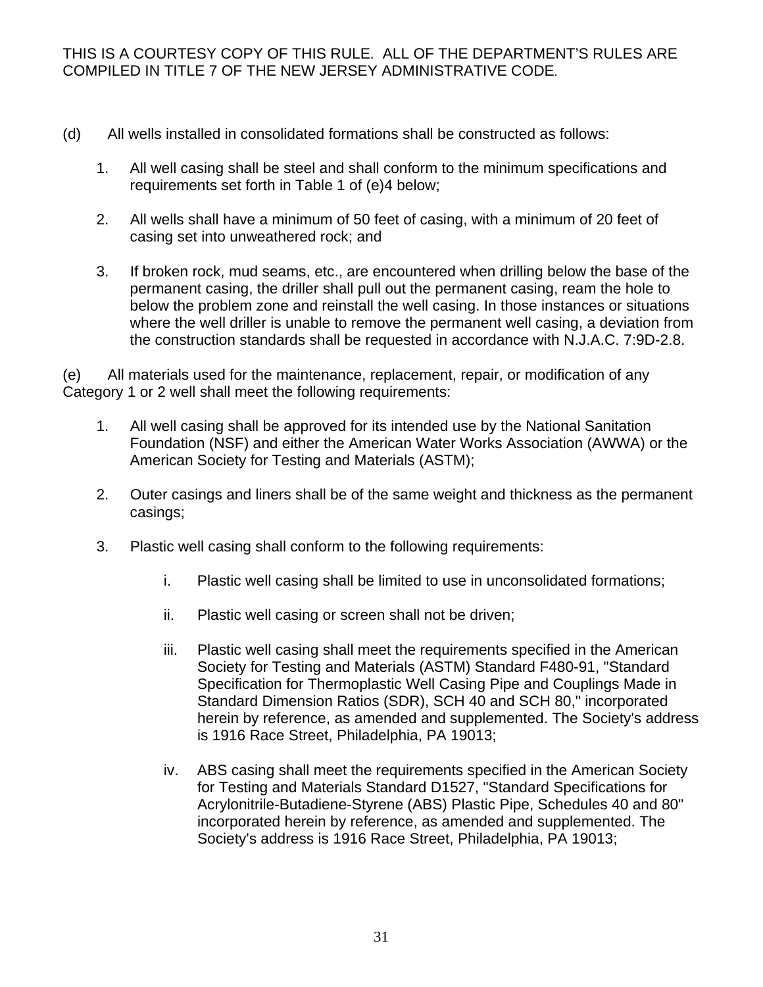- (d) All wells installed in consolidated formations shall be constructed as follows:
	- 1. All well casing shall be steel and shall conform to the minimum specifications and requirements set forth in Table 1 of (e)4 below;
	- 2. All wells shall have a minimum of 50 feet of casing, with a minimum of 20 feet of casing set into unweathered rock; and
	- 3. If broken rock, mud seams, etc., are encountered when drilling below the base of the permanent casing, the driller shall pull out the permanent casing, ream the hole to below the problem zone and reinstall the well casing. In those instances or situations where the well driller is unable to remove the permanent well casing, a deviation from the construction standards shall be requested in accordance with N.J.A.C. 7:9D-2.8.

(e) All materials used for the maintenance, replacement, repair, or modification of any Category 1 or 2 well shall meet the following requirements:

- 1. All well casing shall be approved for its intended use by the National Sanitation Foundation (NSF) and either the American Water Works Association (AWWA) or the American Society for Testing and Materials (ASTM);
- 2. Outer casings and liners shall be of the same weight and thickness as the permanent casings;
- 3. Plastic well casing shall conform to the following requirements:
	- i. Plastic well casing shall be limited to use in unconsolidated formations;
	- ii. Plastic well casing or screen shall not be driven;
	- iii. Plastic well casing shall meet the requirements specified in the American Society for Testing and Materials (ASTM) Standard F480-91, "Standard Specification for Thermoplastic Well Casing Pipe and Couplings Made in Standard Dimension Ratios (SDR), SCH 40 and SCH 80," incorporated herein by reference, as amended and supplemented. The Society's address is 1916 Race Street, Philadelphia, PA 19013;
	- iv. ABS casing shall meet the requirements specified in the American Society for Testing and Materials Standard D1527, "Standard Specifications for Acrylonitrile-Butadiene-Styrene (ABS) Plastic Pipe, Schedules 40 and 80" incorporated herein by reference, as amended and supplemented. The Society's address is 1916 Race Street, Philadelphia, PA 19013;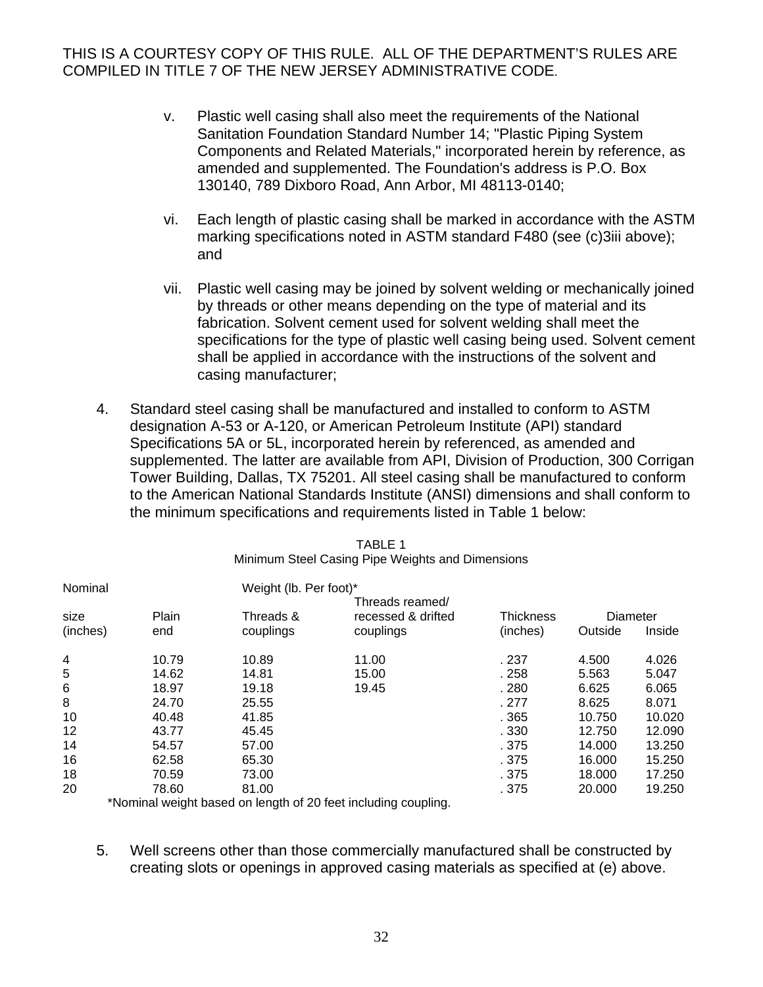- v. Plastic well casing shall also meet the requirements of the National Sanitation Foundation Standard Number 14; "Plastic Piping System Components and Related Materials," incorporated herein by reference, as amended and supplemented. The Foundation's address is P.O. Box 130140, 789 Dixboro Road, Ann Arbor, MI 48113-0140;
- vi. Each length of plastic casing shall be marked in accordance with the ASTM marking specifications noted in ASTM standard F480 (see (c)3iii above); and
- vii. Plastic well casing may be joined by solvent welding or mechanically joined by threads or other means depending on the type of material and its fabrication. Solvent cement used for solvent welding shall meet the specifications for the type of plastic well casing being used. Solvent cement shall be applied in accordance with the instructions of the solvent and casing manufacturer;
- 4. Standard steel casing shall be manufactured and installed to conform to ASTM designation A-53 or A-120, or American Petroleum Institute (API) standard Specifications 5A or 5L, incorporated herein by referenced, as amended and supplemented. The latter are available from API, Division of Production, 300 Corrigan Tower Building, Dallas, TX 75201. All steel casing shall be manufactured to conform to the American National Standards Institute (ANSI) dimensions and shall conform to the minimum specifications and requirements listed in Table 1 below:

| Nominal          |              |                        | Weight (lb. Per foot)*                             |                              |                     |        |  |  |  |
|------------------|--------------|------------------------|----------------------------------------------------|------------------------------|---------------------|--------|--|--|--|
| size<br>(inches) | Plain<br>end | Threads &<br>couplings | Threads reamed/<br>recessed & drifted<br>couplings | <b>Thickness</b><br>(inches) | Diameter<br>Outside | Inside |  |  |  |
| 4                | 10.79        | 10.89                  | 11.00                                              | . 237                        | 4.500               | 4.026  |  |  |  |
| 5                | 14.62        | 14.81                  | 15.00                                              | .258                         | 5.563               | 5.047  |  |  |  |
| 6                | 18.97        | 19.18                  | 19.45                                              | .280                         | 6.625               | 6.065  |  |  |  |
| 8                | 24.70        | 25.55                  |                                                    | . 277                        | 8.625               | 8.071  |  |  |  |
| 10               | 40.48        | 41.85                  |                                                    | .365                         | 10.750              | 10.020 |  |  |  |
| 12               | 43.77        | 45.45                  |                                                    | .330                         | 12.750              | 12.090 |  |  |  |
| 14               | 54.57        | 57.00                  |                                                    | . 375                        | 14.000              | 13.250 |  |  |  |
| 16               | 62.58        | 65.30                  |                                                    | . 375                        | 16.000              | 15.250 |  |  |  |
| 18               | 70.59        | 73.00                  |                                                    | . 375                        | 18.000              | 17.250 |  |  |  |
| 20               | 78.60        | 81.00                  |                                                    | . 375                        | 20,000              | 19.250 |  |  |  |
|                  |              |                        |                                                    |                              |                     |        |  |  |  |

| TABLE 1                                          |
|--------------------------------------------------|
| Minimum Steel Casing Pipe Weights and Dimensions |

\*Nominal weight based on length of 20 feet including coupling.

5. Well screens other than those commercially manufactured shall be constructed by creating slots or openings in approved casing materials as specified at (e) above.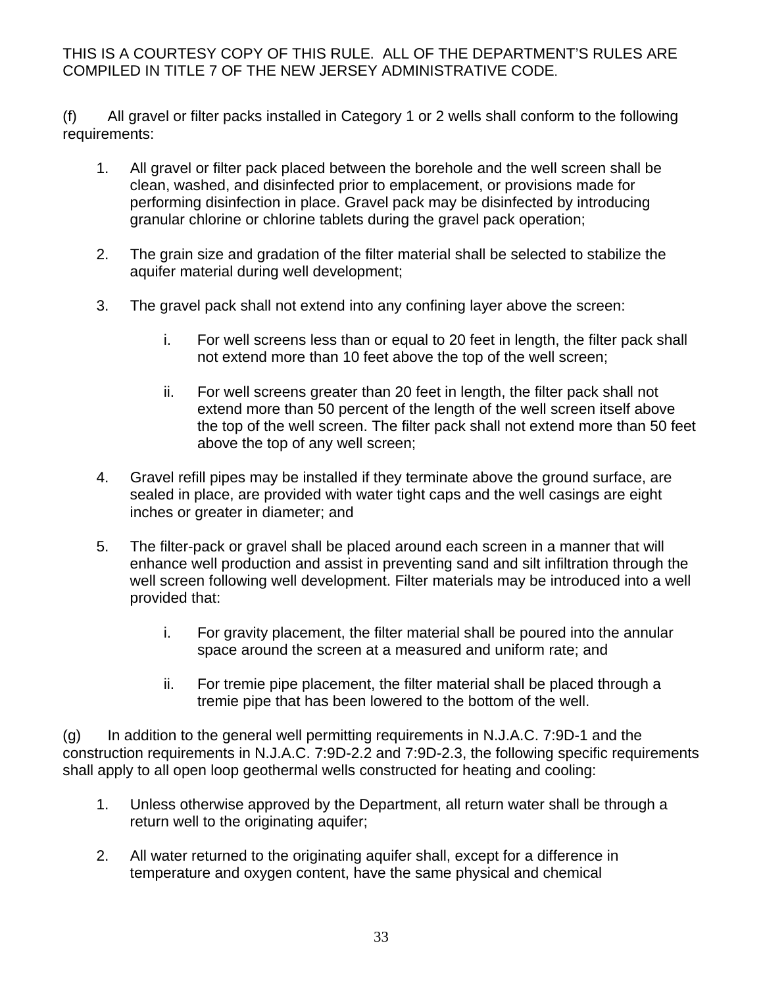(f) All gravel or filter packs installed in Category 1 or 2 wells shall conform to the following requirements:

- 1. All gravel or filter pack placed between the borehole and the well screen shall be clean, washed, and disinfected prior to emplacement, or provisions made for performing disinfection in place. Gravel pack may be disinfected by introducing granular chlorine or chlorine tablets during the gravel pack operation;
- 2. The grain size and gradation of the filter material shall be selected to stabilize the aquifer material during well development;
- 3. The gravel pack shall not extend into any confining layer above the screen:
	- i. For well screens less than or equal to 20 feet in length, the filter pack shall not extend more than 10 feet above the top of the well screen;
	- ii. For well screens greater than 20 feet in length, the filter pack shall not extend more than 50 percent of the length of the well screen itself above the top of the well screen. The filter pack shall not extend more than 50 feet above the top of any well screen;
- 4. Gravel refill pipes may be installed if they terminate above the ground surface, are sealed in place, are provided with water tight caps and the well casings are eight inches or greater in diameter; and
- 5. The filter-pack or gravel shall be placed around each screen in a manner that will enhance well production and assist in preventing sand and silt infiltration through the well screen following well development. Filter materials may be introduced into a well provided that:
	- i. For gravity placement, the filter material shall be poured into the annular space around the screen at a measured and uniform rate; and
	- ii. For tremie pipe placement, the filter material shall be placed through a tremie pipe that has been lowered to the bottom of the well.

(g) In addition to the general well permitting requirements in N.J.A.C. 7:9D-1 and the construction requirements in N.J.A.C. 7:9D-2.2 and 7:9D-2.3, the following specific requirements shall apply to all open loop geothermal wells constructed for heating and cooling:

- 1. Unless otherwise approved by the Department, all return water shall be through a return well to the originating aquifer;
- 2. All water returned to the originating aquifer shall, except for a difference in temperature and oxygen content, have the same physical and chemical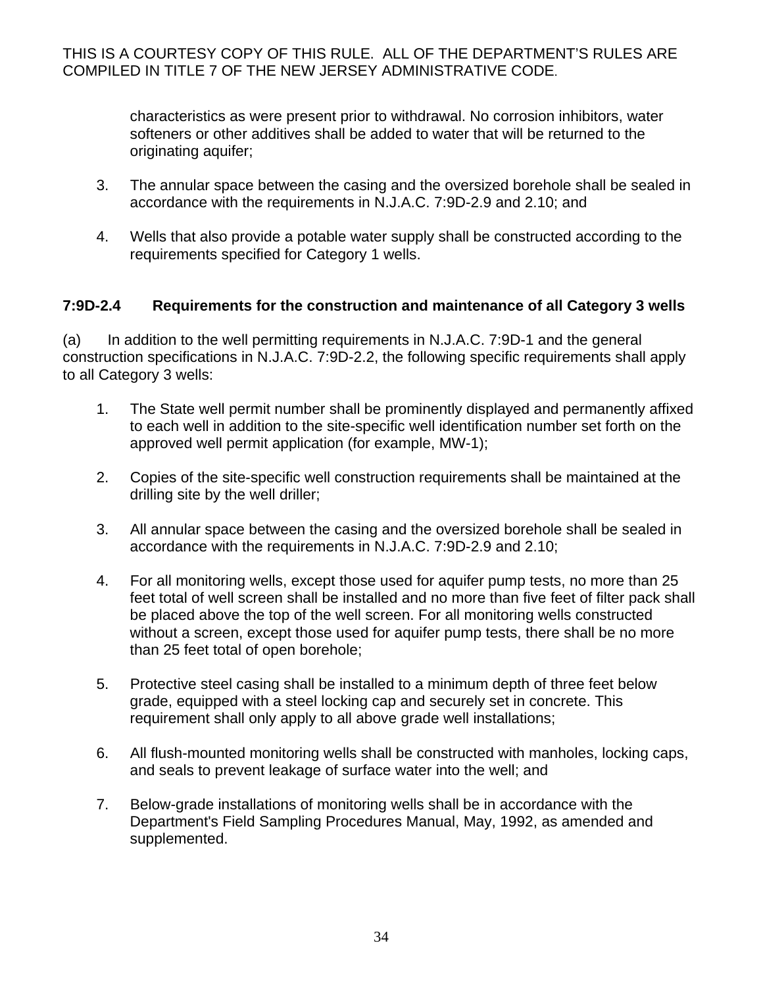characteristics as were present prior to withdrawal. No corrosion inhibitors, water softeners or other additives shall be added to water that will be returned to the originating aquifer;

- 3. The annular space between the casing and the oversized borehole shall be sealed in accordance with the requirements in N.J.A.C. 7:9D-2.9 and 2.10; and
- 4. Wells that also provide a potable water supply shall be constructed according to the requirements specified for Category 1 wells.

## **7:9D-2.4 Requirements for the construction and maintenance of all Category 3 wells**

(a) In addition to the well permitting requirements in N.J.A.C. 7:9D-1 and the general construction specifications in N.J.A.C. 7:9D-2.2, the following specific requirements shall apply to all Category 3 wells:

- 1. The State well permit number shall be prominently displayed and permanently affixed to each well in addition to the site-specific well identification number set forth on the approved well permit application (for example, MW-1);
- 2. Copies of the site-specific well construction requirements shall be maintained at the drilling site by the well driller;
- 3. All annular space between the casing and the oversized borehole shall be sealed in accordance with the requirements in N.J.A.C. 7:9D-2.9 and 2.10;
- 4. For all monitoring wells, except those used for aquifer pump tests, no more than 25 feet total of well screen shall be installed and no more than five feet of filter pack shall be placed above the top of the well screen. For all monitoring wells constructed without a screen, except those used for aquifer pump tests, there shall be no more than 25 feet total of open borehole;
- 5. Protective steel casing shall be installed to a minimum depth of three feet below grade, equipped with a steel locking cap and securely set in concrete. This requirement shall only apply to all above grade well installations;
- 6. All flush-mounted monitoring wells shall be constructed with manholes, locking caps, and seals to prevent leakage of surface water into the well; and
- 7. Below-grade installations of monitoring wells shall be in accordance with the Department's Field Sampling Procedures Manual, May, 1992, as amended and supplemented.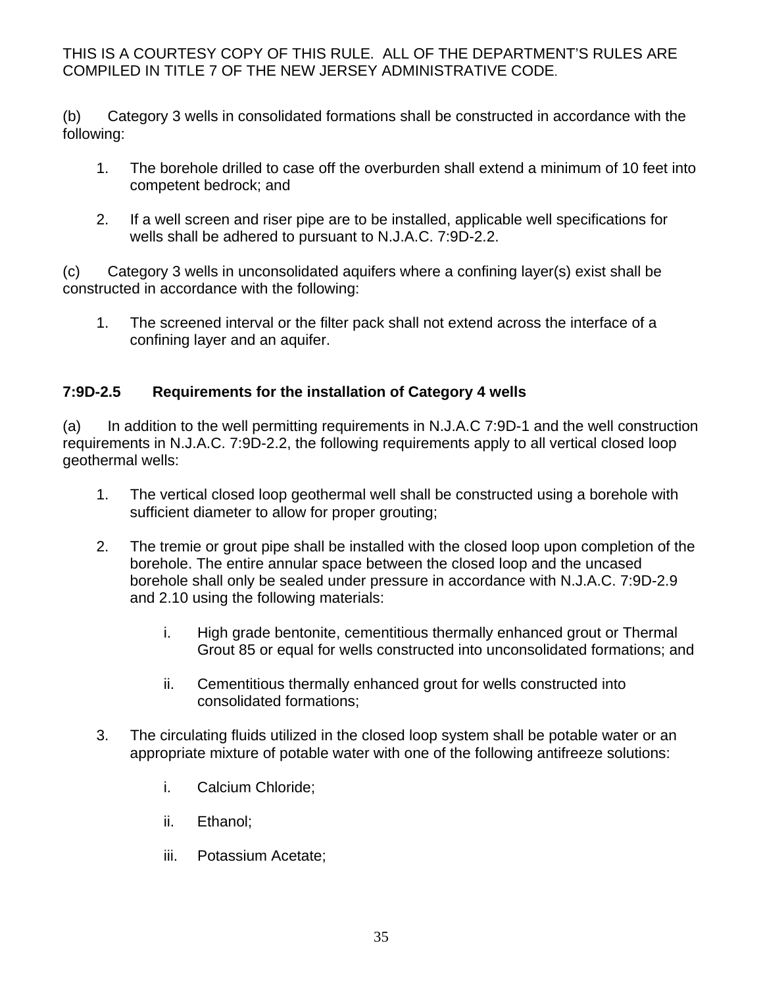(b) Category 3 wells in consolidated formations shall be constructed in accordance with the following:

- 1. The borehole drilled to case off the overburden shall extend a minimum of 10 feet into competent bedrock; and
- 2. If a well screen and riser pipe are to be installed, applicable well specifications for wells shall be adhered to pursuant to N.J.A.C. 7:9D-2.2.

(c) Category 3 wells in unconsolidated aquifers where a confining layer(s) exist shall be constructed in accordance with the following:

1. The screened interval or the filter pack shall not extend across the interface of a confining layer and an aquifer.

# **7:9D-2.5 Requirements for the installation of Category 4 wells**

(a) In addition to the well permitting requirements in N.J.A.C 7:9D-1 and the well construction requirements in N.J.A.C. 7:9D-2.2, the following requirements apply to all vertical closed loop geothermal wells:

- 1. The vertical closed loop geothermal well shall be constructed using a borehole with sufficient diameter to allow for proper grouting;
- 2. The tremie or grout pipe shall be installed with the closed loop upon completion of the borehole. The entire annular space between the closed loop and the uncased borehole shall only be sealed under pressure in accordance with N.J.A.C. 7:9D-2.9 and 2.10 using the following materials:
	- i. High grade bentonite, cementitious thermally enhanced grout or Thermal Grout 85 or equal for wells constructed into unconsolidated formations; and
	- ii. Cementitious thermally enhanced grout for wells constructed into consolidated formations;
- 3. The circulating fluids utilized in the closed loop system shall be potable water or an appropriate mixture of potable water with one of the following antifreeze solutions:
	- i. Calcium Chloride;
	- ii. Ethanol;
	- iii. Potassium Acetate;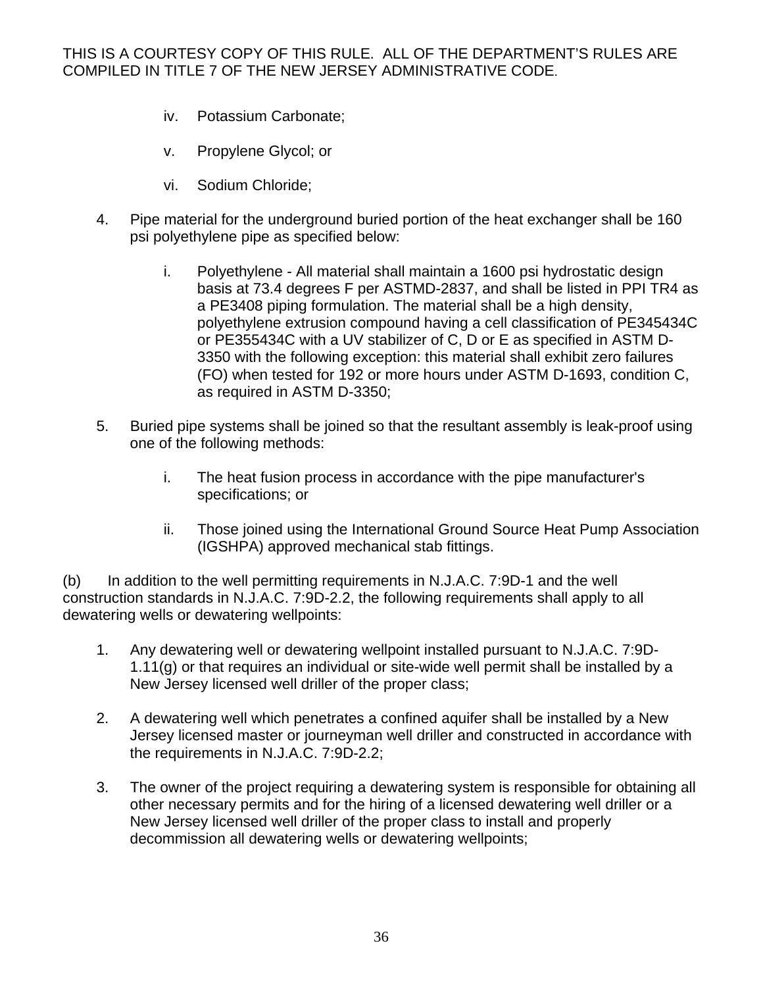- iv. Potassium Carbonate;
- v. Propylene Glycol; or
- vi. Sodium Chloride;
- 4. Pipe material for the underground buried portion of the heat exchanger shall be 160 psi polyethylene pipe as specified below:
	- i. Polyethylene All material shall maintain a 1600 psi hydrostatic design basis at 73.4 degrees F per ASTMD-2837, and shall be listed in PPI TR4 as a PE3408 piping formulation. The material shall be a high density, polyethylene extrusion compound having a cell classification of PE345434C or PE355434C with a UV stabilizer of C, D or E as specified in ASTM D-3350 with the following exception: this material shall exhibit zero failures (FO) when tested for 192 or more hours under ASTM D-1693, condition C, as required in ASTM D-3350;
- 5. Buried pipe systems shall be joined so that the resultant assembly is leak-proof using one of the following methods:
	- i. The heat fusion process in accordance with the pipe manufacturer's specifications; or
	- ii. Those joined using the International Ground Source Heat Pump Association (IGSHPA) approved mechanical stab fittings.

(b) In addition to the well permitting requirements in N.J.A.C. 7:9D-1 and the well construction standards in N.J.A.C. 7:9D-2.2, the following requirements shall apply to all dewatering wells or dewatering wellpoints:

- 1. Any dewatering well or dewatering wellpoint installed pursuant to N.J.A.C. 7:9D-1.11(g) or that requires an individual or site-wide well permit shall be installed by a New Jersey licensed well driller of the proper class;
- 2. A dewatering well which penetrates a confined aquifer shall be installed by a New Jersey licensed master or journeyman well driller and constructed in accordance with the requirements in N.J.A.C. 7:9D-2.2;
- 3. The owner of the project requiring a dewatering system is responsible for obtaining all other necessary permits and for the hiring of a licensed dewatering well driller or a New Jersey licensed well driller of the proper class to install and properly decommission all dewatering wells or dewatering wellpoints;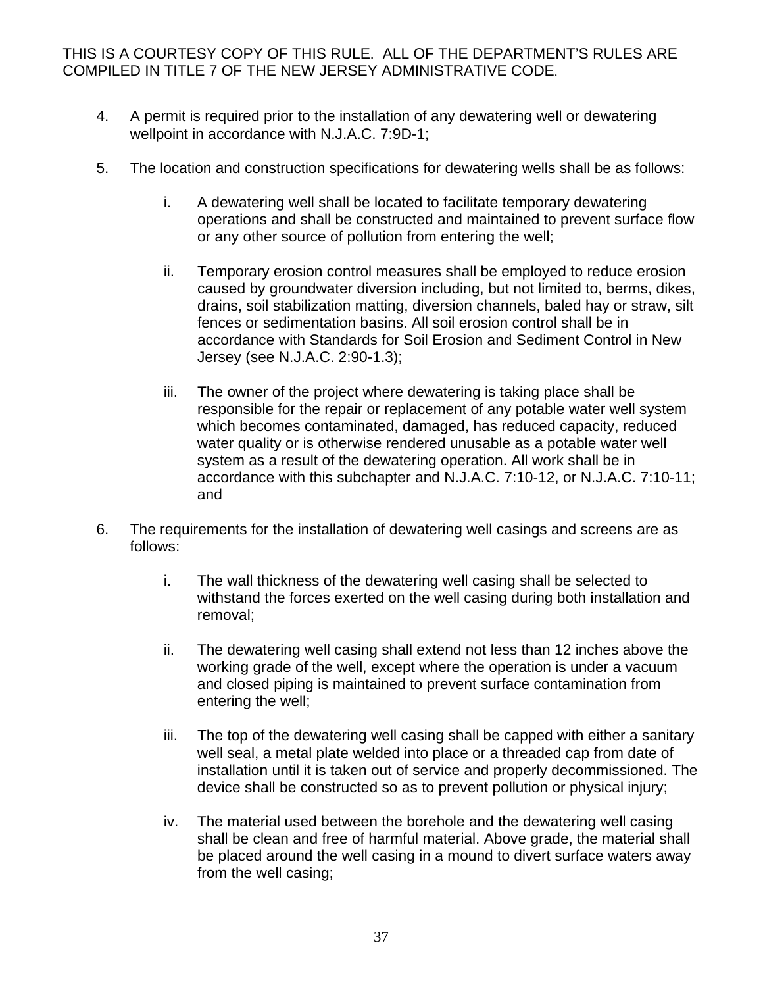- 4. A permit is required prior to the installation of any dewatering well or dewatering wellpoint in accordance with N.J.A.C. 7:9D-1;
- 5. The location and construction specifications for dewatering wells shall be as follows:
	- i. A dewatering well shall be located to facilitate temporary dewatering operations and shall be constructed and maintained to prevent surface flow or any other source of pollution from entering the well;
	- ii. Temporary erosion control measures shall be employed to reduce erosion caused by groundwater diversion including, but not limited to, berms, dikes, drains, soil stabilization matting, diversion channels, baled hay or straw, silt fences or sedimentation basins. All soil erosion control shall be in accordance with Standards for Soil Erosion and Sediment Control in New Jersey (see N.J.A.C. 2:90-1.3);
	- iii. The owner of the project where dewatering is taking place shall be responsible for the repair or replacement of any potable water well system which becomes contaminated, damaged, has reduced capacity, reduced water quality or is otherwise rendered unusable as a potable water well system as a result of the dewatering operation. All work shall be in accordance with this subchapter and N.J.A.C. 7:10-12, or N.J.A.C. 7:10-11; and
- 6. The requirements for the installation of dewatering well casings and screens are as follows:
	- i. The wall thickness of the dewatering well casing shall be selected to withstand the forces exerted on the well casing during both installation and removal;
	- ii. The dewatering well casing shall extend not less than 12 inches above the working grade of the well, except where the operation is under a vacuum and closed piping is maintained to prevent surface contamination from entering the well;
	- iii. The top of the dewatering well casing shall be capped with either a sanitary well seal, a metal plate welded into place or a threaded cap from date of installation until it is taken out of service and properly decommissioned. The device shall be constructed so as to prevent pollution or physical injury;
	- iv. The material used between the borehole and the dewatering well casing shall be clean and free of harmful material. Above grade, the material shall be placed around the well casing in a mound to divert surface waters away from the well casing;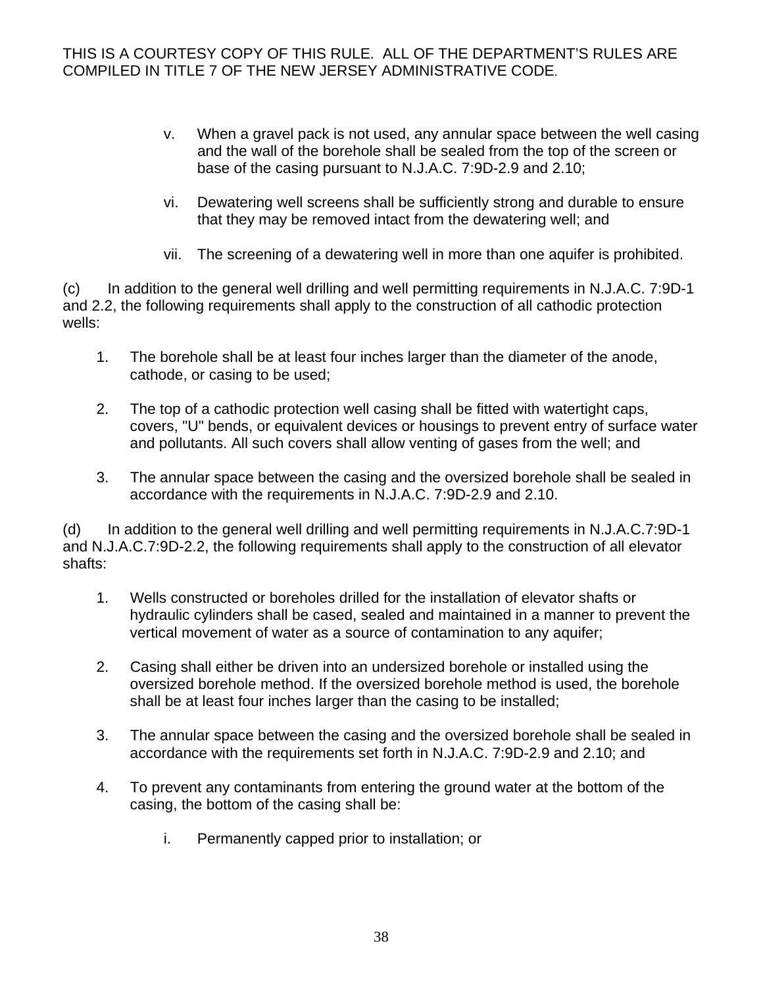- v. When a gravel pack is not used, any annular space between the well casing and the wall of the borehole shall be sealed from the top of the screen or base of the casing pursuant to N.J.A.C. 7:9D-2.9 and 2.10;
- vi. Dewatering well screens shall be sufficiently strong and durable to ensure that they may be removed intact from the dewatering well; and
- vii. The screening of a dewatering well in more than one aquifer is prohibited.

(c) In addition to the general well drilling and well permitting requirements in N.J.A.C. 7:9D-1 and 2.2, the following requirements shall apply to the construction of all cathodic protection wells:

- 1. The borehole shall be at least four inches larger than the diameter of the anode, cathode, or casing to be used;
- 2. The top of a cathodic protection well casing shall be fitted with watertight caps, covers, "U" bends, or equivalent devices or housings to prevent entry of surface water and pollutants. All such covers shall allow venting of gases from the well; and
- 3. The annular space between the casing and the oversized borehole shall be sealed in accordance with the requirements in N.J.A.C. 7:9D-2.9 and 2.10.

(d) In addition to the general well drilling and well permitting requirements in N.J.A.C.7:9D-1 and N.J.A.C.7:9D-2.2, the following requirements shall apply to the construction of all elevator shafts:

- 1. Wells constructed or boreholes drilled for the installation of elevator shafts or hydraulic cylinders shall be cased, sealed and maintained in a manner to prevent the vertical movement of water as a source of contamination to any aquifer;
- 2. Casing shall either be driven into an undersized borehole or installed using the oversized borehole method. If the oversized borehole method is used, the borehole shall be at least four inches larger than the casing to be installed;
- 3. The annular space between the casing and the oversized borehole shall be sealed in accordance with the requirements set forth in N.J.A.C. 7:9D-2.9 and 2.10; and
- 4. To prevent any contaminants from entering the ground water at the bottom of the casing, the bottom of the casing shall be:
	- i. Permanently capped prior to installation; or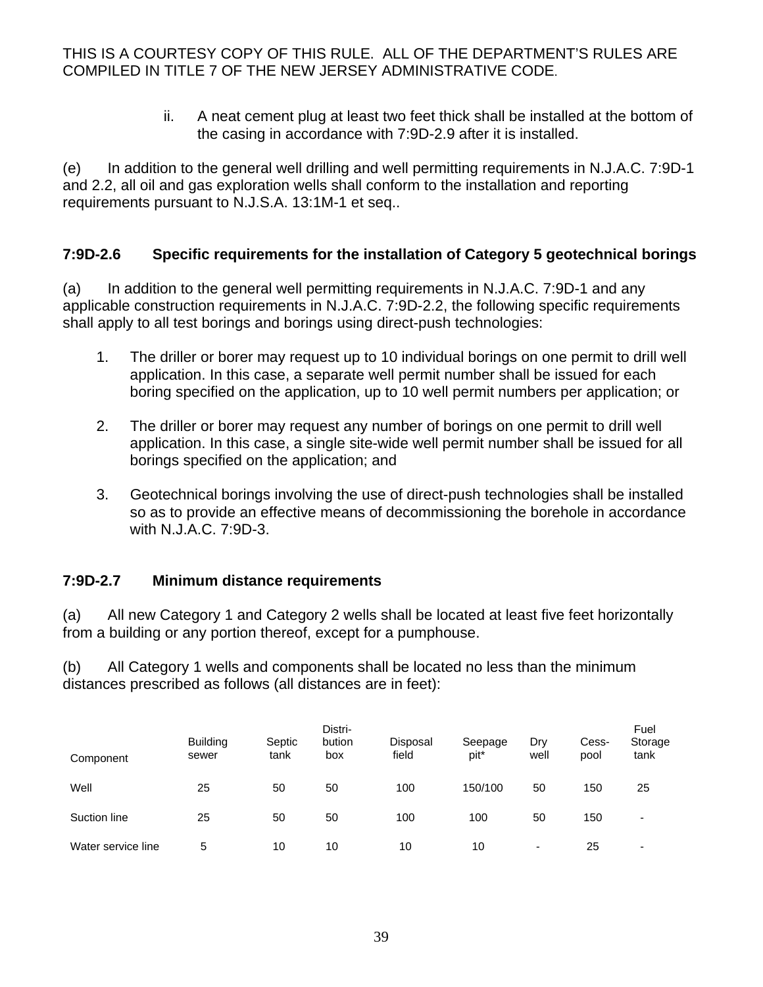> ii. A neat cement plug at least two feet thick shall be installed at the bottom of the casing in accordance with 7:9D-2.9 after it is installed.

(e) In addition to the general well drilling and well permitting requirements in N.J.A.C. 7:9D-1 and 2.2, all oil and gas exploration wells shall conform to the installation and reporting requirements pursuant to N.J.S.A. 13:1M-1 et seq..

#### **7:9D-2.6 Specific requirements for the installation of Category 5 geotechnical borings**

(a) In addition to the general well permitting requirements in N.J.A.C. 7:9D-1 and any applicable construction requirements in N.J.A.C. 7:9D-2.2, the following specific requirements shall apply to all test borings and borings using direct-push technologies:

- 1. The driller or borer may request up to 10 individual borings on one permit to drill well application. In this case, a separate well permit number shall be issued for each boring specified on the application, up to 10 well permit numbers per application; or
- 2. The driller or borer may request any number of borings on one permit to drill well application. In this case, a single site-wide well permit number shall be issued for all borings specified on the application; and
- 3. Geotechnical borings involving the use of direct-push technologies shall be installed so as to provide an effective means of decommissioning the borehole in accordance with N.J.A.C. 7:9D-3.

#### **7:9D-2.7 Minimum distance requirements**

(a) All new Category 1 and Category 2 wells shall be located at least five feet horizontally from a building or any portion thereof, except for a pumphouse.

(b) All Category 1 wells and components shall be located no less than the minimum distances prescribed as follows (all distances are in feet):

| Component          | <b>Building</b><br>sewer | Septic<br>tank | Distri-<br>bution<br>box | <b>Disposal</b><br>field | Seepage<br>pit* | Drv<br>well | Cess-<br>pool | Fuel<br>Storage<br>tank  |
|--------------------|--------------------------|----------------|--------------------------|--------------------------|-----------------|-------------|---------------|--------------------------|
| Well               | 25                       | 50             | 50                       | 100                      | 150/100         | 50          | 150           | 25                       |
| Suction line       | 25                       | 50             | 50                       | 100                      | 100             | 50          | 150           | $\overline{\phantom{0}}$ |
| Water service line | 5                        | 10             | 10                       | 10                       | 10              | ٠           | 25            | $\overline{\phantom{0}}$ |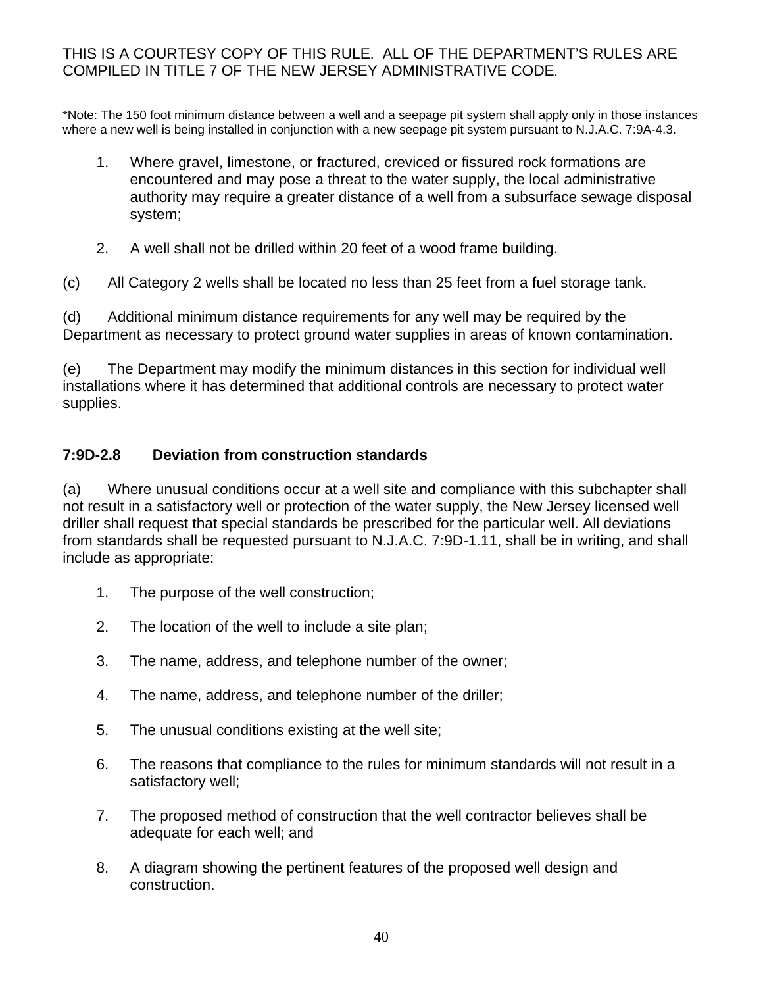\*Note: The 150 foot minimum distance between a well and a seepage pit system shall apply only in those instances where a new well is being installed in conjunction with a new seepage pit system pursuant to N.J.A.C. 7:9A-4.3.

- 1. Where gravel, limestone, or fractured, creviced or fissured rock formations are encountered and may pose a threat to the water supply, the local administrative authority may require a greater distance of a well from a subsurface sewage disposal system;
- 2. A well shall not be drilled within 20 feet of a wood frame building.

(c) All Category 2 wells shall be located no less than 25 feet from a fuel storage tank.

(d) Additional minimum distance requirements for any well may be required by the Department as necessary to protect ground water supplies in areas of known contamination.

(e) The Department may modify the minimum distances in this section for individual well installations where it has determined that additional controls are necessary to protect water supplies.

# **7:9D-2.8 Deviation from construction standards**

(a) Where unusual conditions occur at a well site and compliance with this subchapter shall not result in a satisfactory well or protection of the water supply, the New Jersey licensed well driller shall request that special standards be prescribed for the particular well. All deviations from standards shall be requested pursuant to N.J.A.C. 7:9D-1.11, shall be in writing, and shall include as appropriate:

- 1. The purpose of the well construction;
- 2. The location of the well to include a site plan;
- 3. The name, address, and telephone number of the owner;
- 4. The name, address, and telephone number of the driller;
- 5. The unusual conditions existing at the well site;
- 6. The reasons that compliance to the rules for minimum standards will not result in a satisfactory well;
- 7. The proposed method of construction that the well contractor believes shall be adequate for each well; and
- 8. A diagram showing the pertinent features of the proposed well design and construction.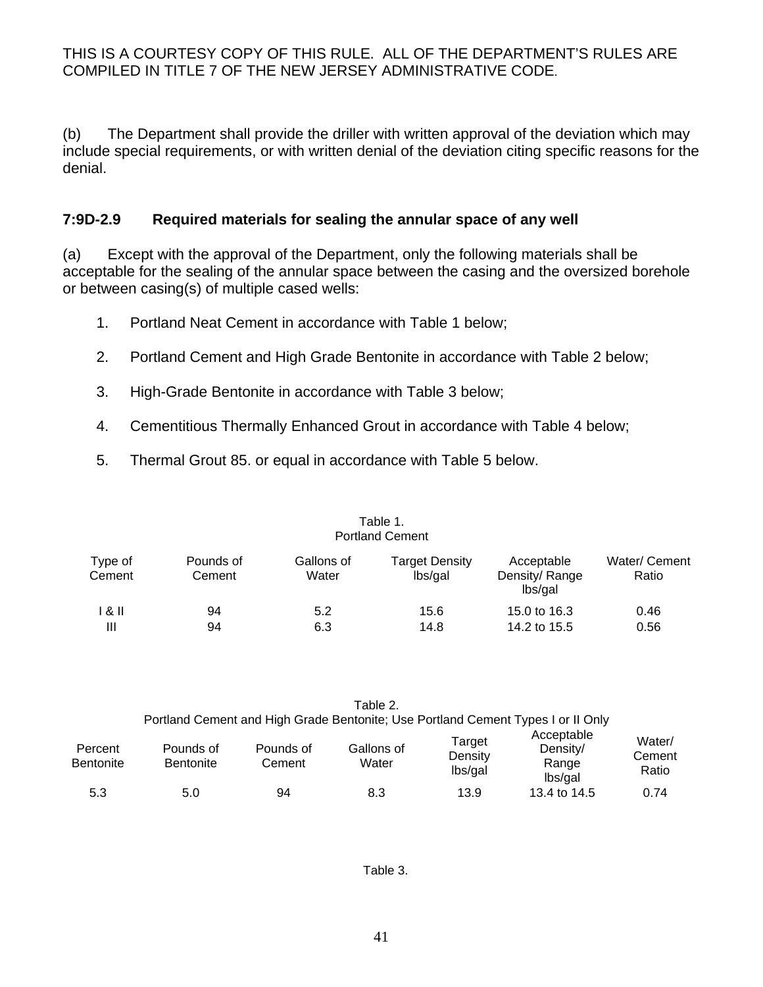(b) The Department shall provide the driller with written approval of the deviation which may include special requirements, or with written denial of the deviation citing specific reasons for the denial.

#### **7:9D-2.9 Required materials for sealing the annular space of any well**

(a) Except with the approval of the Department, only the following materials shall be acceptable for the sealing of the annular space between the casing and the oversized borehole or between casing(s) of multiple cased wells:

- 1. Portland Neat Cement in accordance with Table 1 below;
- 2. Portland Cement and High Grade Bentonite in accordance with Table 2 below;
- 3. High-Grade Bentonite in accordance with Table 3 below;
- 4. Cementitious Thermally Enhanced Grout in accordance with Table 4 below;
- 5. Thermal Grout 85. or equal in accordance with Table 5 below.

| Portland Cement   |                     |                     |                           |                                        |                        |  |
|-------------------|---------------------|---------------------|---------------------------|----------------------------------------|------------------------|--|
| Type of<br>Cement | Pounds of<br>Cement | Gallons of<br>Water | Target Density<br>lbs/gal | Acceptable<br>Density/Range<br>lbs/gal | Water/ Cement<br>Ratio |  |
| l & II            | 94                  | 5.2                 | 15.6                      | 15.0 to 16.3                           | 0.46                   |  |
| Ш                 | 94                  | 6.3                 | 14.8                      | 14.2 to 15.5                           | 0.56                   |  |

| Ш      | 94        | 6.3       |            | 14.8   | 14.2 to 15.5                                                                     | 0.56   |
|--------|-----------|-----------|------------|--------|----------------------------------------------------------------------------------|--------|
|        |           |           |            |        |                                                                                  |        |
|        |           |           |            |        |                                                                                  |        |
|        |           |           |            |        |                                                                                  |        |
|        |           |           | Table 2.   |        |                                                                                  |        |
|        |           |           |            |        | Portland Cement and High Grade Bentonite; Use Portland Cement Types I or II Only |        |
| ercent | Pounds of | Pounds of | Gallons of | Target | Acceptable<br>Density/                                                           | Water/ |

|                             | Portiand Cement and High Grade Bentonite, Use Portiand Cement Types For if Only |                     |                     |                              |                                            |                           |  |
|-----------------------------|---------------------------------------------------------------------------------|---------------------|---------------------|------------------------------|--------------------------------------------|---------------------------|--|
| Percent<br><b>Bentonite</b> | Pounds of<br><b>Bentonite</b>                                                   | Pounds of<br>Cement | Gallons of<br>Water | Target<br>Density<br>lbs/gal | Acceptable<br>Density/<br>Range<br>lbs/gal | Water/<br>Cement<br>Ratio |  |
| 5.3                         | 5.0                                                                             | 94                  | 8.3                 | 13.9                         | 13.4 to 14.5                               | 0.74                      |  |

#### Table 1. Portland Cement

41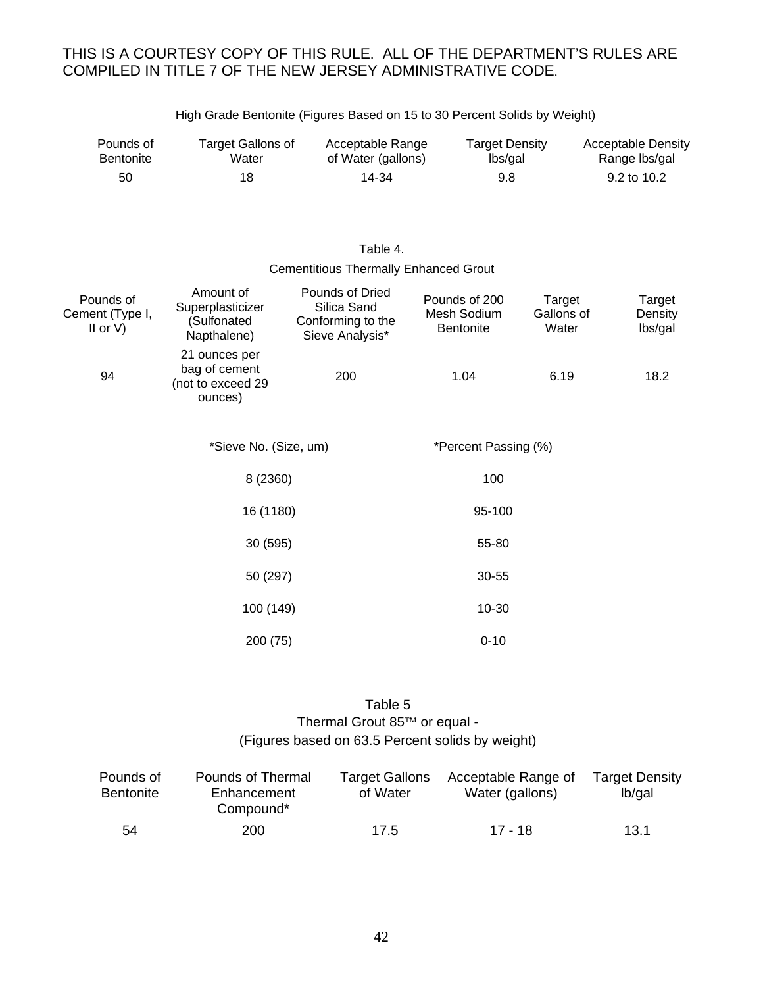| Pounds of        | Target Gallons of | Acceptable Range   | <b>Target Density</b> | <b>Acceptable Density</b> |
|------------------|-------------------|--------------------|-----------------------|---------------------------|
| <b>Bentonite</b> | Water             | of Water (gallons) | lbs/gal               | Range Ibs/gal             |
| 50               | 18                | 14-34              | 9.8                   | 9.2 to 10.2               |

High Grade Bentonite (Figures Based on 15 to 30 Percent Solids by Weight)

#### Table 4. Cementitious Thermally Enhanced Grout

| Pounds of<br>Cement (Type I,<br>II or $V$ ) | Amount of<br>Superplasticizer<br>(Sulfonated<br>Napthalene)    | Pounds of Dried<br>Silica Sand<br>Conforming to the<br>Sieve Analysis* | Pounds of 200<br>Mesh Sodium<br><b>Bentonite</b> | Target<br>Gallons of<br>Water | Target<br>Density<br>lbs/gal |
|---------------------------------------------|----------------------------------------------------------------|------------------------------------------------------------------------|--------------------------------------------------|-------------------------------|------------------------------|
| 94                                          | 21 ounces per<br>bag of cement<br>(not to exceed 29<br>ounces) | 200                                                                    | 1.04                                             | 6.19                          | 18.2                         |
|                                             | *Sieve No. (Size, um)                                          |                                                                        | *Percent Passing (%)                             |                               |                              |
|                                             | 8 (2360)                                                       |                                                                        | 100                                              |                               |                              |
|                                             | 16 (1180)                                                      |                                                                        | 95-100                                           |                               |                              |
|                                             | 30 (595)                                                       |                                                                        | 55-80                                            |                               |                              |
|                                             | 50 (297)                                                       |                                                                        | 30-55                                            |                               |                              |
|                                             | 100 (149)                                                      |                                                                        | 10-30                                            |                               |                              |
|                                             | 200 (75)                                                       |                                                                        | $0 - 10$                                         |                               |                              |

#### Table 5 Thermal Grout 85™ or equal -(Figures based on 63.5 Percent solids by weight)

| Pounds of<br><b>Bentonite</b> | Pounds of Thermal<br>Enhancement<br>Compound* | <b>Target Gallons</b><br>of Water | Acceptable Range of<br>Water (gallons) | <b>Target Density</b><br>lb/gal |
|-------------------------------|-----------------------------------------------|-----------------------------------|----------------------------------------|---------------------------------|
| 54                            | 200                                           | 17.5                              | 17 - 18                                | 13.1                            |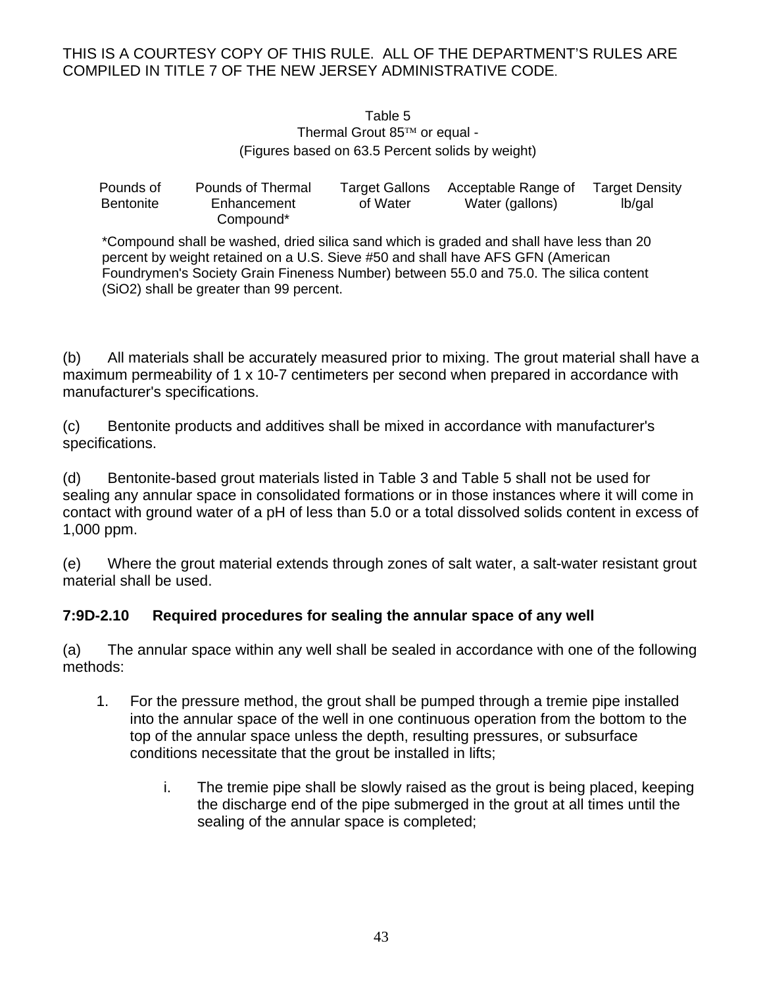#### Table 5 Thermal Grout  $85<sup>TM</sup>$  or equal -(Figures based on 63.5 Percent solids by weight)

| Pounds of        | Pounds of Thermal | Target Gallons | Acceptable Range of | <b>Target Density</b> |
|------------------|-------------------|----------------|---------------------|-----------------------|
| <b>Bentonite</b> | Enhancement       | of Water       | Water (gallons)     | lb/gal                |
|                  | Compound*         |                |                     |                       |

\*Compound shall be washed, dried silica sand which is graded and shall have less than 20 percent by weight retained on a U.S. Sieve #50 and shall have AFS GFN (American Foundrymen's Society Grain Fineness Number) between 55.0 and 75.0. The silica content (SiO2) shall be greater than 99 percent.

(b) All materials shall be accurately measured prior to mixing. The grout material shall have a maximum permeability of 1 x 10-7 centimeters per second when prepared in accordance with manufacturer's specifications.

(c) Bentonite products and additives shall be mixed in accordance with manufacturer's specifications.

(d) Bentonite-based grout materials listed in Table 3 and Table 5 shall not be used for sealing any annular space in consolidated formations or in those instances where it will come in contact with ground water of a pH of less than 5.0 or a total dissolved solids content in excess of 1,000 ppm.

(e) Where the grout material extends through zones of salt water, a salt-water resistant grout material shall be used.

# **7:9D-2.10 Required procedures for sealing the annular space of any well**

(a) The annular space within any well shall be sealed in accordance with one of the following methods:

- 1. For the pressure method, the grout shall be pumped through a tremie pipe installed into the annular space of the well in one continuous operation from the bottom to the top of the annular space unless the depth, resulting pressures, or subsurface conditions necessitate that the grout be installed in lifts;
	- i. The tremie pipe shall be slowly raised as the grout is being placed, keeping the discharge end of the pipe submerged in the grout at all times until the sealing of the annular space is completed;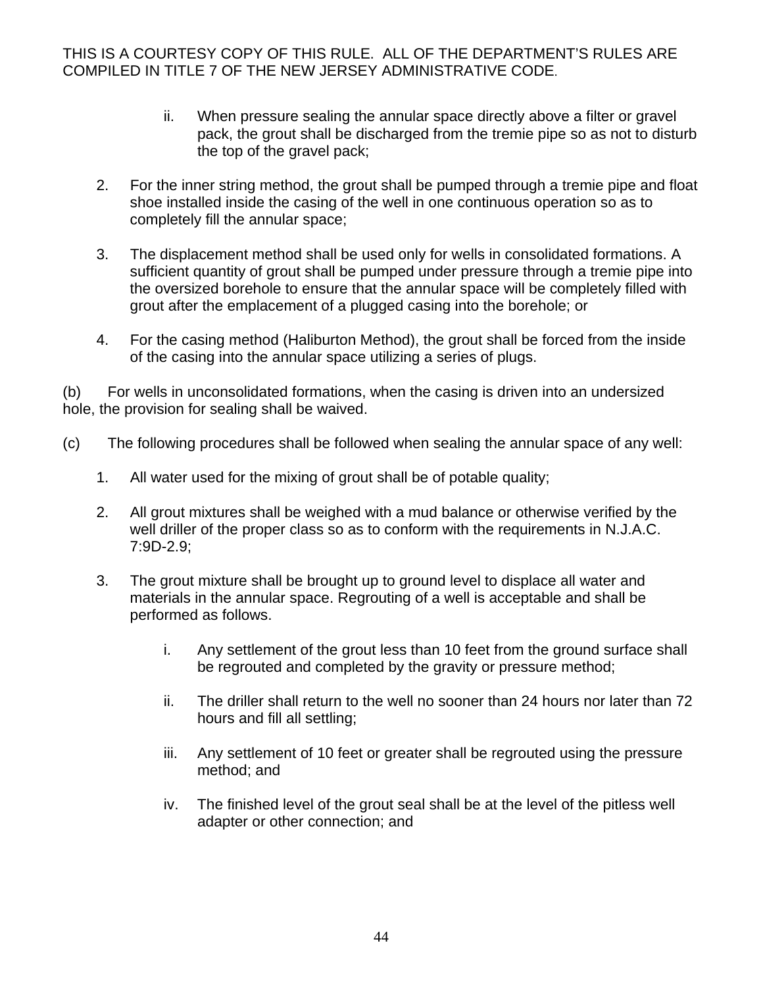- ii. When pressure sealing the annular space directly above a filter or gravel pack, the grout shall be discharged from the tremie pipe so as not to disturb the top of the gravel pack;
- 2. For the inner string method, the grout shall be pumped through a tremie pipe and float shoe installed inside the casing of the well in one continuous operation so as to completely fill the annular space;
- 3. The displacement method shall be used only for wells in consolidated formations. A sufficient quantity of grout shall be pumped under pressure through a tremie pipe into the oversized borehole to ensure that the annular space will be completely filled with grout after the emplacement of a plugged casing into the borehole; or
- 4. For the casing method (Haliburton Method), the grout shall be forced from the inside of the casing into the annular space utilizing a series of plugs.

(b) For wells in unconsolidated formations, when the casing is driven into an undersized hole, the provision for sealing shall be waived.

- (c) The following procedures shall be followed when sealing the annular space of any well:
	- 1. All water used for the mixing of grout shall be of potable quality;
	- 2. All grout mixtures shall be weighed with a mud balance or otherwise verified by the well driller of the proper class so as to conform with the requirements in N.J.A.C. 7:9D-2.9;
	- 3. The grout mixture shall be brought up to ground level to displace all water and materials in the annular space. Regrouting of a well is acceptable and shall be performed as follows.
		- i. Any settlement of the grout less than 10 feet from the ground surface shall be regrouted and completed by the gravity or pressure method;
		- ii. The driller shall return to the well no sooner than 24 hours nor later than 72 hours and fill all settling;
		- iii. Any settlement of 10 feet or greater shall be regrouted using the pressure method; and
		- iv. The finished level of the grout seal shall be at the level of the pitless well adapter or other connection; and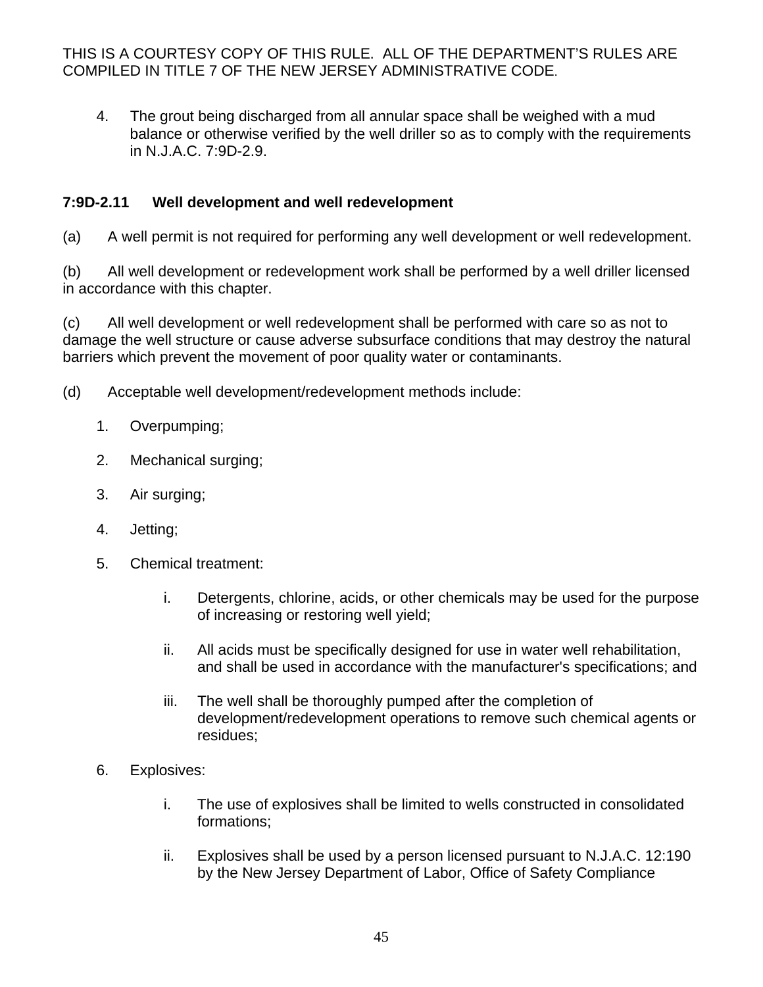4. The grout being discharged from all annular space shall be weighed with a mud balance or otherwise verified by the well driller so as to comply with the requirements in N.J.A.C. 7:9D-2.9.

# **7:9D-2.11 Well development and well redevelopment**

(a) A well permit is not required for performing any well development or well redevelopment.

(b) All well development or redevelopment work shall be performed by a well driller licensed in accordance with this chapter.

(c) All well development or well redevelopment shall be performed with care so as not to damage the well structure or cause adverse subsurface conditions that may destroy the natural barriers which prevent the movement of poor quality water or contaminants.

- (d) Acceptable well development/redevelopment methods include:
	- 1. Overpumping;
	- 2. Mechanical surging;
	- 3. Air surging;
	- 4. Jetting;
	- 5. Chemical treatment:
		- i. Detergents, chlorine, acids, or other chemicals may be used for the purpose of increasing or restoring well yield;
		- ii. All acids must be specifically designed for use in water well rehabilitation, and shall be used in accordance with the manufacturer's specifications; and
		- iii. The well shall be thoroughly pumped after the completion of development/redevelopment operations to remove such chemical agents or residues;
	- 6. Explosives:
		- i. The use of explosives shall be limited to wells constructed in consolidated formations;
		- ii. Explosives shall be used by a person licensed pursuant to N.J.A.C. 12:190 by the New Jersey Department of Labor, Office of Safety Compliance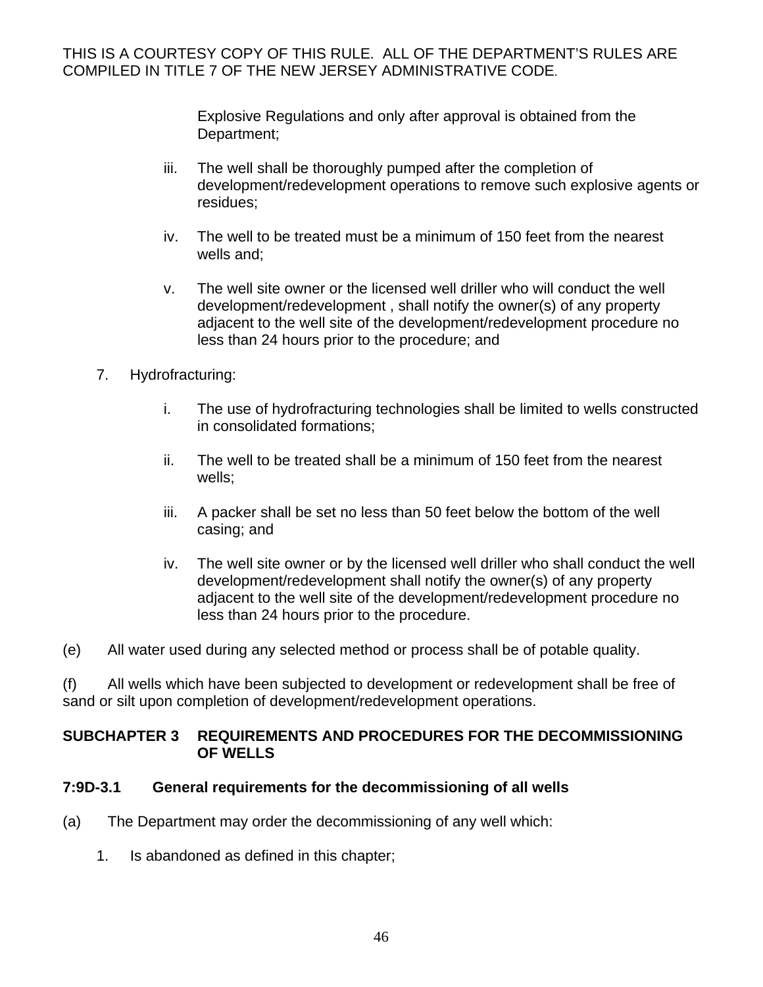> Explosive Regulations and only after approval is obtained from the Department;

- iii. The well shall be thoroughly pumped after the completion of development/redevelopment operations to remove such explosive agents or residues;
- iv. The well to be treated must be a minimum of 150 feet from the nearest wells and;
- v. The well site owner or the licensed well driller who will conduct the well development/redevelopment , shall notify the owner(s) of any property adjacent to the well site of the development/redevelopment procedure no less than 24 hours prior to the procedure; and
- 7. Hydrofracturing:
	- i. The use of hydrofracturing technologies shall be limited to wells constructed in consolidated formations;
	- ii. The well to be treated shall be a minimum of 150 feet from the nearest wells;
	- iii. A packer shall be set no less than 50 feet below the bottom of the well casing; and
	- iv. The well site owner or by the licensed well driller who shall conduct the well development/redevelopment shall notify the owner(s) of any property adjacent to the well site of the development/redevelopment procedure no less than 24 hours prior to the procedure.
- (e) All water used during any selected method or process shall be of potable quality.

(f) All wells which have been subjected to development or redevelopment shall be free of sand or silt upon completion of development/redevelopment operations.

#### **SUBCHAPTER 3 REQUIREMENTS AND PROCEDURES FOR THE DECOMMISSIONING OF WELLS**

#### **7:9D-3.1 General requirements for the decommissioning of all wells**

- (a) The Department may order the decommissioning of any well which:
	- 1. Is abandoned as defined in this chapter;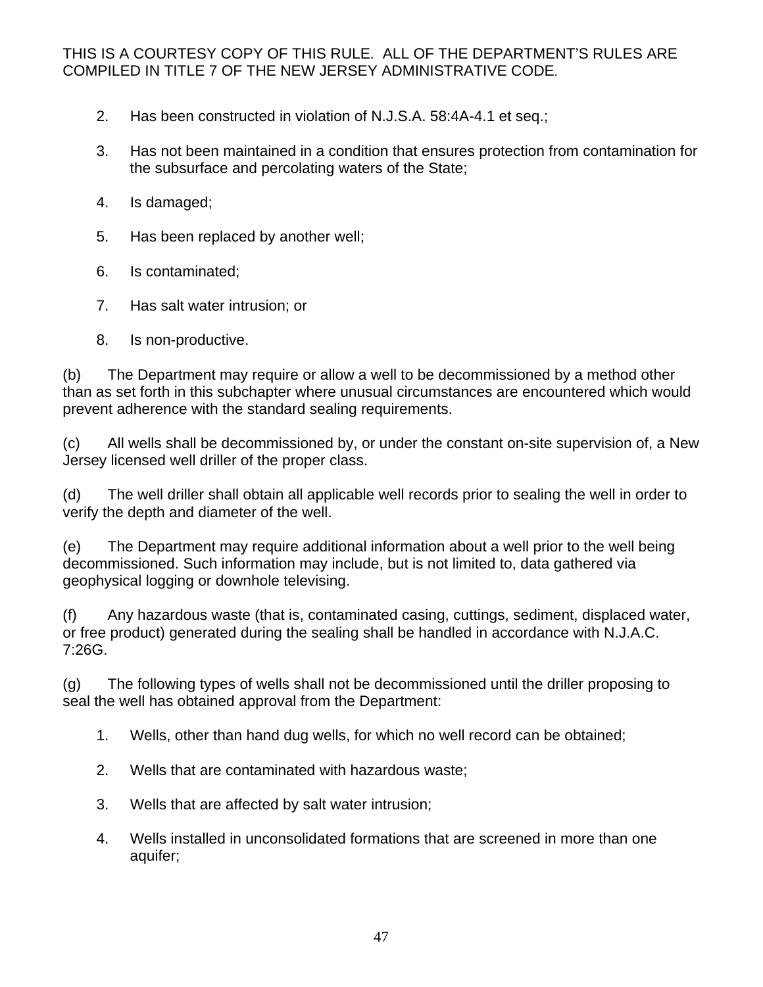- 2. Has been constructed in violation of N.J.S.A. 58:4A-4.1 et seq.;
- 3. Has not been maintained in a condition that ensures protection from contamination for the subsurface and percolating waters of the State;
- 4. Is damaged;
- 5. Has been replaced by another well;
- 6. Is contaminated;
- 7. Has salt water intrusion; or
- 8. Is non-productive.

(b) The Department may require or allow a well to be decommissioned by a method other than as set forth in this subchapter where unusual circumstances are encountered which would prevent adherence with the standard sealing requirements.

(c) All wells shall be decommissioned by, or under the constant on-site supervision of, a New Jersey licensed well driller of the proper class.

(d) The well driller shall obtain all applicable well records prior to sealing the well in order to verify the depth and diameter of the well.

(e) The Department may require additional information about a well prior to the well being decommissioned. Such information may include, but is not limited to, data gathered via geophysical logging or downhole televising.

(f) Any hazardous waste (that is, contaminated casing, cuttings, sediment, displaced water, or free product) generated during the sealing shall be handled in accordance with N.J.A.C. 7:26G.

(g) The following types of wells shall not be decommissioned until the driller proposing to seal the well has obtained approval from the Department:

- 1. Wells, other than hand dug wells, for which no well record can be obtained;
- 2. Wells that are contaminated with hazardous waste;
- 3. Wells that are affected by salt water intrusion;
- 4. Wells installed in unconsolidated formations that are screened in more than one aquifer;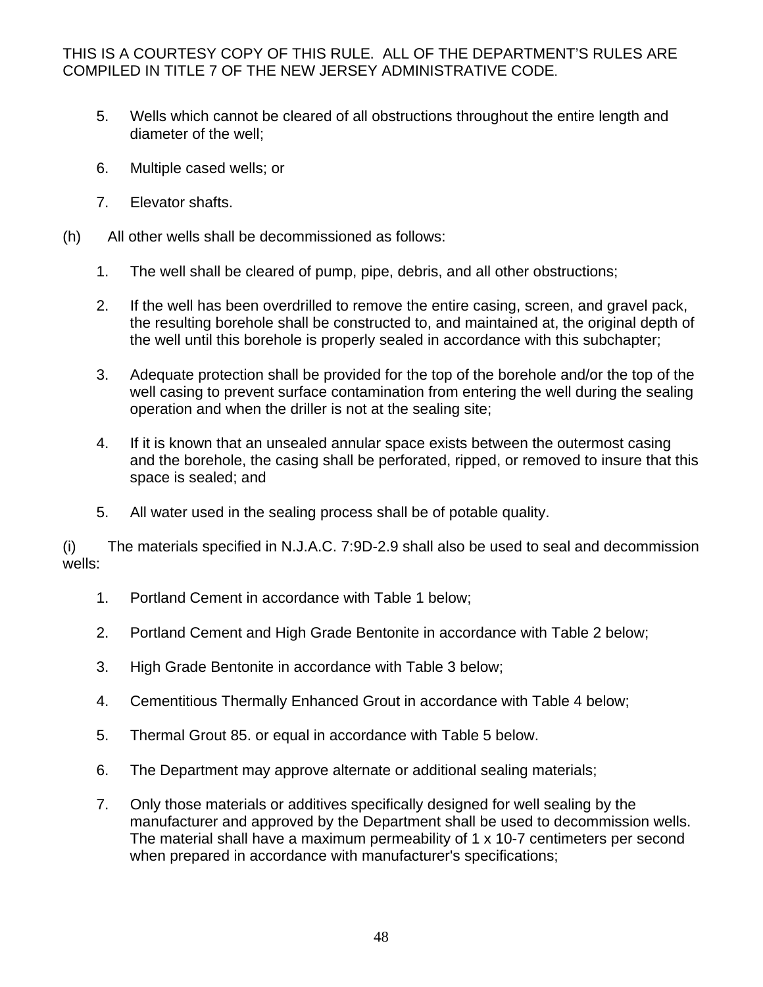- 5. Wells which cannot be cleared of all obstructions throughout the entire length and diameter of the well;
- 6. Multiple cased wells; or
- 7. Elevator shafts.
- (h) All other wells shall be decommissioned as follows:
	- 1. The well shall be cleared of pump, pipe, debris, and all other obstructions;
	- 2. If the well has been overdrilled to remove the entire casing, screen, and gravel pack, the resulting borehole shall be constructed to, and maintained at, the original depth of the well until this borehole is properly sealed in accordance with this subchapter;
	- 3. Adequate protection shall be provided for the top of the borehole and/or the top of the well casing to prevent surface contamination from entering the well during the sealing operation and when the driller is not at the sealing site;
	- 4. If it is known that an unsealed annular space exists between the outermost casing and the borehole, the casing shall be perforated, ripped, or removed to insure that this space is sealed; and
	- 5. All water used in the sealing process shall be of potable quality.

(i) The materials specified in N.J.A.C. 7:9D-2.9 shall also be used to seal and decommission wells:

- 1. Portland Cement in accordance with Table 1 below;
- 2. Portland Cement and High Grade Bentonite in accordance with Table 2 below;
- 3. High Grade Bentonite in accordance with Table 3 below;
- 4. Cementitious Thermally Enhanced Grout in accordance with Table 4 below;
- 5. Thermal Grout 85. or equal in accordance with Table 5 below.
- 6. The Department may approve alternate or additional sealing materials;
- 7. Only those materials or additives specifically designed for well sealing by the manufacturer and approved by the Department shall be used to decommission wells. The material shall have a maximum permeability of 1 x 10-7 centimeters per second when prepared in accordance with manufacturer's specifications;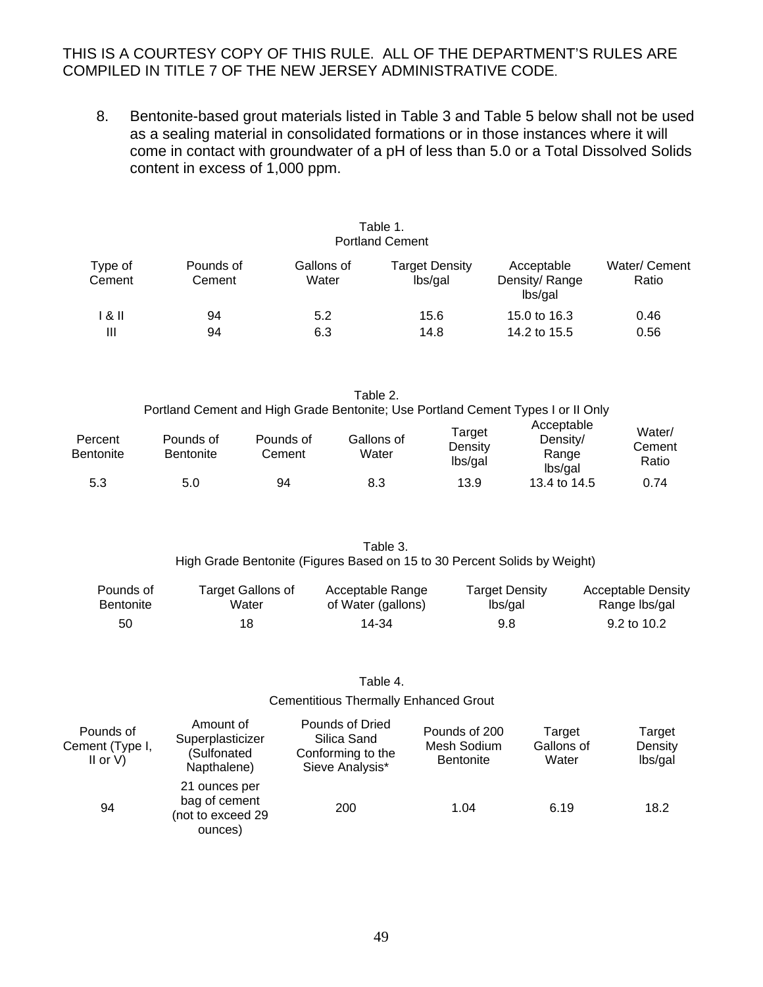8. Bentonite-based grout materials listed in Table 3 and Table 5 below shall not be used as a sealing material in consolidated formations or in those instances where it will come in contact with groundwater of a pH of less than 5.0 or a Total Dissolved Solids content in excess of 1,000 ppm.

| Table 1.<br><b>Portland Cement</b> |                     |                     |                           |                                        |                        |  |
|------------------------------------|---------------------|---------------------|---------------------------|----------------------------------------|------------------------|--|
| Type of<br>Cement                  | Pounds of<br>Cement | Gallons of<br>Water | Target Density<br>lbs/gal | Acceptable<br>Density/Range<br>lbs/gal | Water/ Cement<br>Ratio |  |
| 8 II<br>Ш                          | 94<br>94            | 5.2<br>6.3          | 15.6<br>14.8              | 15.0 to 16.3<br>14.2 to 15.5           | 0.46<br>0.56           |  |

Table 2. Portland Cement and High Grade Bentonite; Use Portland Cement Types I or II Only Percent **Bentonite** Pounds of **Bentonite** Pounds of **Cement** Gallons of **Water** Target **Density** lbs/gal Acceptable Density/ Range lbs/gal Water/ **Cement** Ratio

> Table 3. High Grade Bentonite (Figures Based on 15 to 30 Percent Solids by Weight)

5.3 5.0 94 8.3 13.9 13.4 to 14.5 0.74

| Pounds of        | Target Gallons of | Acceptable Range   | Target Density | <b>Acceptable Density</b> |
|------------------|-------------------|--------------------|----------------|---------------------------|
| <b>Bentonite</b> | Water             | of Water (gallons) | lbs/gal        | Range Ibs/gal             |
| 50               | 18                | 14-34              | 9.8            | 9.2 to 10.2               |

#### Table 4.

#### Cementitious Thermally Enhanced Grout

| Pounds of<br>Cement (Type I,<br>II or $V$ ) | Amount of<br>Superplasticizer<br>(Sulfonated<br>Napthalene)    | Pounds of Dried<br>Silica Sand<br>Conforming to the<br>Sieve Analysis* | Pounds of 200<br>Mesh Sodium<br><b>Bentonite</b> | Target<br>Gallons of<br>Water | Target<br>Density<br>lbs/gal |
|---------------------------------------------|----------------------------------------------------------------|------------------------------------------------------------------------|--------------------------------------------------|-------------------------------|------------------------------|
| 94                                          | 21 ounces per<br>bag of cement<br>(not to exceed 29<br>ounces) | 200                                                                    | 1.04                                             | 6.19                          | 18.2                         |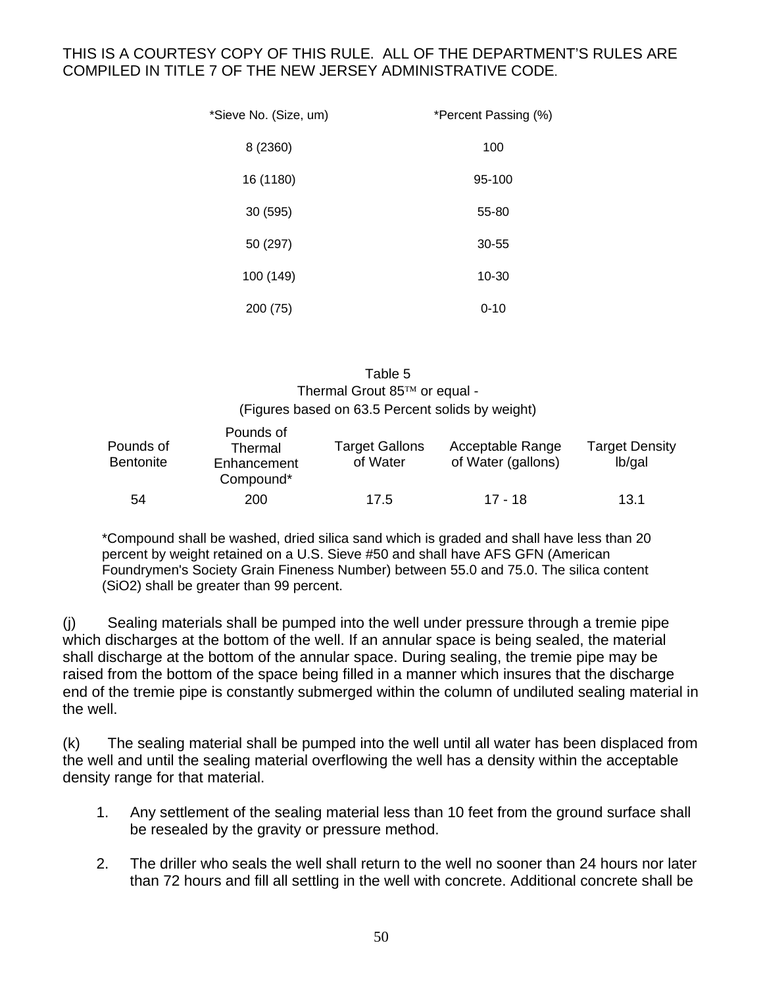| *Sieve No. (Size, um) | *Percent Passing (%) |
|-----------------------|----------------------|
| 8 (2360)              | 100                  |
| 16 (1180)             | 95-100               |
| 30 (595)              | 55-80                |
| 50 (297)              | 30-55                |
| 100 (149)             | 10-30                |
| 200 (75)              | $0 - 10$             |

Table 5 Thermal Grout  $85<sup>TM</sup>$  or equal -(Figures based on 63.5 Percent solids by weight)

| Pounds of<br>Pounds of<br>Thermal<br><b>Bentonite</b><br>Enhancement<br>Compound* |     | <b>Target Gallons</b><br>of Water | Acceptable Range<br>of Water (gallons) | <b>Target Density</b><br>lb/gal |
|-----------------------------------------------------------------------------------|-----|-----------------------------------|----------------------------------------|---------------------------------|
| 54                                                                                | 200 | 17.5                              | 17 - 18                                | 13.1                            |

\*Compound shall be washed, dried silica sand which is graded and shall have less than 20 percent by weight retained on a U.S. Sieve #50 and shall have AFS GFN (American Foundrymen's Society Grain Fineness Number) between 55.0 and 75.0. The silica content (SiO2) shall be greater than 99 percent.

(j) Sealing materials shall be pumped into the well under pressure through a tremie pipe which discharges at the bottom of the well. If an annular space is being sealed, the material shall discharge at the bottom of the annular space. During sealing, the tremie pipe may be raised from the bottom of the space being filled in a manner which insures that the discharge end of the tremie pipe is constantly submerged within the column of undiluted sealing material in the well.

(k) The sealing material shall be pumped into the well until all water has been displaced from the well and until the sealing material overflowing the well has a density within the acceptable density range for that material.

- 1. Any settlement of the sealing material less than 10 feet from the ground surface shall be resealed by the gravity or pressure method.
- 2. The driller who seals the well shall return to the well no sooner than 24 hours nor later than 72 hours and fill all settling in the well with concrete. Additional concrete shall be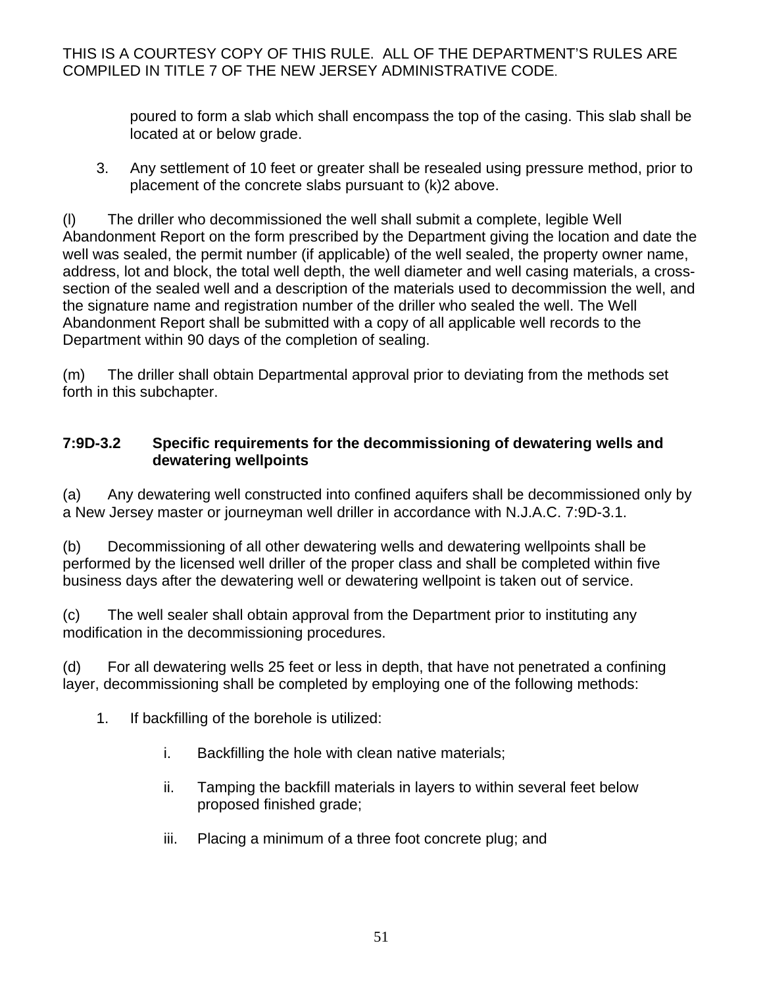poured to form a slab which shall encompass the top of the casing. This slab shall be located at or below grade.

3. Any settlement of 10 feet or greater shall be resealed using pressure method, prior to placement of the concrete slabs pursuant to (k)2 above.

(l) The driller who decommissioned the well shall submit a complete, legible Well Abandonment Report on the form prescribed by the Department giving the location and date the well was sealed, the permit number (if applicable) of the well sealed, the property owner name, address, lot and block, the total well depth, the well diameter and well casing materials, a crosssection of the sealed well and a description of the materials used to decommission the well, and the signature name and registration number of the driller who sealed the well. The Well Abandonment Report shall be submitted with a copy of all applicable well records to the Department within 90 days of the completion of sealing.

(m) The driller shall obtain Departmental approval prior to deviating from the methods set forth in this subchapter.

#### **7:9D-3.2 Specific requirements for the decommissioning of dewatering wells and dewatering wellpoints**

(a) Any dewatering well constructed into confined aquifers shall be decommissioned only by a New Jersey master or journeyman well driller in accordance with N.J.A.C. 7:9D-3.1.

(b) Decommissioning of all other dewatering wells and dewatering wellpoints shall be performed by the licensed well driller of the proper class and shall be completed within five business days after the dewatering well or dewatering wellpoint is taken out of service.

(c) The well sealer shall obtain approval from the Department prior to instituting any modification in the decommissioning procedures.

(d) For all dewatering wells 25 feet or less in depth, that have not penetrated a confining layer, decommissioning shall be completed by employing one of the following methods:

- 1. If backfilling of the borehole is utilized:
	- i. Backfilling the hole with clean native materials;
	- ii. Tamping the backfill materials in layers to within several feet below proposed finished grade;
	- iii. Placing a minimum of a three foot concrete plug; and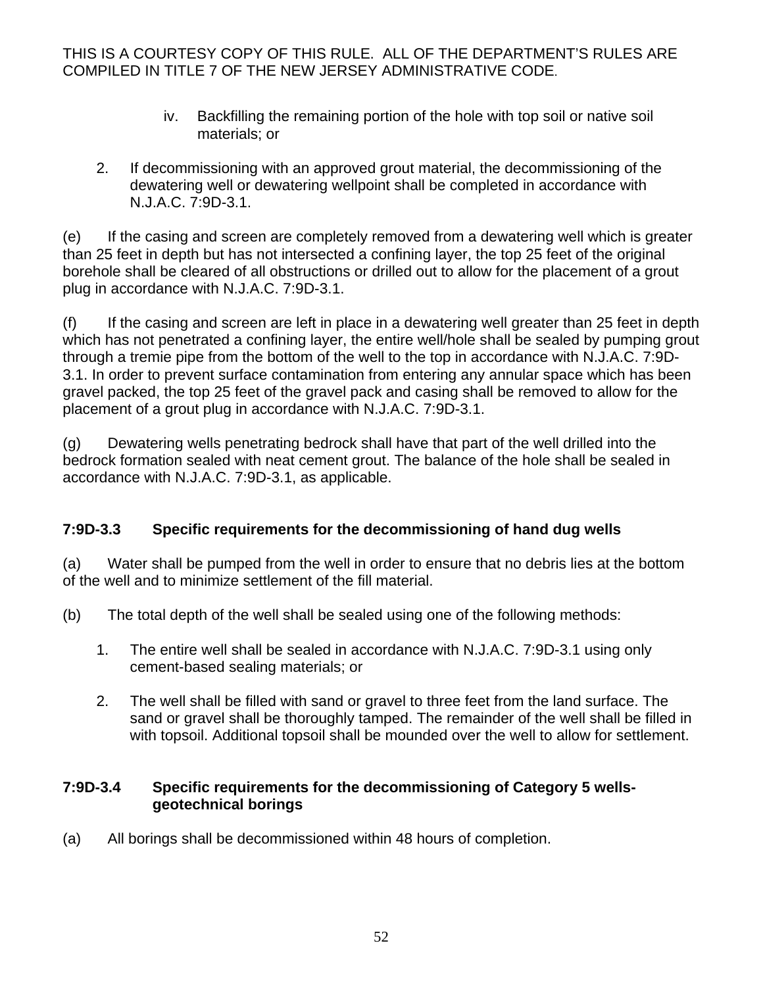- iv. Backfilling the remaining portion of the hole with top soil or native soil materials; or
- 2. If decommissioning with an approved grout material, the decommissioning of the dewatering well or dewatering wellpoint shall be completed in accordance with N.J.A.C. 7:9D-3.1.

(e) If the casing and screen are completely removed from a dewatering well which is greater than 25 feet in depth but has not intersected a confining layer, the top 25 feet of the original borehole shall be cleared of all obstructions or drilled out to allow for the placement of a grout plug in accordance with N.J.A.C. 7:9D-3.1.

(f) If the casing and screen are left in place in a dewatering well greater than 25 feet in depth which has not penetrated a confining layer, the entire well/hole shall be sealed by pumping grout through a tremie pipe from the bottom of the well to the top in accordance with N.J.A.C. 7:9D-3.1. In order to prevent surface contamination from entering any annular space which has been gravel packed, the top 25 feet of the gravel pack and casing shall be removed to allow for the placement of a grout plug in accordance with N.J.A.C. 7:9D-3.1.

(g) Dewatering wells penetrating bedrock shall have that part of the well drilled into the bedrock formation sealed with neat cement grout. The balance of the hole shall be sealed in accordance with N.J.A.C. 7:9D-3.1, as applicable.

# **7:9D-3.3 Specific requirements for the decommissioning of hand dug wells**

(a) Water shall be pumped from the well in order to ensure that no debris lies at the bottom of the well and to minimize settlement of the fill material.

- (b) The total depth of the well shall be sealed using one of the following methods:
	- 1. The entire well shall be sealed in accordance with N.J.A.C. 7:9D-3.1 using only cement-based sealing materials; or
	- 2. The well shall be filled with sand or gravel to three feet from the land surface. The sand or gravel shall be thoroughly tamped. The remainder of the well shall be filled in with topsoil. Additional topsoil shall be mounded over the well to allow for settlement.

## **7:9D-3.4 Specific requirements for the decommissioning of Category 5 wellsgeotechnical borings**

(a) All borings shall be decommissioned within 48 hours of completion.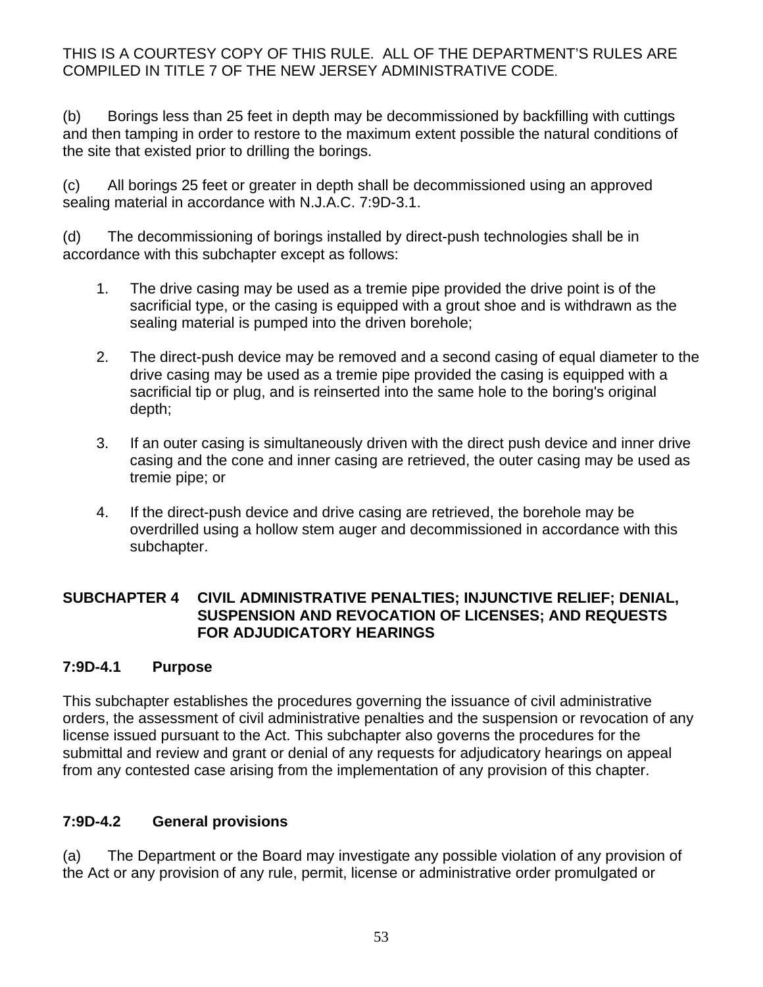(b) Borings less than 25 feet in depth may be decommissioned by backfilling with cuttings and then tamping in order to restore to the maximum extent possible the natural conditions of the site that existed prior to drilling the borings.

(c) All borings 25 feet or greater in depth shall be decommissioned using an approved sealing material in accordance with N.J.A.C. 7:9D-3.1.

(d) The decommissioning of borings installed by direct-push technologies shall be in accordance with this subchapter except as follows:

- 1. The drive casing may be used as a tremie pipe provided the drive point is of the sacrificial type, or the casing is equipped with a grout shoe and is withdrawn as the sealing material is pumped into the driven borehole;
- 2. The direct-push device may be removed and a second casing of equal diameter to the drive casing may be used as a tremie pipe provided the casing is equipped with a sacrificial tip or plug, and is reinserted into the same hole to the boring's original depth;
- 3. If an outer casing is simultaneously driven with the direct push device and inner drive casing and the cone and inner casing are retrieved, the outer casing may be used as tremie pipe; or
- 4. If the direct-push device and drive casing are retrieved, the borehole may be overdrilled using a hollow stem auger and decommissioned in accordance with this subchapter.

#### **SUBCHAPTER 4 CIVIL ADMINISTRATIVE PENALTIES; INJUNCTIVE RELIEF; DENIAL, SUSPENSION AND REVOCATION OF LICENSES; AND REQUESTS FOR ADJUDICATORY HEARINGS**

## **7:9D-4.1 Purpose**

This subchapter establishes the procedures governing the issuance of civil administrative orders, the assessment of civil administrative penalties and the suspension or revocation of any license issued pursuant to the Act. This subchapter also governs the procedures for the submittal and review and grant or denial of any requests for adjudicatory hearings on appeal from any contested case arising from the implementation of any provision of this chapter.

## **7:9D-4.2 General provisions**

(a) The Department or the Board may investigate any possible violation of any provision of the Act or any provision of any rule, permit, license or administrative order promulgated or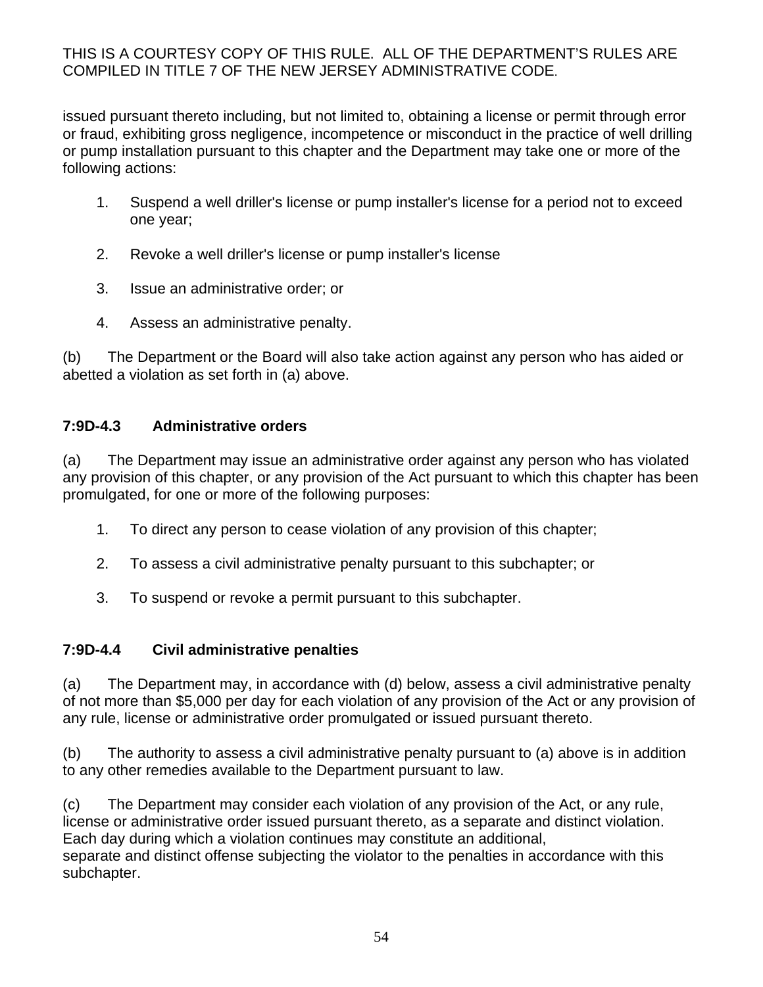issued pursuant thereto including, but not limited to, obtaining a license or permit through error or fraud, exhibiting gross negligence, incompetence or misconduct in the practice of well drilling or pump installation pursuant to this chapter and the Department may take one or more of the following actions:

- 1. Suspend a well driller's license or pump installer's license for a period not to exceed one year;
- 2. Revoke a well driller's license or pump installer's license
- 3. Issue an administrative order; or
- 4. Assess an administrative penalty.

(b) The Department or the Board will also take action against any person who has aided or abetted a violation as set forth in (a) above.

# **7:9D-4.3 Administrative orders**

(a) The Department may issue an administrative order against any person who has violated any provision of this chapter, or any provision of the Act pursuant to which this chapter has been promulgated, for one or more of the following purposes:

- 1. To direct any person to cease violation of any provision of this chapter;
- 2. To assess a civil administrative penalty pursuant to this subchapter; or
- 3. To suspend or revoke a permit pursuant to this subchapter.

## **7:9D-4.4 Civil administrative penalties**

(a) The Department may, in accordance with (d) below, assess a civil administrative penalty of not more than \$5,000 per day for each violation of any provision of the Act or any provision of any rule, license or administrative order promulgated or issued pursuant thereto.

(b) The authority to assess a civil administrative penalty pursuant to (a) above is in addition to any other remedies available to the Department pursuant to law.

(c) The Department may consider each violation of any provision of the Act, or any rule, license or administrative order issued pursuant thereto, as a separate and distinct violation. Each day during which a violation continues may constitute an additional, separate and distinct offense subjecting the violator to the penalties in accordance with this subchapter.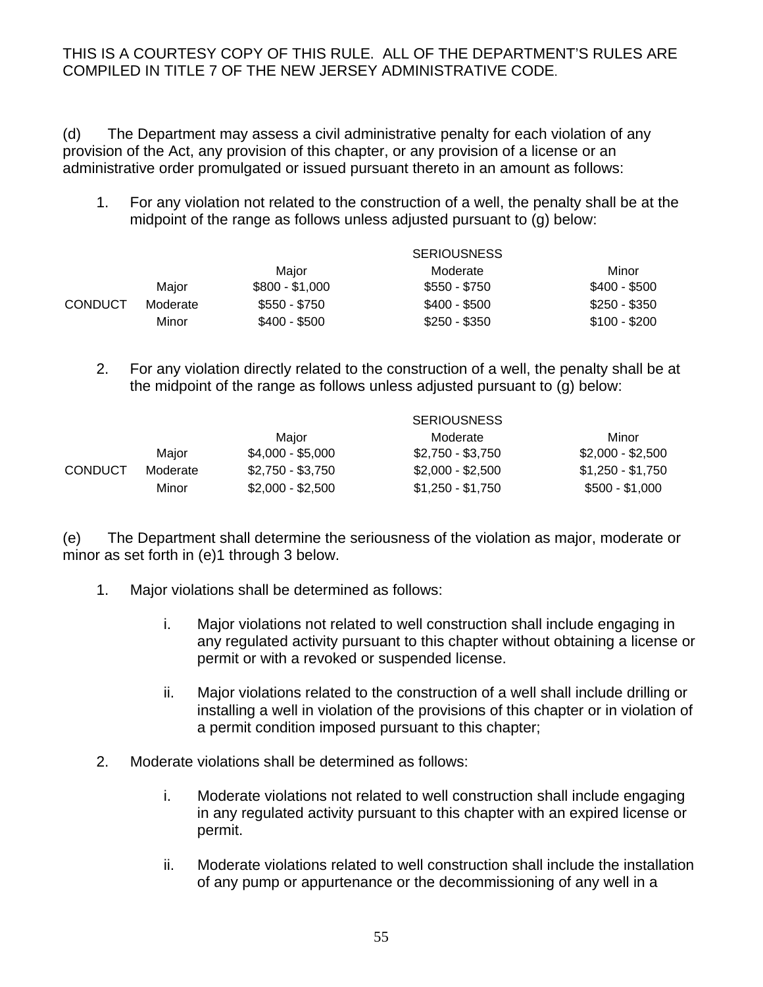(d) The Department may assess a civil administrative penalty for each violation of any provision of the Act, any provision of this chapter, or any provision of a license or an administrative order promulgated or issued pursuant thereto in an amount as follows:

1. For any violation not related to the construction of a well, the penalty shall be at the midpoint of the range as follows unless adjusted pursuant to (g) below:

|                |          | <b>SERIOUSNESS</b> |               |               |
|----------------|----------|--------------------|---------------|---------------|
|                |          | Maior              | Moderate      | Minor         |
|                | Maior    | $$800 - $1,000$    | \$550 - \$750 | \$400 - \$500 |
| <b>CONDUCT</b> | Moderate | \$550 - \$750      | \$400 - \$500 | $$250 - $350$ |
|                | Minor    | \$400 - \$500      | \$250 - \$350 | $$100 - $200$ |

2. For any violation directly related to the construction of a well, the penalty shall be at the midpoint of the range as follows unless adjusted pursuant to (g) below:

|         |          | <b>SERIOUSNESS</b> |                   |                   |
|---------|----------|--------------------|-------------------|-------------------|
|         |          | Maior              | Moderate          | Minor             |
|         | Maior    | $$4,000 - $5,000$  | \$2,750 - \$3,750 | $$2,000 - $2,500$ |
| CONDUCT | Moderate | $$2,750 - $3,750$  | $$2,000 - $2,500$ | \$1,250 - \$1,750 |
|         | Minor    | \$2,000 - \$2,500  | \$1,250 - \$1,750 | $$500 - $1,000$   |

(e) The Department shall determine the seriousness of the violation as major, moderate or minor as set forth in (e)1 through 3 below.

- 1. Major violations shall be determined as follows:
	- i. Major violations not related to well construction shall include engaging in any regulated activity pursuant to this chapter without obtaining a license or permit or with a revoked or suspended license.
	- ii. Major violations related to the construction of a well shall include drilling or installing a well in violation of the provisions of this chapter or in violation of a permit condition imposed pursuant to this chapter;
- 2. Moderate violations shall be determined as follows:
	- i. Moderate violations not related to well construction shall include engaging in any regulated activity pursuant to this chapter with an expired license or permit.
	- ii. Moderate violations related to well construction shall include the installation of any pump or appurtenance or the decommissioning of any well in a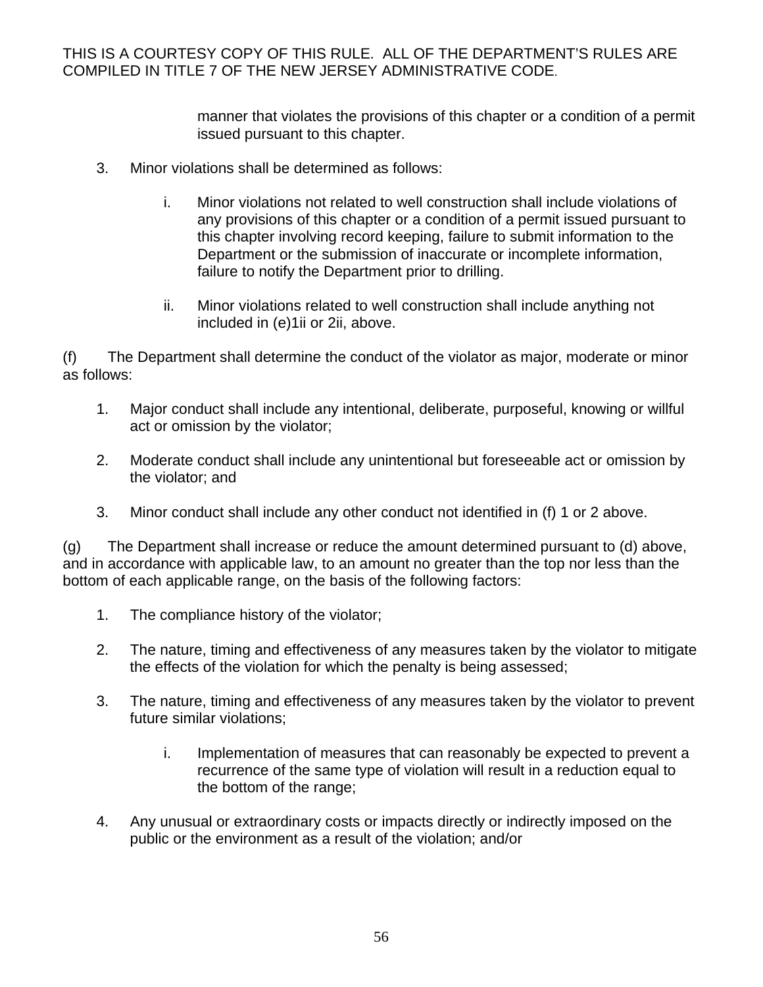> manner that violates the provisions of this chapter or a condition of a permit issued pursuant to this chapter.

- 3. Minor violations shall be determined as follows:
	- i. Minor violations not related to well construction shall include violations of any provisions of this chapter or a condition of a permit issued pursuant to this chapter involving record keeping, failure to submit information to the Department or the submission of inaccurate or incomplete information, failure to notify the Department prior to drilling.
	- ii. Minor violations related to well construction shall include anything not included in (e)1ii or 2ii, above.

(f) The Department shall determine the conduct of the violator as major, moderate or minor as follows:

- 1. Major conduct shall include any intentional, deliberate, purposeful, knowing or willful act or omission by the violator;
- 2. Moderate conduct shall include any unintentional but foreseeable act or omission by the violator; and
- 3. Minor conduct shall include any other conduct not identified in (f) 1 or 2 above.

(g) The Department shall increase or reduce the amount determined pursuant to (d) above, and in accordance with applicable law, to an amount no greater than the top nor less than the bottom of each applicable range, on the basis of the following factors:

- 1. The compliance history of the violator;
- 2. The nature, timing and effectiveness of any measures taken by the violator to mitigate the effects of the violation for which the penalty is being assessed;
- 3. The nature, timing and effectiveness of any measures taken by the violator to prevent future similar violations;
	- i. Implementation of measures that can reasonably be expected to prevent a recurrence of the same type of violation will result in a reduction equal to the bottom of the range;
- 4. Any unusual or extraordinary costs or impacts directly or indirectly imposed on the public or the environment as a result of the violation; and/or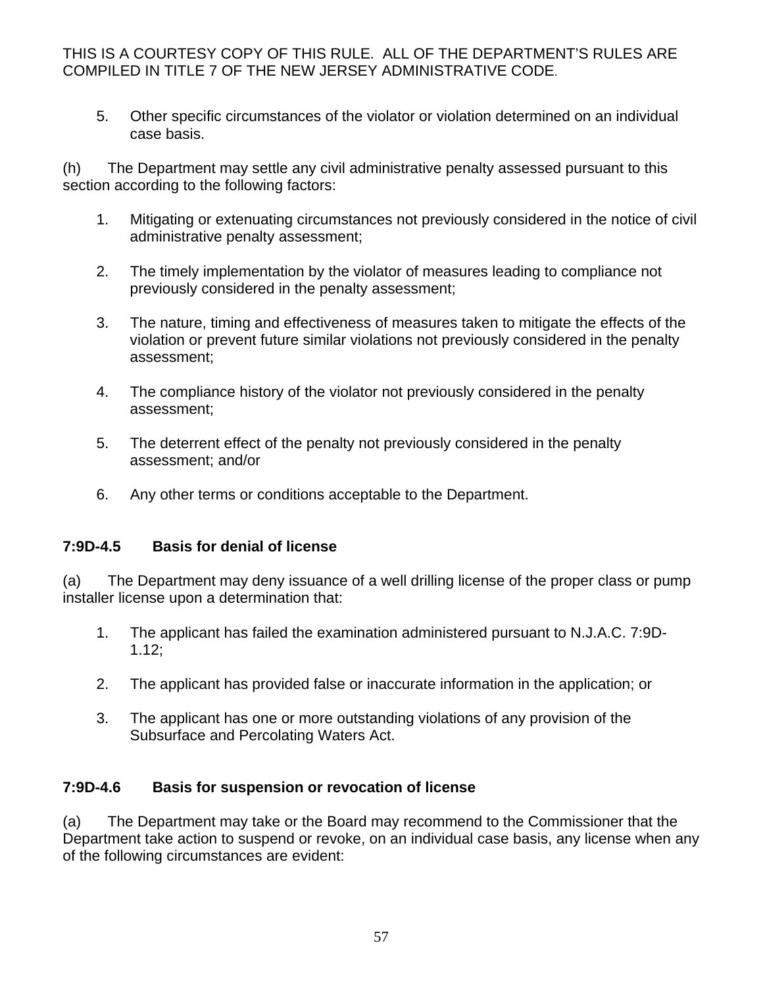5. Other specific circumstances of the violator or violation determined on an individual case basis.

(h) The Department may settle any civil administrative penalty assessed pursuant to this section according to the following factors:

- 1. Mitigating or extenuating circumstances not previously considered in the notice of civil administrative penalty assessment;
- 2. The timely implementation by the violator of measures leading to compliance not previously considered in the penalty assessment;
- 3. The nature, timing and effectiveness of measures taken to mitigate the effects of the violation or prevent future similar violations not previously considered in the penalty assessment;
- 4. The compliance history of the violator not previously considered in the penalty assessment;
- 5. The deterrent effect of the penalty not previously considered in the penalty assessment; and/or
- 6. Any other terms or conditions acceptable to the Department.

#### **7:9D-4.5 Basis for denial of license**

(a) The Department may deny issuance of a well drilling license of the proper class or pump installer license upon a determination that:

- 1. The applicant has failed the examination administered pursuant to N.J.A.C. 7:9D-1.12;
- 2. The applicant has provided false or inaccurate information in the application; or
- 3. The applicant has one or more outstanding violations of any provision of the Subsurface and Percolating Waters Act.

## **7:9D-4.6 Basis for suspension or revocation of license**

(a) The Department may take or the Board may recommend to the Commissioner that the Department take action to suspend or revoke, on an individual case basis, any license when any of the following circumstances are evident: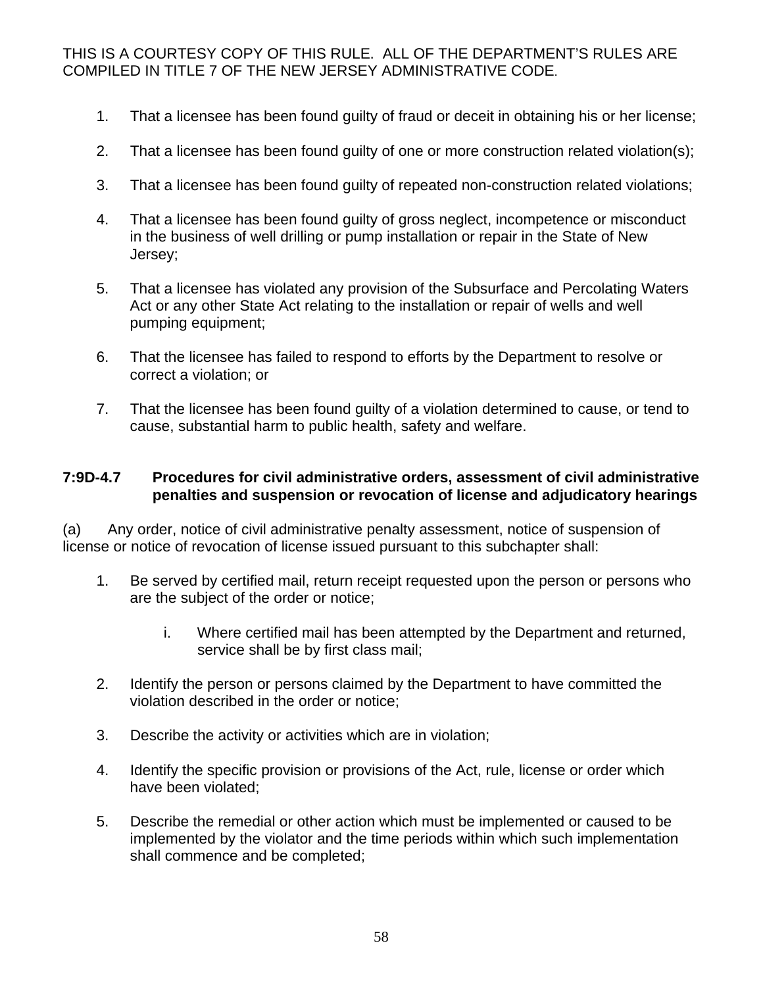- 1. That a licensee has been found guilty of fraud or deceit in obtaining his or her license;
- 2. That a licensee has been found guilty of one or more construction related violation(s);
- 3. That a licensee has been found guilty of repeated non-construction related violations;
- 4. That a licensee has been found guilty of gross neglect, incompetence or misconduct in the business of well drilling or pump installation or repair in the State of New Jersey;
- 5. That a licensee has violated any provision of the Subsurface and Percolating Waters Act or any other State Act relating to the installation or repair of wells and well pumping equipment;
- 6. That the licensee has failed to respond to efforts by the Department to resolve or correct a violation; or
- 7. That the licensee has been found guilty of a violation determined to cause, or tend to cause, substantial harm to public health, safety and welfare.

#### **7:9D-4.7 Procedures for civil administrative orders, assessment of civil administrative penalties and suspension or revocation of license and adjudicatory hearings**

(a) Any order, notice of civil administrative penalty assessment, notice of suspension of license or notice of revocation of license issued pursuant to this subchapter shall:

- 1. Be served by certified mail, return receipt requested upon the person or persons who are the subject of the order or notice;
	- i. Where certified mail has been attempted by the Department and returned, service shall be by first class mail;
- 2. Identify the person or persons claimed by the Department to have committed the violation described in the order or notice;
- 3. Describe the activity or activities which are in violation;
- 4. Identify the specific provision or provisions of the Act, rule, license or order which have been violated;
- 5. Describe the remedial or other action which must be implemented or caused to be implemented by the violator and the time periods within which such implementation shall commence and be completed;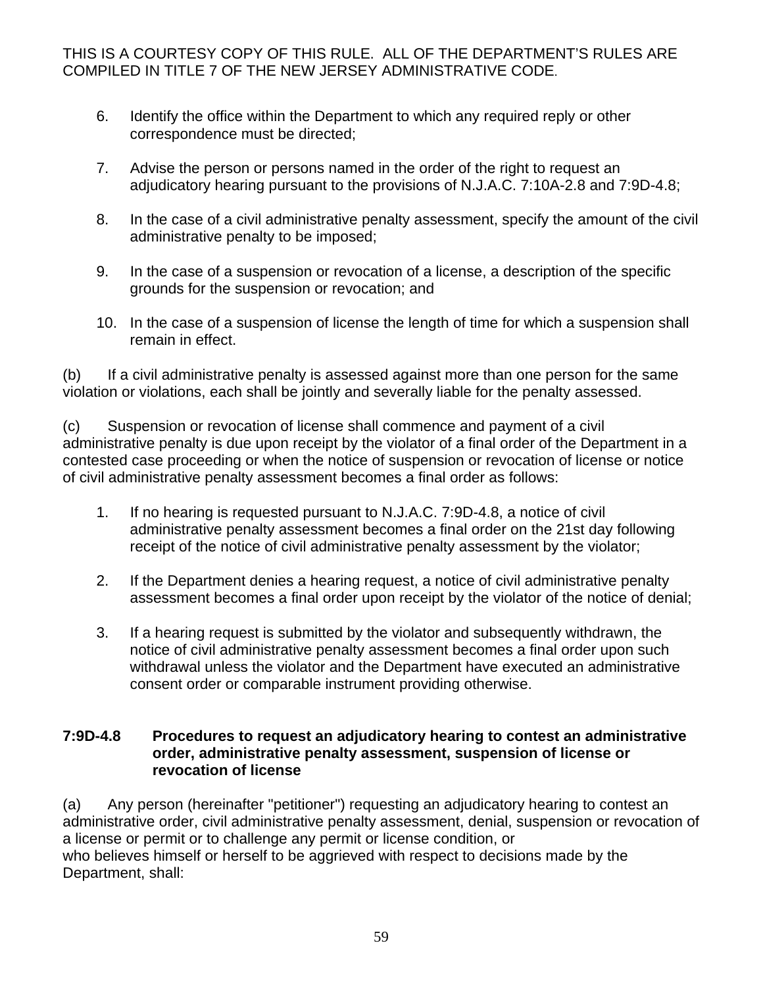- 6. Identify the office within the Department to which any required reply or other correspondence must be directed;
- 7. Advise the person or persons named in the order of the right to request an adjudicatory hearing pursuant to the provisions of N.J.A.C. 7:10A-2.8 and 7:9D-4.8;
- 8. In the case of a civil administrative penalty assessment, specify the amount of the civil administrative penalty to be imposed;
- 9. In the case of a suspension or revocation of a license, a description of the specific grounds for the suspension or revocation; and
- 10. In the case of a suspension of license the length of time for which a suspension shall remain in effect.

(b) If a civil administrative penalty is assessed against more than one person for the same violation or violations, each shall be jointly and severally liable for the penalty assessed.

(c) Suspension or revocation of license shall commence and payment of a civil administrative penalty is due upon receipt by the violator of a final order of the Department in a contested case proceeding or when the notice of suspension or revocation of license or notice of civil administrative penalty assessment becomes a final order as follows:

- 1. If no hearing is requested pursuant to N.J.A.C. 7:9D-4.8, a notice of civil administrative penalty assessment becomes a final order on the 21st day following receipt of the notice of civil administrative penalty assessment by the violator;
- 2. If the Department denies a hearing request, a notice of civil administrative penalty assessment becomes a final order upon receipt by the violator of the notice of denial;
- 3. If a hearing request is submitted by the violator and subsequently withdrawn, the notice of civil administrative penalty assessment becomes a final order upon such withdrawal unless the violator and the Department have executed an administrative consent order or comparable instrument providing otherwise.

#### **7:9D-4.8 Procedures to request an adjudicatory hearing to contest an administrative order, administrative penalty assessment, suspension of license or revocation of license**

(a) Any person (hereinafter "petitioner") requesting an adjudicatory hearing to contest an administrative order, civil administrative penalty assessment, denial, suspension or revocation of a license or permit or to challenge any permit or license condition, or who believes himself or herself to be aggrieved with respect to decisions made by the Department, shall: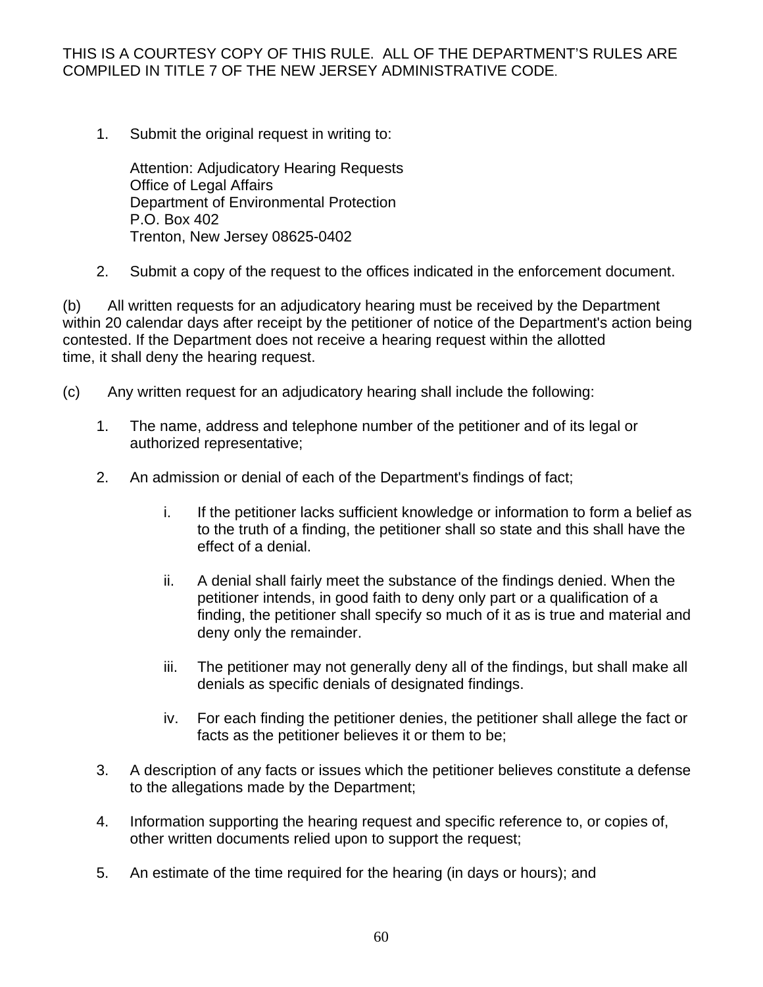1. Submit the original request in writing to:

 Attention: Adjudicatory Hearing Requests Office of Legal Affairs Department of Environmental Protection P.O. Box 402 Trenton, New Jersey 08625-0402

2. Submit a copy of the request to the offices indicated in the enforcement document.

(b) All written requests for an adjudicatory hearing must be received by the Department within 20 calendar days after receipt by the petitioner of notice of the Department's action being contested. If the Department does not receive a hearing request within the allotted time, it shall deny the hearing request.

- (c) Any written request for an adjudicatory hearing shall include the following:
	- 1. The name, address and telephone number of the petitioner and of its legal or authorized representative;
	- 2. An admission or denial of each of the Department's findings of fact;
		- i. If the petitioner lacks sufficient knowledge or information to form a belief as to the truth of a finding, the petitioner shall so state and this shall have the effect of a denial.
		- ii. A denial shall fairly meet the substance of the findings denied. When the petitioner intends, in good faith to deny only part or a qualification of a finding, the petitioner shall specify so much of it as is true and material and deny only the remainder.
		- iii. The petitioner may not generally deny all of the findings, but shall make all denials as specific denials of designated findings.
		- iv. For each finding the petitioner denies, the petitioner shall allege the fact or facts as the petitioner believes it or them to be;
	- 3. A description of any facts or issues which the petitioner believes constitute a defense to the allegations made by the Department;
	- 4. Information supporting the hearing request and specific reference to, or copies of, other written documents relied upon to support the request;
	- 5. An estimate of the time required for the hearing (in days or hours); and